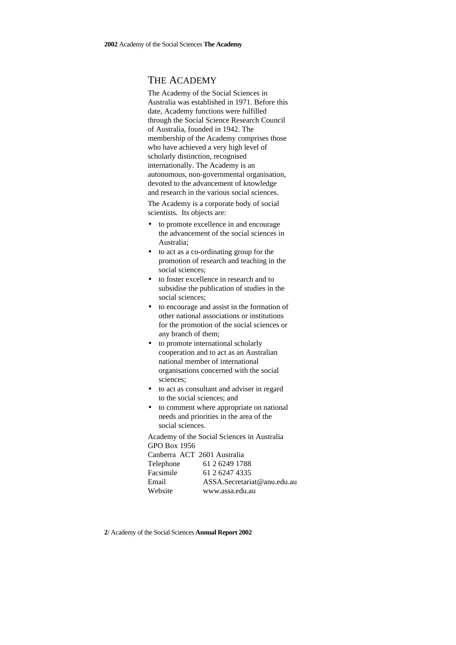# THE ACADEMY

The Academy of the Social Sciences in Australia was established in 1971. Before this date, Academy functions were fulfilled through the Social Science Research Council of Australia, founded in 1942. The membership of the Academy comprises those who have achieved a very high level of scholarly distinction, recognised internationally. The Academy is an autonomous, non-governmental organisation, devoted to the advancement of knowledge and research in the various social sciences.

The Academy is a corporate body of social scientists. Its objects are:

- to promote excellence in and encourage the advancement of the social sciences in Australia;
- to act as a co-ordinating group for the promotion of research and teaching in the social sciences;
- to foster excellence in research and to subsidise the publication of studies in the social sciences;
- to encourage and assist in the formation of other national associations or institutions for the promotion of the social sciences or any branch of them;
- to promote international scholarly cooperation and to act as an Australian national member of international organisations concerned with the social sciences;
- to act as consultant and adviser in regard to the social sciences; and
- to comment where appropriate on national needs and priorities in the area of the social sciences.

Academy of the Social Sciences in Australia GPO Box 1956 Canberra ACT 2601 Australia

| Telephone | 61 2 6249 1788              |
|-----------|-----------------------------|
| Facsimile | 61 2 6247 4335              |
| Email     | ASSA.Secretariat@anu.edu.au |
| Website   | www.assa.edu.au             |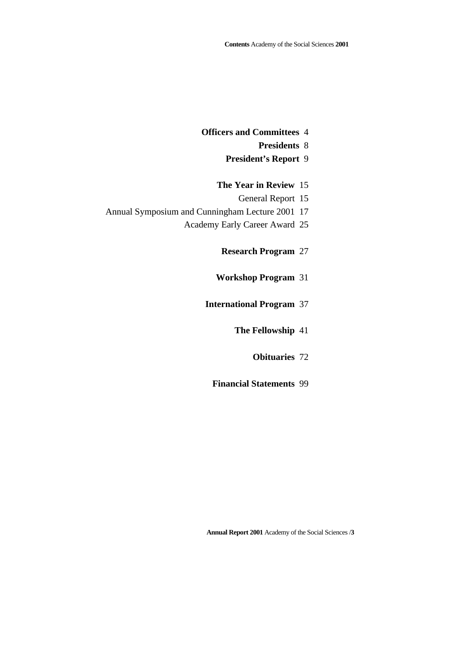- **Officers and Committees** 4
	- **Presidents** 8
	- **President's Report** 9
	- **The Year in Review** 15
		- General Report 15
- Annual Symposium and Cunningham Lecture 2001 17
	- Academy Early Career Award 25
		- **Research Program** 27
		- **Workshop Program** 31
		- **International Program** 37
			- **The Fellowship** 41
				- **Obituaries** 72
			- **Financial Statements** 99

**Annual Report 2001** Academy of the Social Sciences /**3**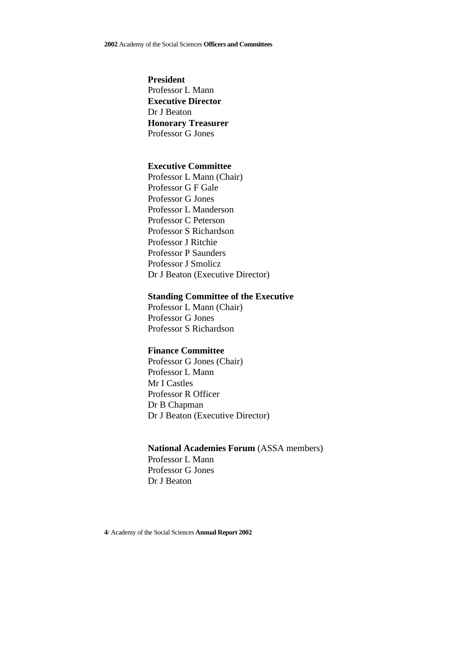**President** Professor L Mann **Executive Director** Dr J Beaton **Honorary Treasurer** Professor G Jones

### **Executive Committee**

Professor L Mann (Chair) Professor G F Gale Professor G Jones Professor L Manderson Professor C Peterson Professor S Richardson Professor J Ritchie Professor P Saunders Professor J Smolicz Dr J Beaton (Executive Director)

#### **Standing Committee of the Executive**

Professor L Mann (Chair) Professor G Jones Professor S Richardson

#### **Finance Committee**

Professor G Jones (Chair) Professor L Mann Mr I Castles Professor R Officer Dr B Chapman Dr J Beaton (Executive Director)

# **National Academies Forum** (ASSA members)

Professor L Mann Professor G Jones Dr J Beaton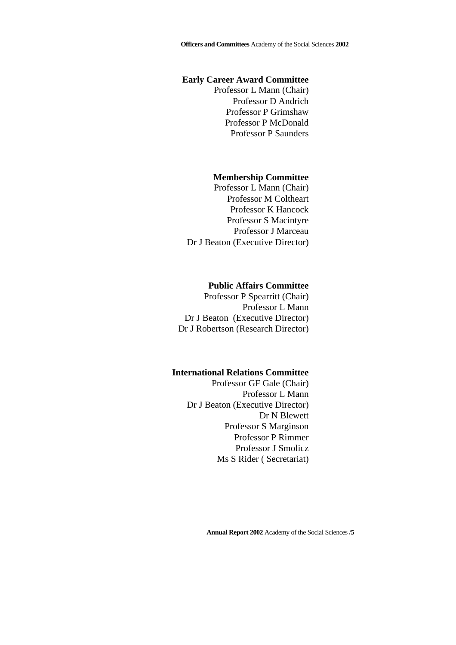### **Early Career Award Committee**

Professor L Mann (Chair) Professor D Andrich Professor P Grimshaw Professor P McDonald Professor P Saunders

#### **Membership Committee**

Professor L Mann (Chair) Professor M Coltheart Professor K Hancock Professor S Macintyre Professor J Marceau Dr J Beaton (Executive Director)

#### **Public Affairs Committee**

Professor P Spearritt (Chair) Professor L Mann Dr J Beaton (Executive Director) Dr J Robertson (Research Director)

### **International Relations Committee**

Professor GF Gale (Chair) Professor L Mann Dr J Beaton (Executive Director) Dr N Blewett Professor S Marginson Professor P Rimmer Professor J Smolicz Ms S Rider ( Secretariat)

**Annual Report 2002** Academy of the Social Sciences /**5**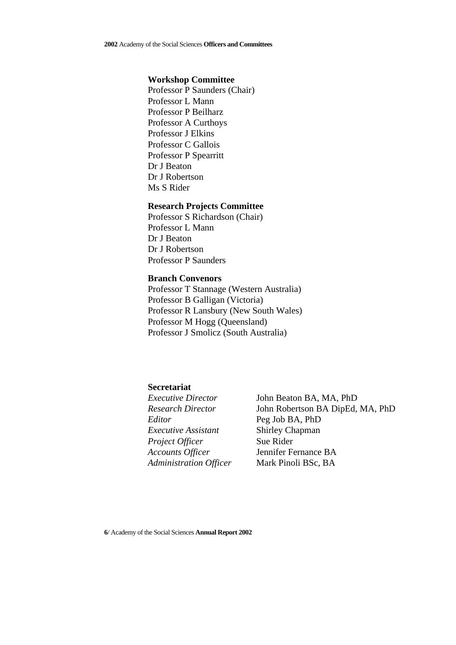#### **Workshop Committee**

Professor P Saunders (Chair) Professor L Mann Professor P Beilharz Professor A Curthoys Professor J Elkins Professor C Gallois Professor P Spearritt Dr J Beaton Dr J Robertson Ms S Rider

#### **Research Projects Committee**

Professor S Richardson (Chair) Professor L Mann Dr J Beaton Dr J Robertson Professor P Saunders

#### **Branch Convenors**

Professor T Stannage (Western Australia) Professor B Galligan (Victoria) Professor R Lansbury (New South Wales) Professor M Hogg (Queensland) Professor J Smolicz (South Australia)

#### **Secretariat**

*Editor* Peg Job BA, PhD *Executive Assistant* Shirley Chapman *Project Officer* Sue Rider

*Executive Director* John Beaton BA, MA, PhD *Research Director* John Robertson BA DipEd, MA, PhD *Accounts Officer* Jennifer Fernance BA *Administration Officer* Mark Pinoli BSc, BA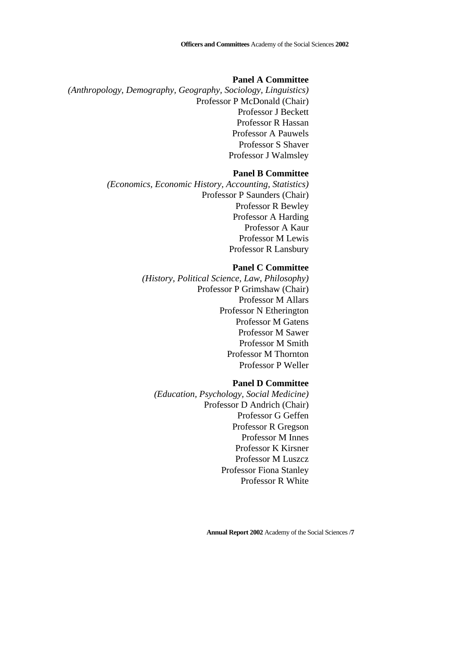#### **Panel A Committee**

*(Anthropology, Demography, Geography, Sociology, Linguistics)* Professor P McDonald (Chair) Professor J Beckett Professor R Hassan Professor A Pauwels Professor S Shaver Professor J Walmsley

### **Panel B Committee**

*(Economics, Economic History, Accounting, Statistics)* Professor P Saunders (Chair) Professor R Bewley Professor A Harding Professor A Kaur Professor M Lewis Professor R Lansbury

#### **Panel C Committee**

*(History, Political Science, Law, Philosophy)* Professor P Grimshaw (Chair) Professor M Allars Professor N Etherington Professor M Gatens Professor M Sawer Professor M Smith Professor M Thornton Professor P Weller

# **Panel D Committee**

*(Education, Psychology, Social Medicine)* Professor D Andrich (Chair) Professor G Geffen Professor R Gregson Professor M Innes Professor K Kirsner Professor M Luszcz Professor Fiona Stanley Professor R White

**Annual Report 2002** Academy of the Social Sciences /**7**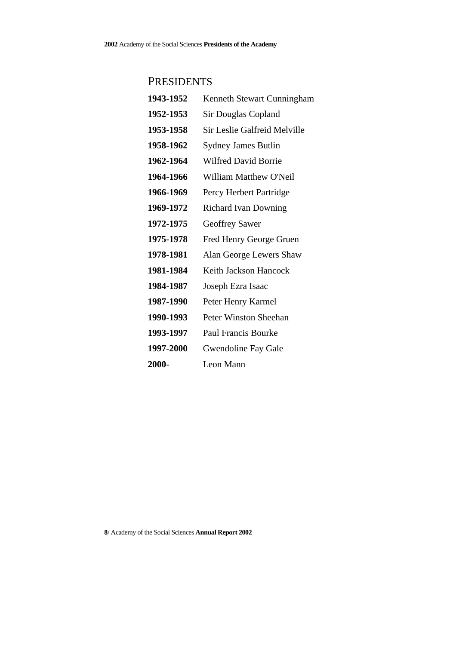# PRESIDENTS

| 1943-1952 | Kenneth Stewart Cunningham   |
|-----------|------------------------------|
| 1952-1953 | Sir Douglas Copland          |
| 1953-1958 | Sir Leslie Galfreid Melville |
| 1958-1962 | <b>Sydney James Butlin</b>   |
| 1962-1964 | <b>Wilfred David Borrie</b>  |
| 1964-1966 | William Matthew O'Neil       |
| 1966-1969 | Percy Herbert Partridge      |
| 1969-1972 | <b>Richard Ivan Downing</b>  |
| 1972-1975 | <b>Geoffrey Sawer</b>        |
| 1975-1978 | Fred Henry George Gruen      |
| 1978-1981 | Alan George Lewers Shaw      |
| 1981-1984 | Keith Jackson Hancock        |
| 1984-1987 | Joseph Ezra Isaac            |
| 1987-1990 | Peter Henry Karmel           |
| 1990-1993 | <b>Peter Winston Sheehan</b> |
| 1993-1997 | <b>Paul Francis Bourke</b>   |
| 1997-2000 | <b>Gwendoline Fay Gale</b>   |
| 2000-     | Leon Mann                    |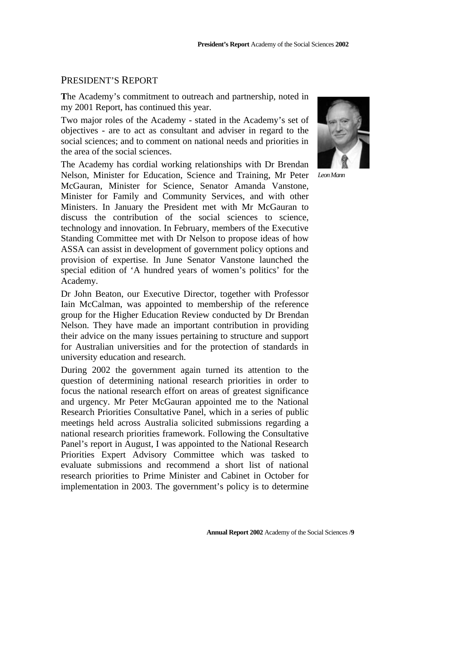### PRESIDENT'S REPORT

**T**he Academy's commitment to outreach and partnership, noted in my 2001 Report, has continued this year.

Two major roles of the Academy - stated in the Academy's set of objectives - are to act as consultant and adviser in regard to the social sciences; and to comment on national needs and priorities in the area of the social sciences.

The Academy has cordial working relationships with Dr Brendan Nelson, Minister for Education, Science and Training, Mr Peter McGauran, Minister for Science, Senator Amanda Vanstone, Minister for Family and Community Services, and with other Ministers. In January the President met with Mr McGauran to discuss the contribution of the social sciences to science, technology and innovation. In February, members of the Executive Standing Committee met with Dr Nelson to propose ideas of how ASSA can assist in development of government policy options and provision of expertise. In June Senator Vanstone launched the special edition of 'A hundred years of women's politics' for the Academy.

Dr John Beaton, our Executive Director, together with Professor Iain McCalman, was appointed to membership of the reference group for the Higher Education Review conducted by Dr Brendan Nelson. They have made an important contribution in providing their advice on the many issues pertaining to structure and support for Australian universities and for the protection of standards in university education and research.

During 2002 the government again turned its attention to the question of determining national research priorities in order to focus the national research effort on areas of greatest significance and urgency. Mr Peter McGauran appointed me to the National Research Priorities Consultative Panel, which in a series of public meetings held across Australia solicited submissions regarding a national research priorities framework. Following the Consultative Panel's report in August, I was appointed to the National Research Priorities Expert Advisory Committee which was tasked to evaluate submissions and recommend a short list of national research priorities to Prime Minister and Cabinet in October for implementation in 2003. The government's policy is to determine



*Leon Mann*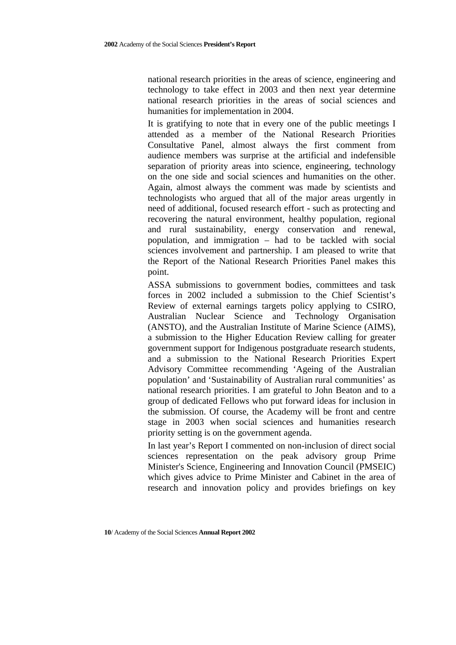national research priorities in the areas of science, engineering and technology to take effect in 2003 and then next year determine national research priorities in the areas of social sciences and humanities for implementation in 2004.

It is gratifying to note that in every one of the public meetings I attended as a member of the National Research Priorities Consultative Panel, almost always the first comment from audience members was surprise at the artificial and indefensible separation of priority areas into science, engineering, technology on the one side and social sciences and humanities on the other. Again, almost always the comment was made by scientists and technologists who argued that all of the major areas urgently in need of additional, focused research effort - such as protecting and recovering the natural environment, healthy population, regional and rural sustainability, energy conservation and renewal, population, and immigration – had to be tackled with social sciences involvement and partnership. I am pleased to write that the Report of the National Research Priorities Panel makes this point.

ASSA submissions to government bodies, committees and task forces in 2002 included a submission to the Chief Scientist's Review of external earnings targets policy applying to CSIRO, Australian Nuclear Science and Technology Organisation (ANSTO), and the Australian Institute of Marine Science (AIMS), a submission to the Higher Education Review calling for greater government support for Indigenous postgraduate research students, and a submission to the National Research Priorities Expert Advisory Committee recommending 'Ageing of the Australian population' and 'Sustainability of Australian rural communities' as national research priorities. I am grateful to John Beaton and to a group of dedicated Fellows who put forward ideas for inclusion in the submission. Of course, the Academy will be front and centre stage in 2003 when social sciences and humanities research priority setting is on the government agenda.

In last year's Report I commented on non-inclusion of direct social sciences representation on the peak advisory group Prime Minister's Science, Engineering and Innovation Council (PMSEIC) which gives advice to Prime Minister and Cabinet in the area of research and innovation policy and provides briefings on key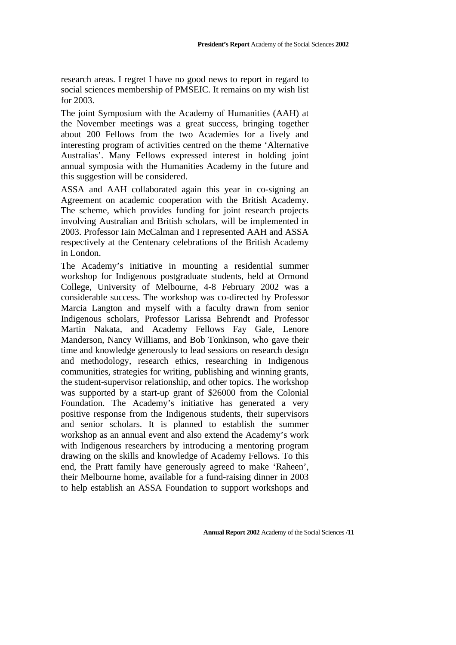research areas. I regret I have no good news to report in regard to social sciences membership of PMSEIC. It remains on my wish list for 2003.

The joint Symposium with the Academy of Humanities (AAH) at the November meetings was a great success, bringing together about 200 Fellows from the two Academies for a lively and interesting program of activities centred on the theme 'Alternative Australias'. Many Fellows expressed interest in holding joint annual symposia with the Humanities Academy in the future and this suggestion will be considered.

ASSA and AAH collaborated again this year in co-signing an Agreement on academic cooperation with the British Academy. The scheme, which provides funding for joint research projects involving Australian and British scholars, will be implemented in 2003. Professor Iain McCalman and I represented AAH and ASSA respectively at the Centenary celebrations of the British Academy in London.

The Academy's initiative in mounting a residential summer workshop for Indigenous postgraduate students, held at Ormond College, University of Melbourne, 4-8 February 2002 was a considerable success. The workshop was co-directed by Professor Marcia Langton and myself with a faculty drawn from senior Indigenous scholars, Professor Larissa Behrendt and Professor Martin Nakata, and Academy Fellows Fay Gale, Lenore Manderson, Nancy Williams, and Bob Tonkinson, who gave their time and knowledge generously to lead sessions on research design and methodology, research ethics, researching in Indigenous communities, strategies for writing, publishing and winning grants, the student-supervisor relationship, and other topics. The workshop was supported by a start-up grant of \$26000 from the Colonial Foundation. The Academy's initiative has generated a very positive response from the Indigenous students, their supervisors and senior scholars. It is planned to establish the summer workshop as an annual event and also extend the Academy's work with Indigenous researchers by introducing a mentoring program drawing on the skills and knowledge of Academy Fellows. To this end, the Pratt family have generously agreed to make 'Raheen', their Melbourne home, available for a fund-raising dinner in 2003 to help establish an ASSA Foundation to support workshops and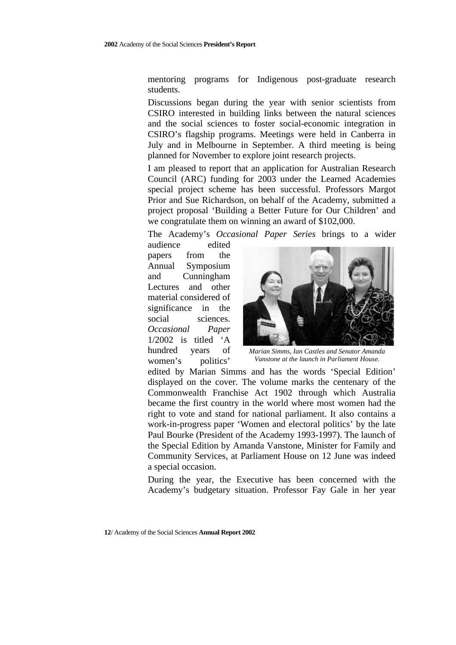mentoring programs for Indigenous post-graduate research students.

Discussions began during the year with senior scientists from CSIRO interested in building links between the natural sciences and the social sciences to foster social-economic integration in CSIRO's flagship programs. Meetings were held in Canberra in July and in Melbourne in September. A third meeting is being planned for November to explore joint research projects.

I am pleased to report that an application for Australian Research Council (ARC) funding for 2003 under the Learned Academies special project scheme has been successful. Professors Margot Prior and Sue Richardson, on behalf of the Academy, submitted a project proposal 'Building a Better Future for Our Children' and we congratulate them on winning an award of \$102,000.

The Academy's *Occasional Paper Series* brings to a wider

audience edited papers from the Annual Symposium and Cunningham Lectures and other material considered of significance in the social sciences. *Occasional Paper* 1/2002 is titled 'A hundred years of women's politics'



*Marian Simms, Ian Castles and Senator Amanda Vanstone at the launch in Parliament House.*

edited by Marian Simms and has the words 'Special Edition' displayed on the cover. The volume marks the centenary of the Commonwealth Franchise Act 1902 through which Australia became the first country in the world where most women had the right to vote and stand for national parliament. It also contains a work-in-progress paper 'Women and electoral politics' by the late Paul Bourke (President of the Academy 1993-1997). The launch of the Special Edition by Amanda Vanstone, Minister for Family and Community Services, at Parliament House on 12 June was indeed a special occasion.

During the year, the Executive has been concerned with the Academy's budgetary situation. Professor Fay Gale in her year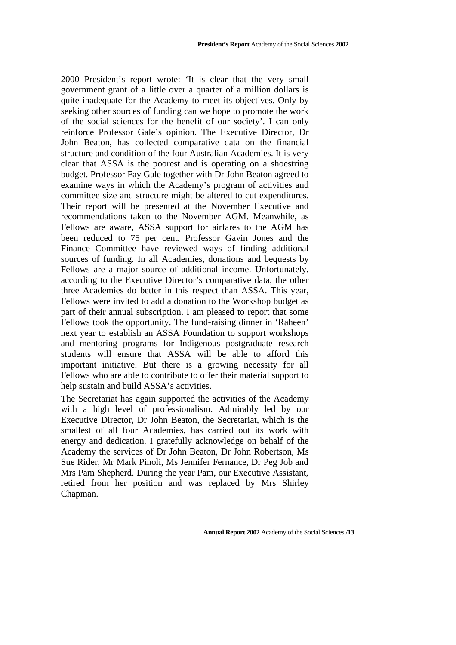2000 President's report wrote: 'It is clear that the very small government grant of a little over a quarter of a million dollars is quite inadequate for the Academy to meet its objectives. Only by seeking other sources of funding can we hope to promote the work of the social sciences for the benefit of our society'. I can only reinforce Professor Gale's opinion. The Executive Director, Dr John Beaton, has collected comparative data on the financial structure and condition of the four Australian Academies. It is very clear that ASSA is the poorest and is operating on a shoestring budget. Professor Fay Gale together with Dr John Beaton agreed to examine ways in which the Academy's program of activities and committee size and structure might be altered to cut expenditures. Their report will be presented at the November Executive and recommendations taken to the November AGM. Meanwhile, as Fellows are aware, ASSA support for airfares to the AGM has been reduced to 75 per cent. Professor Gavin Jones and the Finance Committee have reviewed ways of finding additional sources of funding. In all Academies, donations and bequests by Fellows are a major source of additional income. Unfortunately, according to the Executive Director's comparative data, the other three Academies do better in this respect than ASSA. This year, Fellows were invited to add a donation to the Workshop budget as part of their annual subscription. I am pleased to report that some Fellows took the opportunity. The fund-raising dinner in 'Raheen' next year to establish an ASSA Foundation to support workshops and mentoring programs for Indigenous postgraduate research students will ensure that ASSA will be able to afford this important initiative. But there is a growing necessity for all Fellows who are able to contribute to offer their material support to help sustain and build ASSA's activities.

The Secretariat has again supported the activities of the Academy with a high level of professionalism. Admirably led by our Executive Director, Dr John Beaton, the Secretariat, which is the smallest of all four Academies, has carried out its work with energy and dedication. I gratefully acknowledge on behalf of the Academy the services of Dr John Beaton, Dr John Robertson, Ms Sue Rider, Mr Mark Pinoli, Ms Jennifer Fernance, Dr Peg Job and Mrs Pam Shepherd. During the year Pam, our Executive Assistant, retired from her position and was replaced by Mrs Shirley Chapman.

**Annual Report 2002** Academy of the Social Sciences /**13**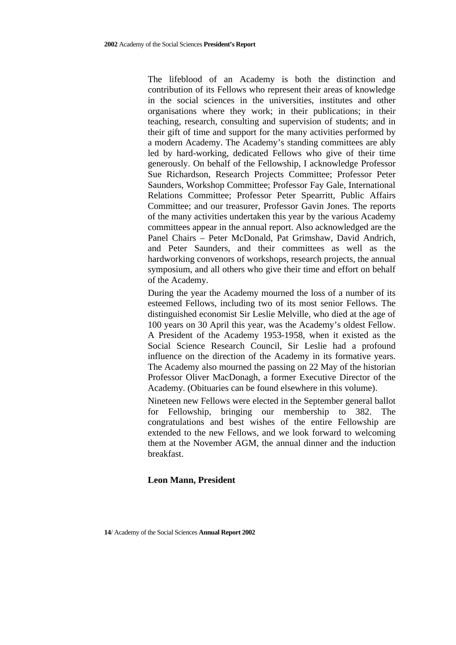The lifeblood of an Academy is both the distinction and contribution of its Fellows who represent their areas of knowledge in the social sciences in the universities, institutes and other organisations where they work; in their publications; in their teaching, research, consulting and supervision of students; and in their gift of time and support for the many activities performed by a modern Academy. The Academy's standing committees are ably led by hard-working, dedicated Fellows who give of their time generously. On behalf of the Fellowship, I acknowledge Professor Sue Richardson, Research Projects Committee; Professor Peter Saunders, Workshop Committee; Professor Fay Gale, International Relations Committee; Professor Peter Spearritt, Public Affairs Committee; and our treasurer, Professor Gavin Jones. The reports of the many activities undertaken this year by the various Academy committees appear in the annual report. Also acknowledged are the Panel Chairs – Peter McDonald, Pat Grimshaw, David Andrich, and Peter Saunders, and their committees as well as the hardworking convenors of workshops, research projects, the annual symposium, and all others who give their time and effort on behalf of the Academy.

During the year the Academy mourned the loss of a number of its esteemed Fellows, including two of its most senior Fellows. The distinguished economist Sir Leslie Melville, who died at the age of 100 years on 30 April this year, was the Academy's oldest Fellow. A President of the Academy 1953-1958, when it existed as the Social Science Research Council, Sir Leslie had a profound influence on the direction of the Academy in its formative years. The Academy also mourned the passing on 22 May of the historian Professor Oliver MacDonagh, a former Executive Director of the Academy. (Obituaries can be found elsewhere in this volume).

Nineteen new Fellows were elected in the September general ballot for Fellowship, bringing our membership to 382. The congratulations and best wishes of the entire Fellowship are extended to the new Fellows, and we look forward to welcoming them at the November AGM, the annual dinner and the induction breakfast.

#### **Leon Mann, President**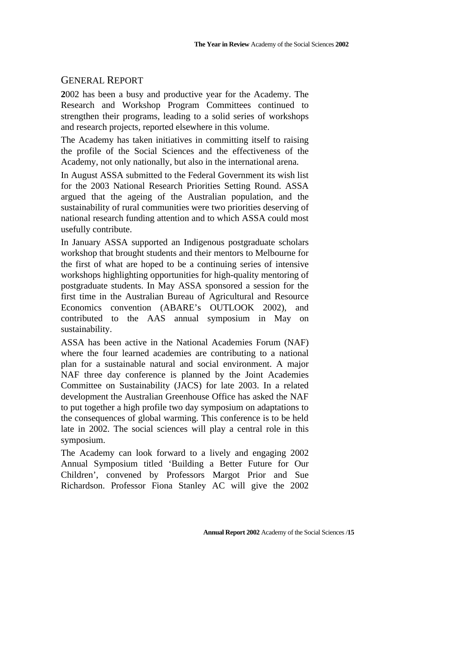# GENERAL REPORT

**2**002 has been a busy and productive year for the Academy. The Research and Workshop Program Committees continued to strengthen their programs, leading to a solid series of workshops and research projects, reported elsewhere in this volume.

The Academy has taken initiatives in committing itself to raising the profile of the Social Sciences and the effectiveness of the Academy, not only nationally, but also in the international arena.

In August ASSA submitted to the Federal Government its wish list for the 2003 National Research Priorities Setting Round. ASSA argued that the ageing of the Australian population, and the sustainability of rural communities were two priorities deserving of national research funding attention and to which ASSA could most usefully contribute.

In January ASSA supported an Indigenous postgraduate scholars workshop that brought students and their mentors to Melbourne for the first of what are hoped to be a continuing series of intensive workshops highlighting opportunities for high-quality mentoring of postgraduate students. In May ASSA sponsored a session for the first time in the Australian Bureau of Agricultural and Resource Economics convention (ABARE's OUTLOOK 2002), and contributed to the AAS annual symposium in May on sustainability.

ASSA has been active in the National Academies Forum (NAF) where the four learned academies are contributing to a national plan for a sustainable natural and social environment. A major NAF three day conference is planned by the Joint Academies Committee on Sustainability (JACS) for late 2003. In a related development the Australian Greenhouse Office has asked the NAF to put together a high profile two day symposium on adaptations to the consequences of global warming. This conference is to be held late in 2002. The social sciences will play a central role in this symposium.

The Academy can look forward to a lively and engaging 2002 Annual Symposium titled 'Building a Better Future for Our Children', convened by Professors Margot Prior and Sue Richardson. Professor Fiona Stanley AC will give the 2002

**Annual Report 2002** Academy of the Social Sciences /**15**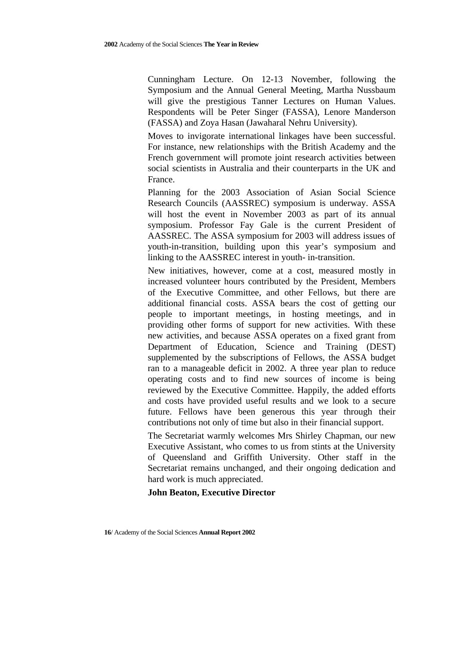Cunningham Lecture. On 12-13 November, following the Symposium and the Annual General Meeting, Martha Nussbaum will give the prestigious Tanner Lectures on Human Values. Respondents will be Peter Singer (FASSA), Lenore Manderson (FASSA) and Zoya Hasan (Jawaharal Nehru University).

Moves to invigorate international linkages have been successful. For instance, new relationships with the British Academy and the French government will promote joint research activities between social scientists in Australia and their counterparts in the UK and France.

Planning for the 2003 Association of Asian Social Science Research Councils (AASSREC) symposium is underway. ASSA will host the event in November 2003 as part of its annual symposium. Professor Fay Gale is the current President of AASSREC. The ASSA symposium for 2003 will address issues of youth-in-transition, building upon this year's symposium and linking to the AASSREC interest in youth- in-transition.

New initiatives, however, come at a cost, measured mostly in increased volunteer hours contributed by the President, Members of the Executive Committee, and other Fellows, but there are additional financial costs. ASSA bears the cost of getting our people to important meetings, in hosting meetings, and in providing other forms of support for new activities. With these new activities, and because ASSA operates on a fixed grant from Department of Education, Science and Training (DEST) supplemented by the subscriptions of Fellows, the ASSA budget ran to a manageable deficit in 2002. A three year plan to reduce operating costs and to find new sources of income is being reviewed by the Executive Committee. Happily, the added efforts and costs have provided useful results and we look to a secure future. Fellows have been generous this year through their contributions not only of time but also in their financial support.

The Secretariat warmly welcomes Mrs Shirley Chapman, our new Executive Assistant, who comes to us from stints at the University of Queensland and Griffith University. Other staff in the Secretariat remains unchanged, and their ongoing dedication and hard work is much appreciated.

#### **John Beaton, Executive Director**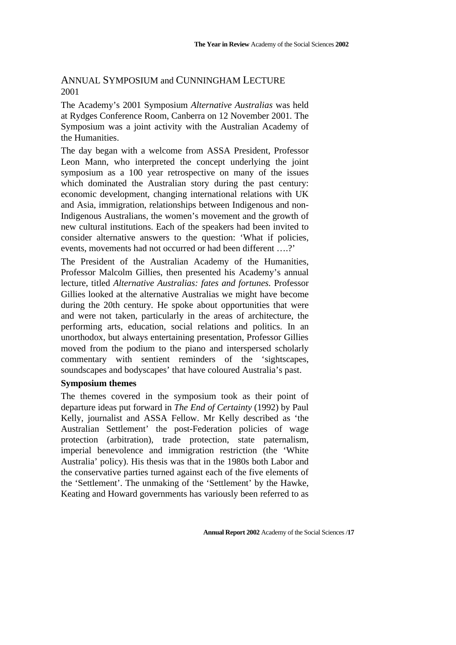# ANNUAL SYMPOSIUM and CUNNINGHAM LECTURE 2001

The Academy's 2001 Symposium *Alternative Australias* was held at Rydges Conference Room, Canberra on 12 November 2001*.* The Symposium was a joint activity with the Australian Academy of the Humanities.

The day began with a welcome from ASSA President, Professor Leon Mann, who interpreted the concept underlying the joint symposium as a 100 year retrospective on many of the issues which dominated the Australian story during the past century: economic development, changing international relations with UK and Asia, immigration, relationships between Indigenous and non-Indigenous Australians, the women's movement and the growth of new cultural institutions. Each of the speakers had been invited to consider alternative answers to the question: 'What if policies, events, movements had not occurred or had been different ….?'

The President of the Australian Academy of the Humanities, Professor Malcolm Gillies, then presented his Academy's annual lecture, titled *Alternative Australias: fates and fortunes.* Professor Gillies looked at the alternative Australias we might have become during the 20th century*.* He spoke about opportunities that were and were not taken, particularly in the areas of architecture, the performing arts, education, social relations and politics. In an unorthodox, but always entertaining presentation, Professor Gillies moved from the podium to the piano and interspersed scholarly commentary with sentient reminders of the 'sightscapes, soundscapes and bodyscapes' that have coloured Australia's past.

#### **Symposium themes**

The themes covered in the symposium took as their point of departure ideas put forward in *The End of Certainty* (1992) by Paul Kelly, journalist and ASSA Fellow. Mr Kelly described as 'the Australian Settlement' the post-Federation policies of wage protection (arbitration), trade protection, state paternalism, imperial benevolence and immigration restriction (the 'White Australia' policy). His thesis was that in the 1980s both Labor and the conservative parties turned against each of the five elements of the 'Settlement'. The unmaking of the 'Settlement' by the Hawke, Keating and Howard governments has variously been referred to as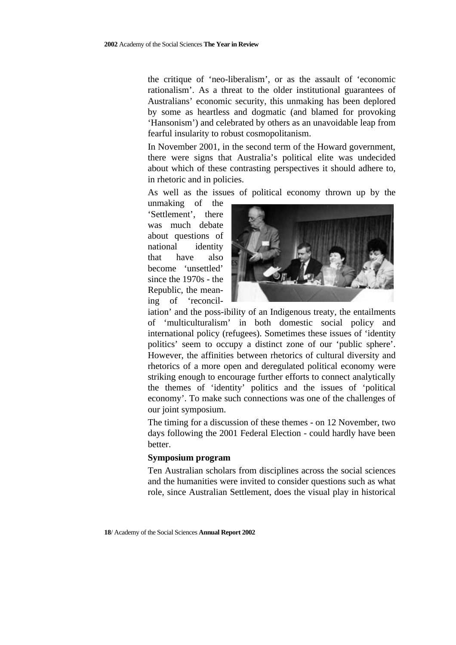the critique of 'neo-liberalism', or as the assault of 'economic rationalism'. As a threat to the older institutional guarantees of Australians' economic security, this unmaking has been deplored by some as heartless and dogmatic (and blamed for provoking 'Hansonism') and celebrated by others as an unavoidable leap from fearful insularity to robust cosmopolitanism.

In November 2001, in the second term of the Howard government, there were signs that Australia's political elite was undecided about which of these contrasting perspectives it should adhere to, in rhetoric and in policies.

As well as the issues of political economy thrown up by the

unmaking of the 'Settlement', there was much debate about questions of national identity that have also become 'unsettled' since the 1970s - the Republic, the meaning of 'reconcil-



iation' and the poss-ibility of an Indigenous treaty, the entailments of 'multiculturalism' in both domestic social policy and international policy (refugees). Sometimes these issues of 'identity politics' seem to occupy a distinct zone of our 'public sphere'. However, the affinities between rhetorics of cultural diversity and rhetorics of a more open and deregulated political economy were striking enough to encourage further efforts to connect analytically the themes of 'identity' politics and the issues of 'political economy'. To make such connections was one of the challenges of our joint symposium.

The timing for a discussion of these themes - on 12 November, two days following the 2001 Federal Election - could hardly have been better.

### **Symposium program**

Ten Australian scholars from disciplines across the social sciences and the humanities were invited to consider questions such as what role, since Australian Settlement, does the visual play in historical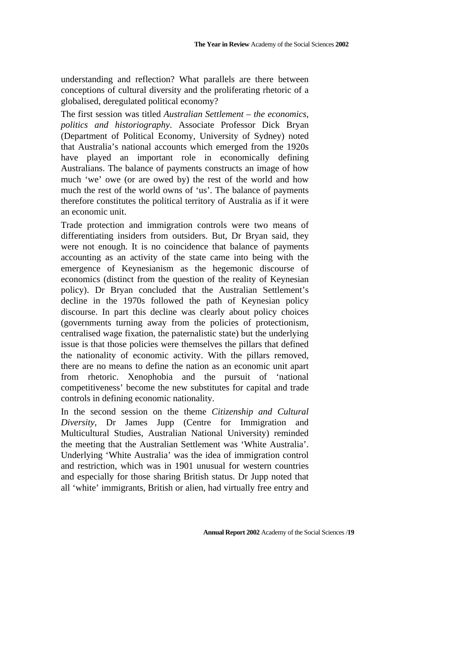understanding and reflection? What parallels are there between conceptions of cultural diversity and the proliferating rhetoric of a globalised, deregulated political economy?

The first session was titled *Australian Settlement – the economics, politics and historiography*. Associate Professor Dick Bryan (Department of Political Economy, University of Sydney) noted that Australia's national accounts which emerged from the 1920s have played an important role in economically defining Australians. The balance of payments constructs an image of how much 'we' owe (or are owed by) the rest of the world and how much the rest of the world owns of 'us'. The balance of payments therefore constitutes the political territory of Australia as if it were an economic unit.

Trade protection and immigration controls were two means of differentiating insiders from outsiders. But, Dr Bryan said, they were not enough. It is no coincidence that balance of payments accounting as an activity of the state came into being with the emergence of Keynesianism as the hegemonic discourse of economics (distinct from the question of the reality of Keynesian policy). Dr Bryan concluded that the Australian Settlement's decline in the 1970s followed the path of Keynesian policy discourse. In part this decline was clearly about policy choices (governments turning away from the policies of protectionism, centralised wage fixation, the paternalistic state) but the underlying issue is that those policies were themselves the pillars that defined the nationality of economic activity. With the pillars removed, there are no means to define the nation as an economic unit apart from rhetoric. Xenophobia and the pursuit of 'national competitiveness' become the new substitutes for capital and trade controls in defining economic nationality.

In the second session on the theme *Citizenship and Cultural Diversity*, Dr James Jupp (Centre for Immigration and Multicultural Studies, Australian National University) reminded the meeting that the Australian Settlement was 'White Australia'. Underlying 'White Australia' was the idea of immigration control and restriction, which was in 1901 unusual for western countries and especially for those sharing British status. Dr Jupp noted that all 'white' immigrants, British or alien, had virtually free entry and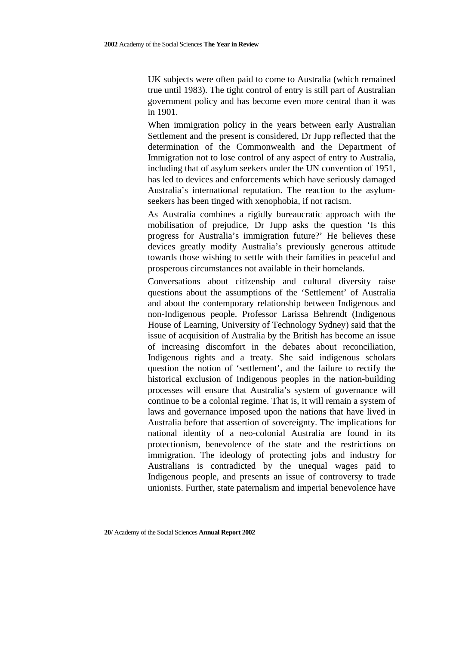UK subjects were often paid to come to Australia (which remained true until 1983). The tight control of entry is still part of Australian government policy and has become even more central than it was in 1901.

When immigration policy in the years between early Australian Settlement and the present is considered, Dr Jupp reflected that the determination of the Commonwealth and the Department of Immigration not to lose control of any aspect of entry to Australia, including that of asylum seekers under the UN convention of 1951, has led to devices and enforcements which have seriously damaged Australia's international reputation. The reaction to the asylumseekers has been tinged with xenophobia, if not racism.

As Australia combines a rigidly bureaucratic approach with the mobilisation of prejudice, Dr Jupp asks the question 'Is this progress for Australia's immigration future?' He believes these devices greatly modify Australia's previously generous attitude towards those wishing to settle with their families in peaceful and prosperous circumstances not available in their homelands.

Conversations about citizenship and cultural diversity raise questions about the assumptions of the 'Settlement' of Australia and about the contemporary relationship between Indigenous and non-Indigenous people. Professor Larissa Behrendt (Indigenous House of Learning, University of Technology Sydney) said that the issue of acquisition of Australia by the British has become an issue of increasing discomfort in the debates about reconciliation, Indigenous rights and a treaty. She said indigenous scholars question the notion of 'settlement', and the failure to rectify the historical exclusion of Indigenous peoples in the nation-building processes will ensure that Australia's system of governance will continue to be a colonial regime. That is, it will remain a system of laws and governance imposed upon the nations that have lived in Australia before that assertion of sovereignty. The implications for national identity of a neo-colonial Australia are found in its protectionism, benevolence of the state and the restrictions on immigration. The ideology of protecting jobs and industry for Australians is contradicted by the unequal wages paid to Indigenous people, and presents an issue of controversy to trade unionists. Further, state paternalism and imperial benevolence have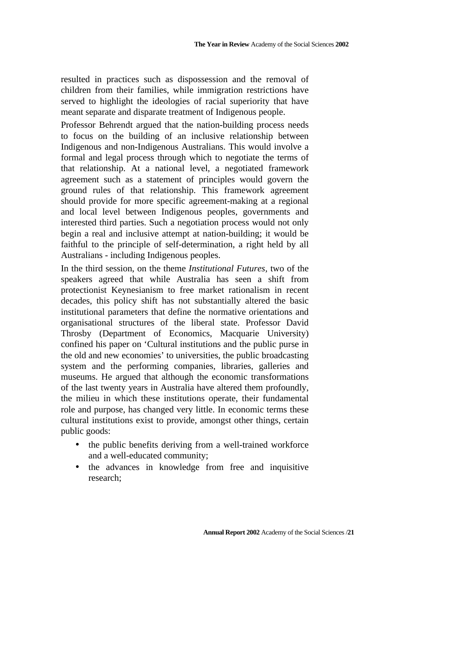resulted in practices such as dispossession and the removal of children from their families, while immigration restrictions have served to highlight the ideologies of racial superiority that have meant separate and disparate treatment of Indigenous people.

Professor Behrendt argued that the nation-building process needs to focus on the building of an inclusive relationship between Indigenous and non-Indigenous Australians. This would involve a formal and legal process through which to negotiate the terms of that relationship. At a national level, a negotiated framework agreement such as a statement of principles would govern the ground rules of that relationship. This framework agreement should provide for more specific agreement-making at a regional and local level between Indigenous peoples, governments and interested third parties. Such a negotiation process would not only begin a real and inclusive attempt at nation-building; it would be faithful to the principle of self-determination, a right held by all Australians - including Indigenous peoples.

In the third session, on the theme *Institutional Futures,* two of the speakers agreed that while Australia has seen a shift from protectionist Keynesianism to free market rationalism in recent decades, this policy shift has not substantially altered the basic institutional parameters that define the normative orientations and organisational structures of the liberal state. Professor David Throsby (Department of Economics, Macquarie University) confined his paper on 'Cultural institutions and the public purse in the old and new economies' to universities, the public broadcasting system and the performing companies, libraries, galleries and museums. He argued that although the economic transformations of the last twenty years in Australia have altered them profoundly, the milieu in which these institutions operate, their fundamental role and purpose, has changed very little. In economic terms these cultural institutions exist to provide, amongst other things, certain public goods:

- the public benefits deriving from a well-trained workforce and a well-educated community;
- the advances in knowledge from free and inquisitive research;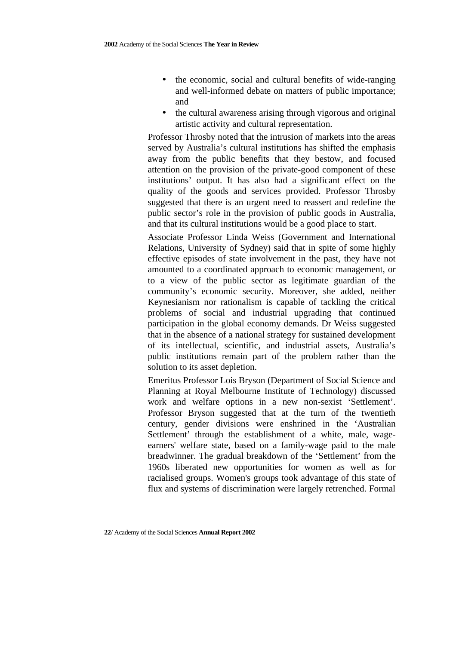- the economic, social and cultural benefits of wide-ranging and well-informed debate on matters of public importance; and
- the cultural awareness arising through vigorous and original artistic activity and cultural representation.

Professor Throsby noted that the intrusion of markets into the areas served by Australia's cultural institutions has shifted the emphasis away from the public benefits that they bestow, and focused attention on the provision of the private-good component of these institutions' output. It has also had a significant effect on the quality of the goods and services provided. Professor Throsby suggested that there is an urgent need to reassert and redefine the public sector's role in the provision of public goods in Australia, and that its cultural institutions would be a good place to start.

Associate Professor Linda Weiss (Government and International Relations, University of Sydney) said that in spite of some highly effective episodes of state involvement in the past, they have not amounted to a coordinated approach to economic management, or to a view of the public sector as legitimate guardian of the community's economic security. Moreover, she added, neither Keynesianism nor rationalism is capable of tackling the critical problems of social and industrial upgrading that continued participation in the global economy demands. Dr Weiss suggested that in the absence of a national strategy for sustained development of its intellectual, scientific, and industrial assets, Australia's public institutions remain part of the problem rather than the solution to its asset depletion.

Emeritus Professor Lois Bryson (Department of Social Science and Planning at Royal Melbourne Institute of Technology) discussed work and welfare options in a new non-sexist 'Settlement'. Professor Bryson suggested that at the turn of the twentieth century, gender divisions were enshrined in the 'Australian Settlement' through the establishment of a white, male, wageearners' welfare state, based on a family-wage paid to the male breadwinner. The gradual breakdown of the 'Settlement' from the 1960s liberated new opportunities for women as well as for racialised groups. Women's groups took advantage of this state of flux and systems of discrimination were largely retrenched. Formal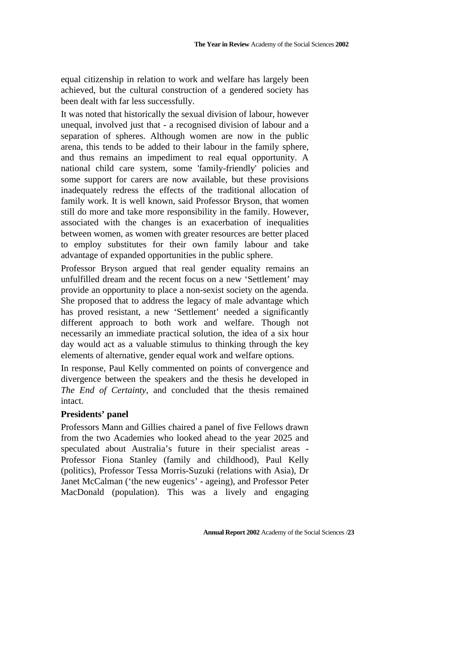equal citizenship in relation to work and welfare has largely been achieved, but the cultural construction of a gendered society has been dealt with far less successfully.

It was noted that historically the sexual division of labour, however unequal, involved just that - a recognised division of labour and a separation of spheres. Although women are now in the public arena, this tends to be added to their labour in the family sphere, and thus remains an impediment to real equal opportunity. A national child care system, some 'family-friendly' policies and some support for carers are now available, but these provisions inadequately redress the effects of the traditional allocation of family work. It is well known, said Professor Bryson, that women still do more and take more responsibility in the family. However, associated with the changes is an exacerbation of inequalities between women, as women with greater resources are better placed to employ substitutes for their own family labour and take advantage of expanded opportunities in the public sphere.

Professor Bryson argued that real gender equality remains an unfulfilled dream and the recent focus on a new 'Settlement' may provide an opportunity to place a non-sexist society on the agenda. She proposed that to address the legacy of male advantage which has proved resistant, a new 'Settlement' needed a significantly different approach to both work and welfare. Though not necessarily an immediate practical solution, the idea of a six hour day would act as a valuable stimulus to thinking through the key elements of alternative, gender equal work and welfare options.

In response, Paul Kelly commented on points of convergence and divergence between the speakers and the thesis he developed in *The End of Certainty*, and concluded that the thesis remained intact.

#### **Presidents' panel**

Professors Mann and Gillies chaired a panel of five Fellows drawn from the two Academies who looked ahead to the year 2025 and speculated about Australia's future in their specialist areas - Professor Fiona Stanley (family and childhood), Paul Kelly (politics), Professor Tessa Morris-Suzuki (relations with Asia), Dr Janet McCalman ('the new eugenics' - ageing), and Professor Peter MacDonald (population). This was a lively and engaging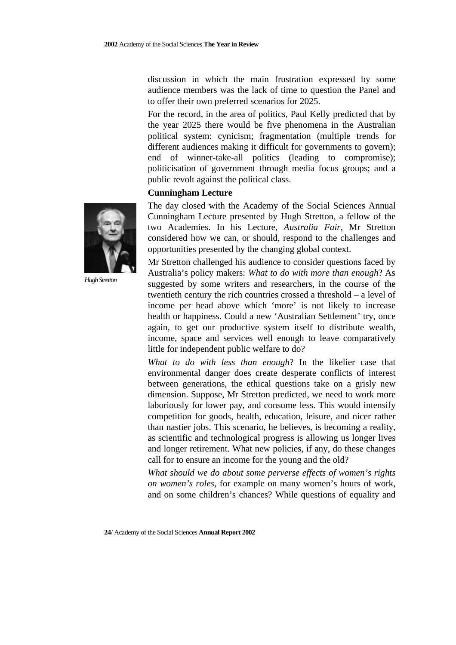discussion in which the main frustration expressed by some audience members was the lack of time to question the Panel and to offer their own preferred scenarios for 2025.

For the record, in the area of politics, Paul Kelly predicted that by the year 2025 there would be five phenomena in the Australian political system: cynicism; fragmentation (multiple trends for different audiences making it difficult for governments to govern); end of winner-take-all politics (leading to compromise); politicisation of government through media focus groups; and a public revolt against the political class.

#### **Cunningham Lecture**

The day closed with the Academy of the Social Sciences Annual Cunningham Lecture presented by Hugh Stretton, a fellow of the two Academies. In his Lecture, *Australia Fair*, Mr Stretton considered how we can, or should, respond to the challenges and opportunities presented by the changing global context.

Mr Stretton challenged his audience to consider questions faced by Australia's policy makers: *What to do with more than enough*? As suggested by some writers and researchers, in the course of the twentieth century the rich countries crossed a threshold – a level of income per head above which 'more' is not likely to increase health or happiness. Could a new 'Australian Settlement' try, once again, to get our productive system itself to distribute wealth, income, space and services well enough to leave comparatively little for independent public welfare to do?

*What to do with less than enough*? In the likelier case that environmental danger does create desperate conflicts of interest between generations, the ethical questions take on a grisly new dimension. Suppose, Mr Stretton predicted, we need to work more laboriously for lower pay, and consume less. This would intensify competition for goods, health, education, leisure, and nicer rather than nastier jobs. This scenario, he believes, is becoming a reality, as scientific and technological progress is allowing us longer lives and longer retirement. What new policies, if any, do these changes call for to ensure an income for the young and the old?

*What should we do about some perverse effects of women's rights on women's roles*, for example on many women's hours of work, and on some children's chances? While questions of equality and



*Hugh Stretton*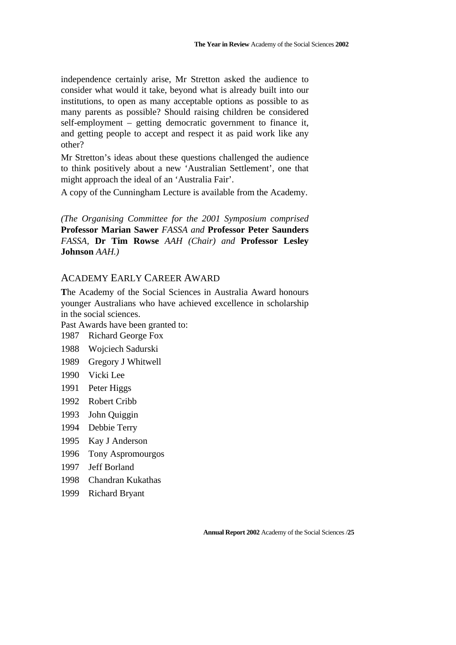independence certainly arise, Mr Stretton asked the audience to consider what would it take, beyond what is already built into our institutions, to open as many acceptable options as possible to as many parents as possible? Should raising children be considered self-employment – getting democratic government to finance it, and getting people to accept and respect it as paid work like any other?

Mr Stretton's ideas about these questions challenged the audience to think positively about a new 'Australian Settlement', one that might approach the ideal of an 'Australia Fair'.

A copy of the Cunningham Lecture is available from the Academy.

*(The Organising Committee for the 2001 Symposium comprised* **Professor Marian Sawer** *FASSA and* **Professor Peter Saunders** *FASSA,* **Dr Tim Rowse** *AAH (Chair) and* **Professor Lesley Johnson** *AAH.)*

# ACADEMY EARLY CAREER AWARD

**T**he Academy of the Social Sciences in Australia Award honours younger Australians who have achieved excellence in scholarship in the social sciences.

Past Awards have been granted to:

- 1987 Richard George Fox
- 1988 Wojciech Sadurski
- 1989 Gregory J Whitwell
- 1990 Vicki Lee
- 1991 Peter Higgs
- 1992 Robert Cribb
- 1993 John Quiggin
- 1994 Debbie Terry
- 1995 Kay J Anderson
- 1996 Tony Aspromourgos
- 1997 Jeff Borland
- 1998 Chandran Kukathas
- 1999 Richard Bryant

**Annual Report 2002** Academy of the Social Sciences /**25**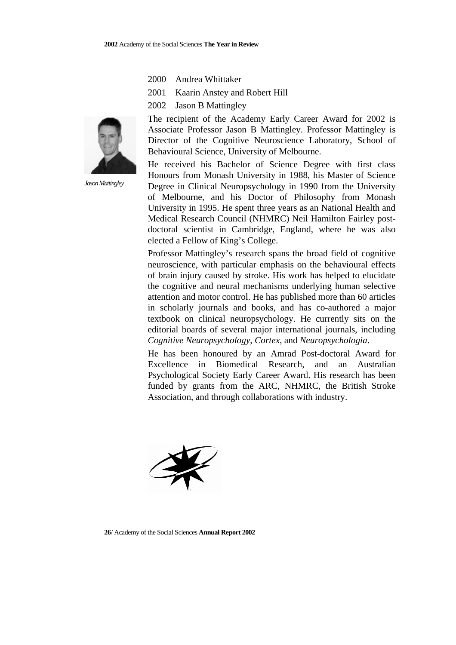- 2000 Andrea Whittaker
- 2001 Kaarin Anstey and Robert Hill
- 2002 Jason B Mattingley

The recipient of the Academy Early Career Award for 2002 is Associate Professor Jason B Mattingley. Professor Mattingley is Director of the Cognitive Neuroscience Laboratory, School of Behavioural Science, University of Melbourne.

He received his Bachelor of Science Degree with first class Honours from Monash University in 1988, his Master of Science Degree in Clinical Neuropsychology in 1990 from the University of Melbourne, and his Doctor of Philosophy from Monash University in 1995. He spent three years as an National Health and Medical Research Council (NHMRC) Neil Hamilton Fairley postdoctoral scientist in Cambridge, England, where he was also elected a Fellow of King's College.

Professor Mattingley's research spans the broad field of cognitive neuroscience, with particular emphasis on the behavioural effects of brain injury caused by stroke. His work has helped to elucidate the cognitive and neural mechanisms underlying human selective attention and motor control. He has published more than 60 articles in scholarly journals and books, and has co-authored a major textbook on clinical neuropsychology. He currently sits on the editorial boards of several major international journals, including *Cognitive Neuropsychology*, *Cortex*, and *Neuropsychologia*.

He has been honoured by an Amrad Post-doctoral Award for Excellence in Biomedical Research, and an Australian Psychological Society Early Career Award. His research has been funded by grants from the ARC, NHMRC, the British Stroke Association, and through collaborations with industry.



**26**/ Academy of the Social Sciences **Annual Report 2002**



*Jason Mattingley*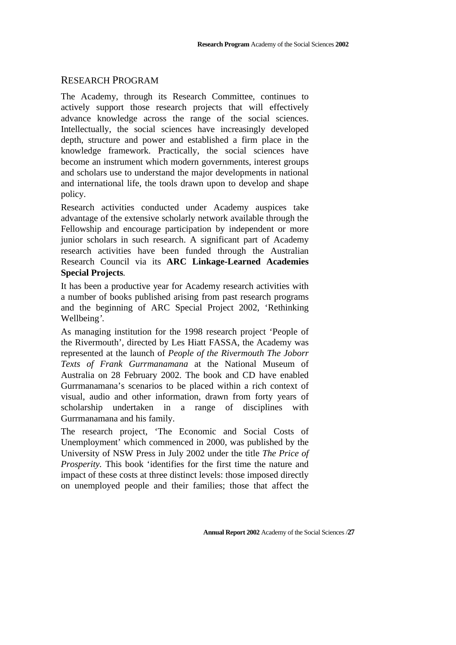# RESEARCH PROGRAM

The Academy, through its Research Committee, continues to actively support those research projects that will effectively advance knowledge across the range of the social sciences. Intellectually, the social sciences have increasingly developed depth, structure and power and established a firm place in the knowledge framework. Practically, the social sciences have become an instrument which modern governments, interest groups and scholars use to understand the major developments in national and international life, the tools drawn upon to develop and shape policy.

Research activities conducted under Academy auspices take advantage of the extensive scholarly network available through the Fellowship and encourage participation by independent or more junior scholars in such research. A significant part of Academy research activities have been funded through the Australian Research Council via its **ARC Linkage-Learned Academies Special Projects***.* 

It has been a productive year for Academy research activities with a number of books published arising from past research programs and the beginning of ARC Special Project 2002, 'Rethinking Wellbeing*'.* 

As managing institution for the 1998 research project 'People of the Rivermouth', directed by Les Hiatt FASSA, the Academy was represented at the launch of *People of the Rivermouth The Joborr Texts of Frank Gurrmanamana* at the National Museum of Australia on 28 February 2002. The book and CD have enabled Gurrmanamana's scenarios to be placed within a rich context of visual, audio and other information, drawn from forty years of scholarship undertaken in a range of disciplines with Gurrmanamana and his family.

The research project, 'The Economic and Social Costs of Unemployment' which commenced in 2000, was published by the University of NSW Press in July 2002 under the title *The Price of Prosperity.* This book 'identifies for the first time the nature and impact of these costs at three distinct levels: those imposed directly on unemployed people and their families; those that affect the

**Annual Report 2002** Academy of the Social Sciences /**27**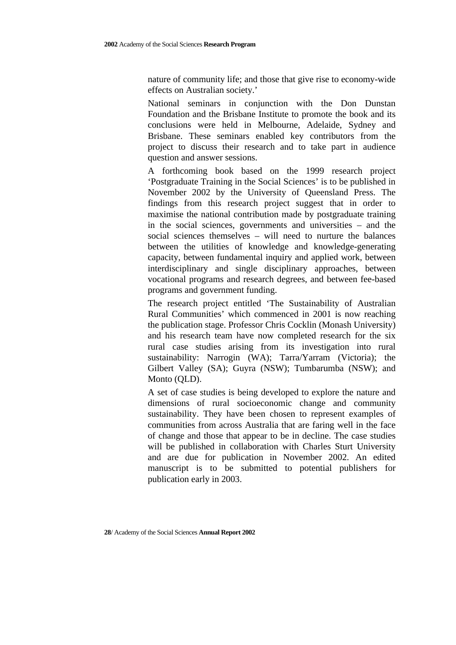nature of community life; and those that give rise to economy-wide effects on Australian society.'

National seminars in conjunction with the Don Dunstan Foundation and the Brisbane Institute to promote the book and its conclusions were held in Melbourne, Adelaide, Sydney and Brisbane. These seminars enabled key contributors from the project to discuss their research and to take part in audience question and answer sessions.

A forthcoming book based on the 1999 research project 'Postgraduate Training in the Social Sciences' is to be published in November 2002 by the University of Queensland Press. The findings from this research project suggest that in order to maximise the national contribution made by postgraduate training in the social sciences, governments and universities – and the social sciences themselves – will need to nurture the balances between the utilities of knowledge and knowledge-generating capacity, between fundamental inquiry and applied work, between interdisciplinary and single disciplinary approaches, between vocational programs and research degrees, and between fee-based programs and government funding.

The research project entitled 'The Sustainability of Australian Rural Communities' which commenced in 2001 is now reaching the publication stage. Professor Chris Cocklin (Monash University) and his research team have now completed research for the six rural case studies arising from its investigation into rural sustainability: Narrogin (WA); Tarra/Yarram (Victoria); the Gilbert Valley (SA); Guyra (NSW); Tumbarumba (NSW); and Monto (QLD).

A set of case studies is being developed to explore the nature and dimensions of rural socioeconomic change and community sustainability. They have been chosen to represent examples of communities from across Australia that are faring well in the face of change and those that appear to be in decline. The case studies will be published in collaboration with Charles Sturt University and are due for publication in November 2002. An edited manuscript is to be submitted to potential publishers for publication early in 2003.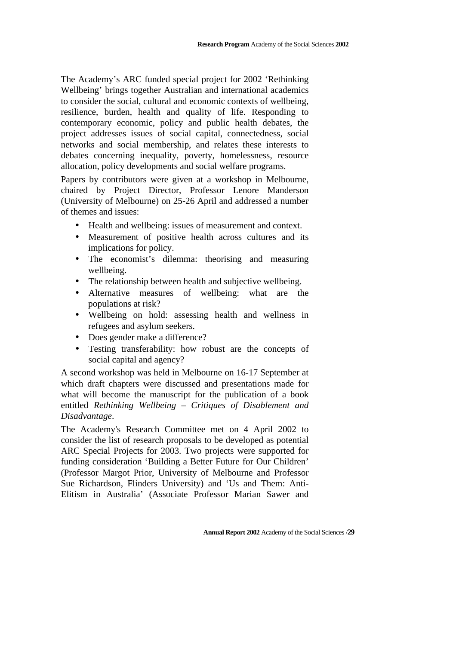The Academy's ARC funded special project for 2002 'Rethinking Wellbeing' brings together Australian and international academics to consider the social, cultural and economic contexts of wellbeing, resilience, burden, health and quality of life. Responding to contemporary economic, policy and public health debates, the project addresses issues of social capital, connectedness, social networks and social membership, and relates these interests to debates concerning inequality, poverty, homelessness, resource allocation, policy developments and social welfare programs.

Papers by contributors were given at a workshop in Melbourne, chaired by Project Director, Professor Lenore Manderson (University of Melbourne) on 25-26 April and addressed a number of themes and issues:

- Health and wellbeing: issues of measurement and context.
- Measurement of positive health across cultures and its implications for policy.
- The economist's dilemma: theorising and measuring wellbeing.
- The relationship between health and subjective wellbeing.
- Alternative measures of wellbeing: what are the populations at risk?
- Wellbeing on hold: assessing health and wellness in refugees and asylum seekers.
- Does gender make a difference?
- Testing transferability: how robust are the concepts of social capital and agency?

A second workshop was held in Melbourne on 16-17 September at which draft chapters were discussed and presentations made for what will become the manuscript for the publication of a book entitled *Rethinking Wellbeing – Critiques of Disablement and Disadvantage*.

The Academy's Research Committee met on 4 April 2002 to consider the list of research proposals to be developed as potential ARC Special Projects for 2003. Two projects were supported for funding consideration 'Building a Better Future for Our Children' (Professor Margot Prior, University of Melbourne and Professor Sue Richardson, Flinders University) and 'Us and Them: Anti-Elitism in Australia' (Associate Professor Marian Sawer and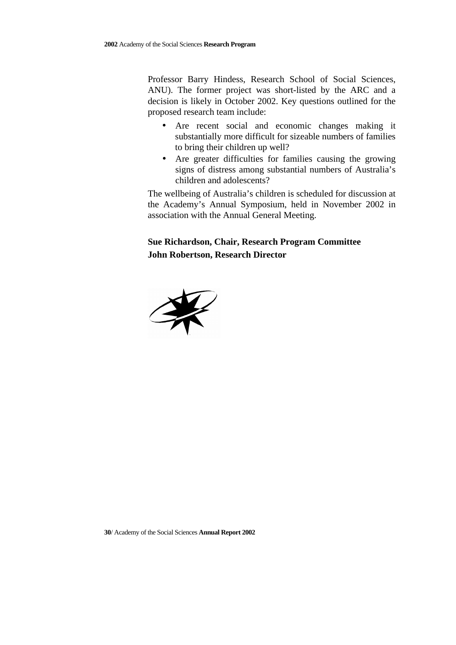Professor Barry Hindess, Research School of Social Sciences, ANU). The former project was short-listed by the ARC and a decision is likely in October 2002. Key questions outlined for the proposed research team include:

- Are recent social and economic changes making it substantially more difficult for sizeable numbers of families to bring their children up well?
- Are greater difficulties for families causing the growing signs of distress among substantial numbers of Australia's children and adolescents?

The wellbeing of Australia's children is scheduled for discussion at the Academy's Annual Symposium, held in November 2002 in association with the Annual General Meeting.

# **Sue Richardson, Chair, Research Program Committee John Robertson, Research Director**

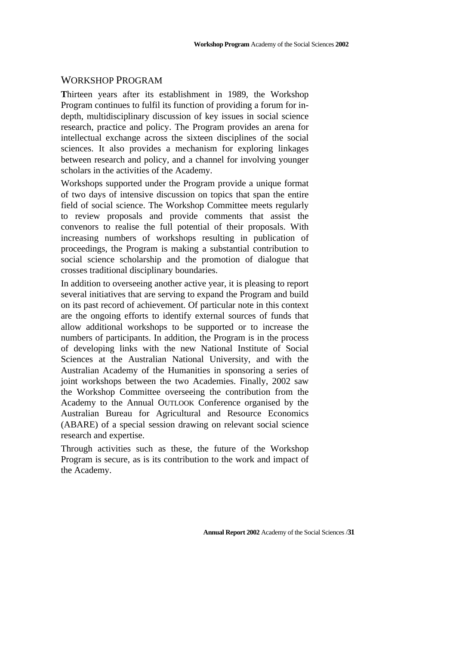# WORKSHOP PROGRAM

**T**hirteen years after its establishment in 1989, the Workshop Program continues to fulfil its function of providing a forum for indepth, multidisciplinary discussion of key issues in social science research, practice and policy. The Program provides an arena for intellectual exchange across the sixteen disciplines of the social sciences. It also provides a mechanism for exploring linkages between research and policy, and a channel for involving younger scholars in the activities of the Academy.

Workshops supported under the Program provide a unique format of two days of intensive discussion on topics that span the entire field of social science. The Workshop Committee meets regularly to review proposals and provide comments that assist the convenors to realise the full potential of their proposals. With increasing numbers of workshops resulting in publication of proceedings, the Program is making a substantial contribution to social science scholarship and the promotion of dialogue that crosses traditional disciplinary boundaries.

In addition to overseeing another active year, it is pleasing to report several initiatives that are serving to expand the Program and build on its past record of achievement. Of particular note in this context are the ongoing efforts to identify external sources of funds that allow additional workshops to be supported or to increase the numbers of participants. In addition, the Program is in the process of developing links with the new National Institute of Social Sciences at the Australian National University, and with the Australian Academy of the Humanities in sponsoring a series of joint workshops between the two Academies. Finally, 2002 saw the Workshop Committee overseeing the contribution from the Academy to the Annual OUTLOOK Conference organised by the Australian Bureau for Agricultural and Resource Economics (ABARE) of a special session drawing on relevant social science research and expertise.

Through activities such as these, the future of the Workshop Program is secure, as is its contribution to the work and impact of the Academy.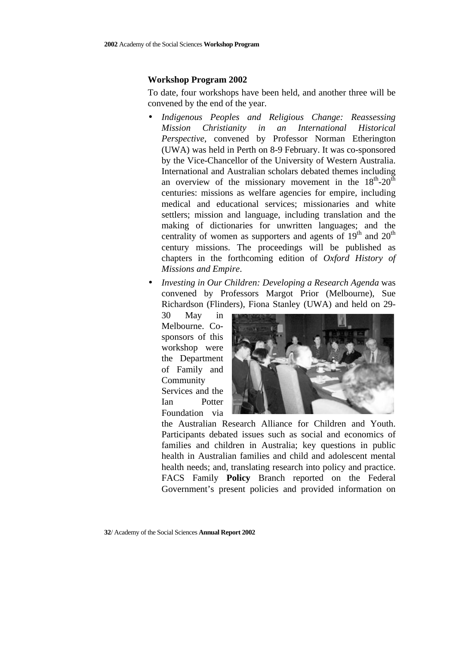### **Workshop Program 2002**

To date, four workshops have been held, and another three will be convened by the end of the year.

- *Indigenous Peoples and Religious Change: Reassessing Mission Christianity in an International Historical Perspective*, convened by Professor Norman Etherington (UWA) was held in Perth on 8-9 February. It was co-sponsored by the Vice-Chancellor of the University of Western Australia. International and Australian scholars debated themes including an overview of the missionary movement in the  $18^{th}$ - $20^{th}$ centuries: missions as welfare agencies for empire, including medical and educational services; missionaries and white settlers; mission and language, including translation and the making of dictionaries for unwritten languages; and the centrality of women as supporters and agents of  $19<sup>th</sup>$  and  $20<sup>th</sup>$ century missions. The proceedings will be published as chapters in the forthcoming edition of *Oxford History of Missions and Empire*.
- *Investing in Our Children: Developing a Research Agenda* was convened by Professors Margot Prior (Melbourne), Sue Richardson (Flinders), Fiona Stanley (UWA) and held on 29-

30 May in Melbourne. Cosponsors of this workshop were the Department of Family and Community Services and the Ian Potter Foundation via



the Australian Research Alliance for Children and Youth. Participants debated issues such as social and economics of families and children in Australia; key questions in public health in Australian families and child and adolescent mental health needs; and, translating research into policy and practice. FACS Family **Policy** Branch reported on the Federal Government's present policies and provided information on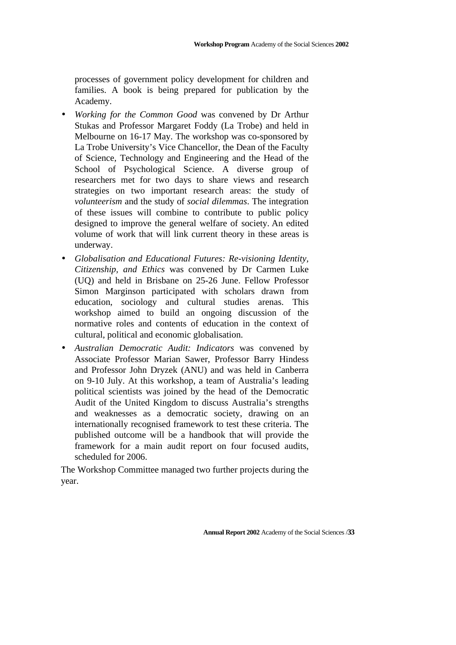processes of government policy development for children and families. A book is being prepared for publication by the Academy.

- *Working for the Common Good* was convened by Dr Arthur Stukas and Professor Margaret Foddy (La Trobe) and held in Melbourne on 16-17 May. The workshop was co-sponsored by La Trobe University's Vice Chancellor, the Dean of the Faculty of Science, Technology and Engineering and the Head of the School of Psychological Science. A diverse group of researchers met for two days to share views and research strategies on two important research areas: the study of *volunteerism* and the study of *social dilemmas*. The integration of these issues will combine to contribute to public policy designed to improve the general welfare of society. An edited volume of work that will link current theory in these areas is underway.
- *Globalisation and Educational Futures: Re-visioning Identity, Citizenship, and Ethics* was convened by Dr Carmen Luke (UQ) and held in Brisbane on 25-26 June. Fellow Professor Simon Marginson participated with scholars drawn from education, sociology and cultural studies arenas. This workshop aimed to build an ongoing discussion of the normative roles and contents of education in the context of cultural, political and economic globalisation.
- *Australian Democratic Audit: Indicators* was convened by Associate Professor Marian Sawer, Professor Barry Hindess and Professor John Dryzek (ANU) and was held in Canberra on 9-10 July. At this workshop, a team of Australia's leading political scientists was joined by the head of the Democratic Audit of the United Kingdom to discuss Australia's strengths and weaknesses as a democratic society, drawing on an internationally recognised framework to test these criteria. The published outcome will be a handbook that will provide the framework for a main audit report on four focused audits, scheduled for 2006.

The Workshop Committee managed two further projects during the year.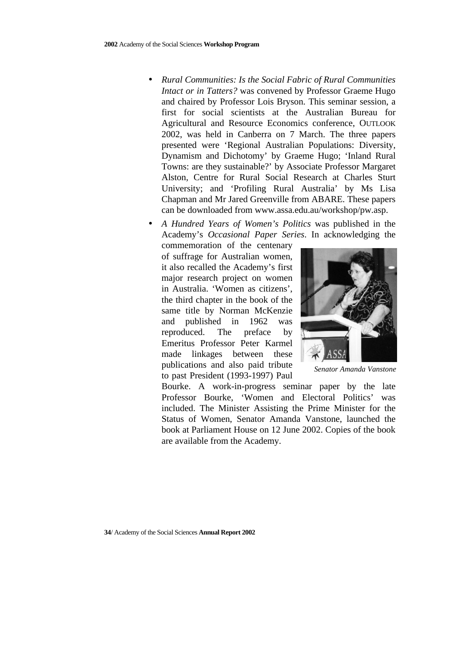- *Rural Communities: Is the Social Fabric of Rural Communities Intact or in Tatters?* was convened by Professor Graeme Hugo and chaired by Professor Lois Bryson. This seminar session, a first for social scientists at the Australian Bureau for Agricultural and Resource Economics conference, OUTLOOK 2002, was held in Canberra on 7 March. The three papers presented were 'Regional Australian Populations: Diversity, Dynamism and Dichotomy' by Graeme Hugo; 'Inland Rural Towns: are they sustainable?' by Associate Professor Margaret Alston, Centre for Rural Social Research at Charles Sturt University; and 'Profiling Rural Australia' by Ms Lisa Chapman and Mr Jared Greenville from ABARE. These papers can be downloaded from www.assa.edu.au/workshop/pw.asp.
- *A Hundred Years of Women's Politics* was published in the Academy's *Occasional Paper Series*. In acknowledging the

commemoration of the centenary of suffrage for Australian women, it also recalled the Academy's first major research project on women in Australia. 'Women as citizens', the third chapter in the book of the same title by Norman McKenzie and published in 1962 was reproduced. The preface by Emeritus Professor Peter Karmel made linkages between these publications and also paid tribute to past President (1993-1997) Paul



*Senator Amanda Vanstone*

Bourke. A work-in-progress seminar paper by the late Professor Bourke, 'Women and Electoral Politics' was included. The Minister Assisting the Prime Minister for the Status of Women, Senator Amanda Vanstone, launched the book at Parliament House on 12 June 2002. Copies of the book are available from the Academy.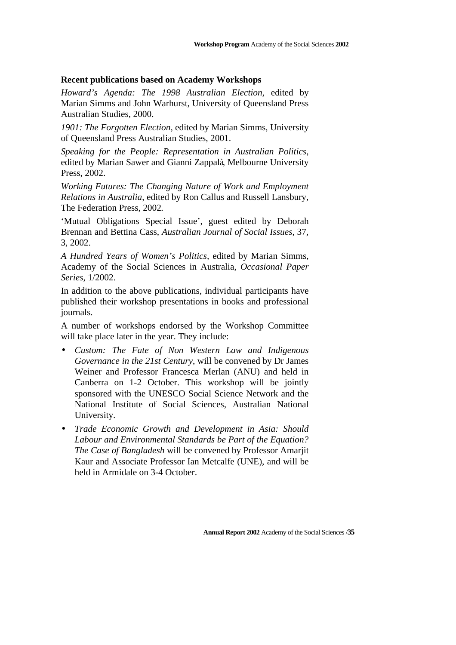### **Recent publications based on Academy Workshops**

*Howard's Agenda: The 1998 Australian Election,* edited by Marian Simms and John Warhurst, University of Queensland Press Australian Studies, 2000.

*1901: The Forgotten Election*, edited by Marian Simms, University of Queensland Press Australian Studies, 2001.

*Speaking for the People: Representation in Australian Politics*, edited by Marian Sawer and Gianni Zappalà, Melbourne University Press, 2002.

*Working Futures: The Changing Nature of Work and Employment Relations in Australia*, edited by Ron Callus and Russell Lansbury, The Federation Press, 2002*.*

'Mutual Obligations Special Issue', guest edited by Deborah Brennan and Bettina Cass, *Australian Journal of Social Issues*, 37, 3, 2002.

*A Hundred Years of Women's Politics,* edited by Marian Simms, Academy of the Social Sciences in Australia, *Occasional Paper Series*, 1/2002.

In addition to the above publications, individual participants have published their workshop presentations in books and professional journals.

A number of workshops endorsed by the Workshop Committee will take place later in the year. They include:

- *Custom: The Fate of Non Western Law and Indigenous Governance in the 21st Century*, will be convened by Dr James Weiner and Professor Francesca Merlan (ANU) and held in Canberra on 1-2 October. This workshop will be jointly sponsored with the UNESCO Social Science Network and the National Institute of Social Sciences, Australian National University.
- *Trade Economic Growth and Development in Asia: Should Labour and Environmental Standards be Part of the Equation? The Case of Bangladesh* will be convened by Professor Amarjit Kaur and Associate Professor Ian Metcalfe (UNE), and will be held in Armidale on 3-4 October.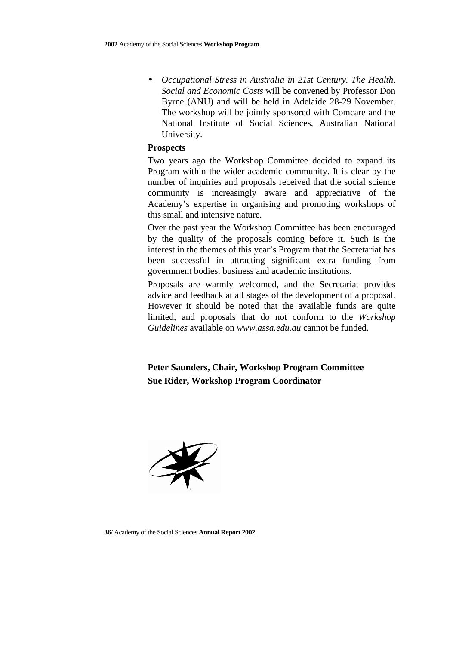• *Occupational Stress in Australia in 21st Century. The Health, Social and Economic Costs* will be convened by Professor Don Byrne (ANU) and will be held in Adelaide 28-29 November. The workshop will be jointly sponsored with Comcare and the National Institute of Social Sciences, Australian National University.

### **Prospects**

Two years ago the Workshop Committee decided to expand its Program within the wider academic community. It is clear by the number of inquiries and proposals received that the social science community is increasingly aware and appreciative of the Academy's expertise in organising and promoting workshops of this small and intensive nature.

Over the past year the Workshop Committee has been encouraged by the quality of the proposals coming before it. Such is the interest in the themes of this year's Program that the Secretariat has been successful in attracting significant extra funding from government bodies, business and academic institutions.

Proposals are warmly welcomed, and the Secretariat provides advice and feedback at all stages of the development of a proposal. However it should be noted that the available funds are quite limited, and proposals that do not conform to the *Workshop Guidelines* available on *www.assa.edu.au* cannot be funded.

**Peter Saunders, Chair, Workshop Program Committee Sue Rider, Workshop Program Coordinator**

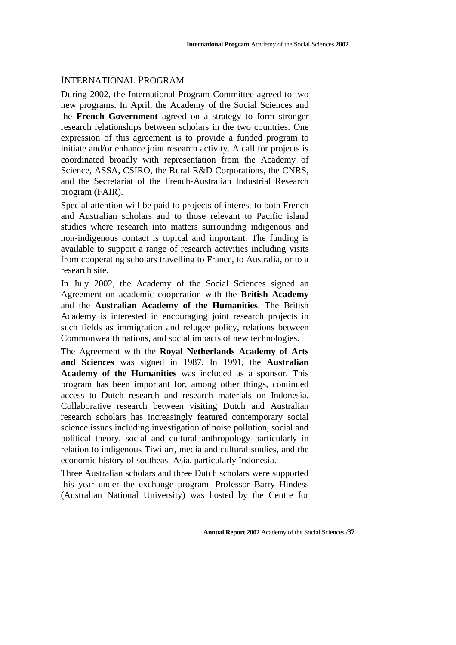# INTERNATIONAL PROGRAM

During 2002, the International Program Committee agreed to two new programs. In April, the Academy of the Social Sciences and the **French Government** agreed on a strategy to form stronger research relationships between scholars in the two countries. One expression of this agreement is to provide a funded program to initiate and/or enhance joint research activity. A call for projects is coordinated broadly with representation from the Academy of Science, ASSA, CSIRO, the Rural R&D Corporations, the CNRS, and the Secretariat of the French-Australian Industrial Research program (FAIR).

Special attention will be paid to projects of interest to both French and Australian scholars and to those relevant to Pacific island studies where research into matters surrounding indigenous and non-indigenous contact is topical and important. The funding is available to support a range of research activities including visits from cooperating scholars travelling to France, to Australia, or to a research site.

In July 2002, the Academy of the Social Sciences signed an Agreement on academic cooperation with the **British Academy** and the **Australian Academy of the Humanities**. The British Academy is interested in encouraging joint research projects in such fields as immigration and refugee policy, relations between Commonwealth nations, and social impacts of new technologies.

The Agreement with the **Royal Netherlands Academy of Arts and Sciences** was signed in 1987. In 1991, the **Australian Academy of the Humanities** was included as a sponsor. This program has been important for, among other things, continued access to Dutch research and research materials on Indonesia. Collaborative research between visiting Dutch and Australian research scholars has increasingly featured contemporary social science issues including investigation of noise pollution, social and political theory, social and cultural anthropology particularly in relation to indigenous Tiwi art, media and cultural studies, and the economic history of southeast Asia, particularly Indonesia.

Three Australian scholars and three Dutch scholars were supported this year under the exchange program. Professor Barry Hindess (Australian National University) was hosted by the Centre for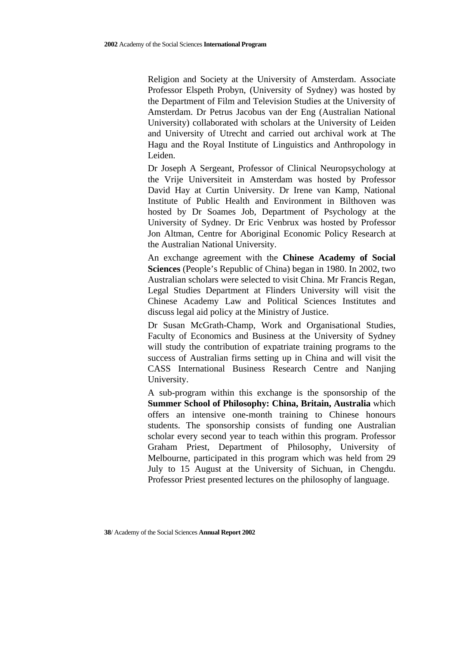Religion and Society at the University of Amsterdam. Associate Professor Elspeth Probyn, (University of Sydney) was hosted by the Department of Film and Television Studies at the University of Amsterdam. Dr Petrus Jacobus van der Eng (Australian National University) collaborated with scholars at the University of Leiden and University of Utrecht and carried out archival work at The Hagu and the Royal Institute of Linguistics and Anthropology in Leiden.

Dr Joseph A Sergeant, Professor of Clinical Neuropsychology at the Vrije Universiteit in Amsterdam was hosted by Professor David Hay at Curtin University. Dr Irene van Kamp, National Institute of Public Health and Environment in Bilthoven was hosted by Dr Soames Job, Department of Psychology at the University of Sydney. Dr Eric Venbrux was hosted by Professor Jon Altman, Centre for Aboriginal Economic Policy Research at the Australian National University.

An exchange agreement with the **Chinese Academy of Social Sciences** (People's Republic of China) began in 1980. In 2002, two Australian scholars were selected to visit China. Mr Francis Regan, Legal Studies Department at Flinders University will visit the Chinese Academy Law and Political Sciences Institutes and discuss legal aid policy at the Ministry of Justice.

Dr Susan McGrath-Champ, Work and Organisational Studies, Faculty of Economics and Business at the University of Sydney will study the contribution of expatriate training programs to the success of Australian firms setting up in China and will visit the CASS International Business Research Centre and Nanjing University.

A sub-program within this exchange is the sponsorship of the **Summer School of Philosophy: China, Britain, Australia** which offers an intensive one-month training to Chinese honours students. The sponsorship consists of funding one Australian scholar every second year to teach within this program. Professor Graham Priest, Department of Philosophy, University of Melbourne, participated in this program which was held from 29 July to 15 August at the University of Sichuan, in Chengdu. Professor Priest presented lectures on the philosophy of language.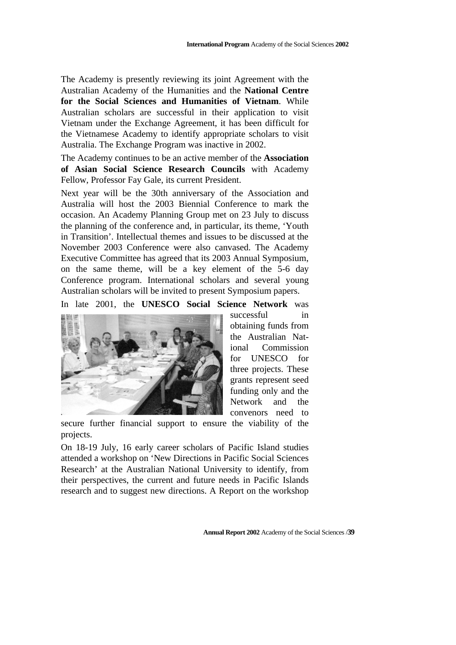The Academy is presently reviewing its joint Agreement with the Australian Academy of the Humanities and the **National Centre for the Social Sciences and Humanities of Vietnam**. While Australian scholars are successful in their application to visit Vietnam under the Exchange Agreement, it has been difficult for the Vietnamese Academy to identify appropriate scholars to visit Australia. The Exchange Program was inactive in 2002.

The Academy continues to be an active member of the **Association of Asian Social Science Research Councils** with Academy Fellow, Professor Fay Gale, its current President.

Next year will be the 30th anniversary of the Association and Australia will host the 2003 Biennial Conference to mark the occasion. An Academy Planning Group met on 23 July to discuss the planning of the conference and, in particular, its theme, 'Youth in Transition'. Intellectual themes and issues to be discussed at the November 2003 Conference were also canvased. The Academy Executive Committee has agreed that its 2003 Annual Symposium, on the same theme, will be a key element of the 5-6 day Conference program. International scholars and several young Australian scholars will be invited to present Symposium papers.

In late 2001, the **UNESCO Social Science Network** was



successful in obtaining funds from the Australian National Commission for UNESCO for three projects. These grants represent seed funding only and the Network and the convenors need to

secure further financial support to ensure the viability of the projects.

On 18-19 July, 16 early career scholars of Pacific Island studies attended a workshop on 'New Directions in Pacific Social Sciences Research' at the Australian National University to identify, from their perspectives, the current and future needs in Pacific Islands research and to suggest new directions. A Report on the workshop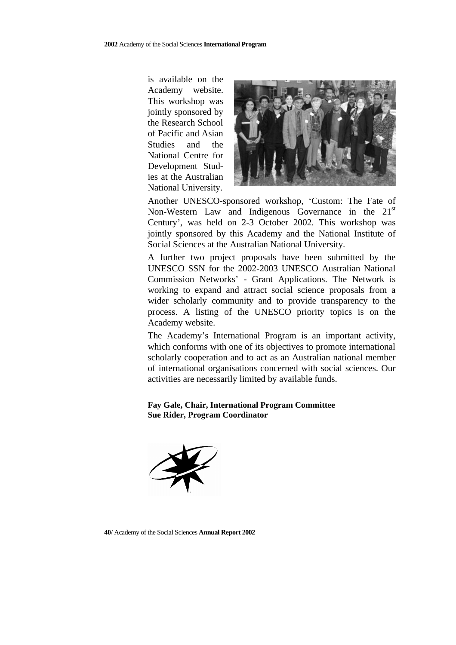is available on the Academy website. This workshop was jointly sponsored by the Research School of Pacific and Asian Studies and the National Centre for Development Studies at the Australian National University.



Another UNESCO-sponsored workshop, 'Custom: The Fate of Non-Western Law and Indigenous Governance in the  $21<sup>st</sup>$ Century', was held on 2-3 October 2002. This workshop was jointly sponsored by this Academy and the National Institute of Social Sciences at the Australian National University.

A further two project proposals have been submitted by the UNESCO SSN for the 2002-2003 UNESCO Australian National Commission Networks' - Grant Applications. The Network is working to expand and attract social science proposals from a wider scholarly community and to provide transparency to the process. A listing of the UNESCO priority topics is on the Academy website.

The Academy's International Program is an important activity, which conforms with one of its objectives to promote international scholarly cooperation and to act as an Australian national member of international organisations concerned with social sciences. Our activities are necessarily limited by available funds.

# **Fay Gale, Chair, International Program Committee Sue Rider, Program Coordinator**



**40**/ Academy of the Social Sciences **Annual Report 2002**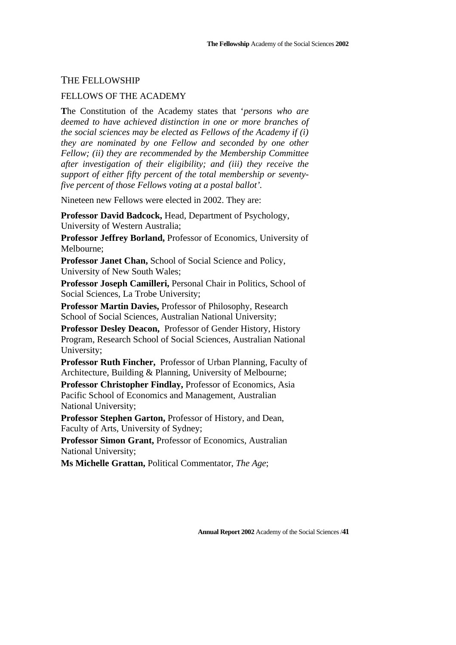# THE FELLOWSHIP

# FELLOWS OF THE ACADEMY

**T**he Constitution of the Academy states that '*persons who are deemed to have achieved distinction in one or more branches of the social sciences may be elected as Fellows of the Academy if (i) they are nominated by one Fellow and seconded by one other Fellow; (ii) they are recommended by the Membership Committee after investigation of their eligibility; and (iii) they receive the support of either fifty percent of the total membership or seventyfive percent of those Fellows voting at a postal ballot'.*

Nineteen new Fellows were elected in 2002. They are:

**Professor David Badcock,** Head, Department of Psychology, University of Western Australia;

**Professor Jeffrey Borland,** Professor of Economics, University of Melbourne;

**Professor Janet Chan,** School of Social Science and Policy, University of New South Wales;

**Professor Joseph Camilleri,** Personal Chair in Politics, School of Social Sciences, La Trobe University;

**Professor Martin Davies,** Professor of Philosophy, Research School of Social Sciences, Australian National University;

**Professor Desley Deacon,** Professor of Gender History, History Program, Research School of Social Sciences, Australian National University;

**Professor Ruth Fincher,** Professor of Urban Planning, Faculty of Architecture, Building & Planning, University of Melbourne;

**Professor Christopher Findlay,** Professor of Economics, Asia Pacific School of Economics and Management, Australian National University;

**Professor Stephen Garton,** Professor of History, and Dean, Faculty of Arts, University of Sydney;

**Professor Simon Grant,** Professor of Economics, Australian National University;

**Ms Michelle Grattan,** Political Commentator, *The Age*;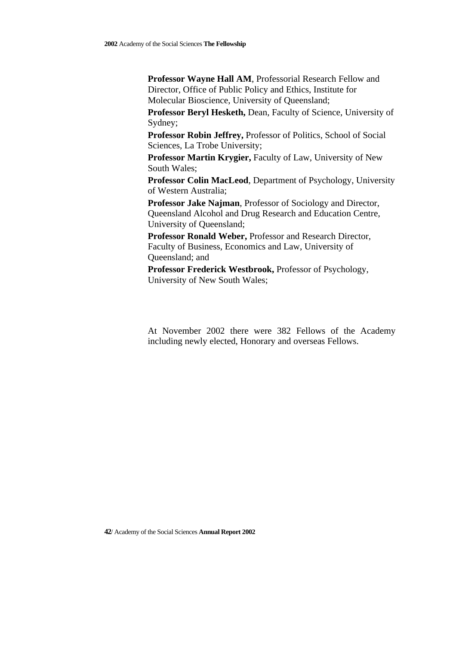**Professor Wayne Hall AM**, Professorial Research Fellow and Director, Office of Public Policy and Ethics, Institute for Molecular Bioscience, University of Queensland;

**Professor Beryl Hesketh,** Dean, Faculty of Science, University of Sydney;

**Professor Robin Jeffrey,** Professor of Politics, School of Social Sciences, La Trobe University;

**Professor Martin Krygier,** Faculty of Law, University of New South Wales;

**Professor Colin MacLeod**, Department of Psychology, University of Western Australia;

**Professor Jake Najman**, Professor of Sociology and Director, Queensland Alcohol and Drug Research and Education Centre, University of Queensland;

**Professor Ronald Weber,** Professor and Research Director, Faculty of Business, Economics and Law, University of Queensland; and

**Professor Frederick Westbrook,** Professor of Psychology, University of New South Wales;

At November 2002 there were 382 Fellows of the Academy including newly elected, Honorary and overseas Fellows.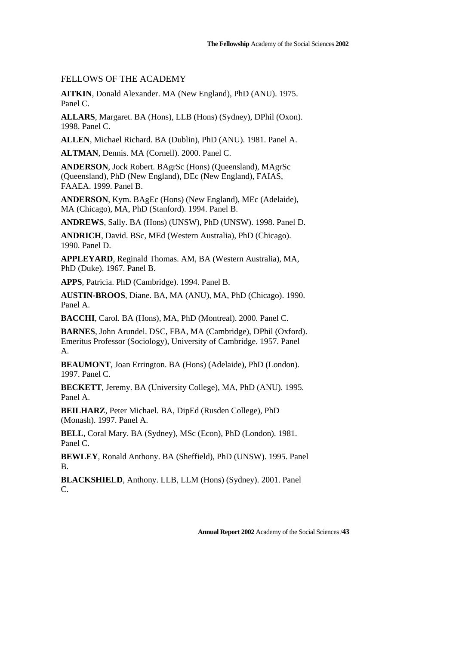## FELLOWS OF THE ACADEMY

**AITKIN**, Donald Alexander. MA (New England), PhD (ANU). 1975. Panel C.

**ALLARS**, Margaret. BA (Hons), LLB (Hons) (Sydney), DPhil (Oxon). 1998. Panel C.

**ALLEN**, Michael Richard. BA (Dublin), PhD (ANU). 1981. Panel A.

**ALTMAN**, Dennis. MA (Cornell). 2000. Panel C.

**ANDERSON**, Jock Robert. BAgrSc (Hons) (Queensland), MAgrSc (Queensland), PhD (New England), DEc (New England), FAIAS, FAAEA. 1999. Panel B.

**ANDERSON**, Kym. BAgEc (Hons) (New England), MEc (Adelaide), MA (Chicago), MA, PhD (Stanford). 1994. Panel B.

**ANDREWS**, Sally. BA (Hons) (UNSW), PhD (UNSW). 1998. Panel D.

**ANDRICH**, David. BSc, MEd (Western Australia), PhD (Chicago). 1990. Panel D.

**APPLEYARD**, Reginald Thomas. AM, BA (Western Australia), MA, PhD (Duke). 1967. Panel B.

**APPS**, Patricia. PhD (Cambridge). 1994. Panel B.

**AUSTIN-BROOS**, Diane. BA, MA (ANU), MA, PhD (Chicago). 1990. Panel A.

**BACCHI**, Carol. BA (Hons), MA, PhD (Montreal). 2000. Panel C.

**BARNES**, John Arundel. DSC, FBA, MA (Cambridge), DPhil (Oxford). Emeritus Professor (Sociology), University of Cambridge. 1957. Panel A.

**BEAUMONT**, Joan Errington. BA (Hons) (Adelaide), PhD (London). 1997. Panel C.

**BECKETT**, Jeremy. BA (University College), MA, PhD (ANU). 1995. Panel A.

**BEILHARZ**, Peter Michael. BA, DipEd (Rusden College), PhD (Monash). 1997. Panel A.

**BELL**, Coral Mary. BA (Sydney), MSc (Econ), PhD (London). 1981. Panel C.

**BEWLEY**, Ronald Anthony. BA (Sheffield), PhD (UNSW). 1995. Panel B.

**BLACKSHIELD**, Anthony. LLB, LLM (Hons) (Sydney). 2001. Panel C.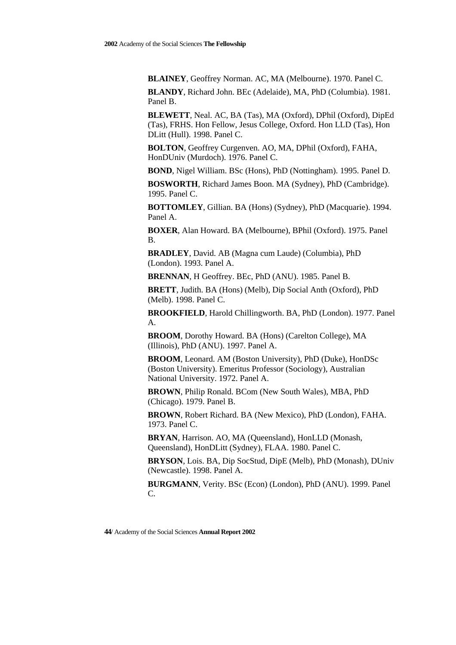**BLAINEY**, Geoffrey Norman. AC, MA (Melbourne). 1970. Panel C.

**BLANDY**, Richard John. BEc (Adelaide), MA, PhD (Columbia). 1981. Panel B.

**BLEWETT**, Neal. AC, BA (Tas), MA (Oxford), DPhil (Oxford), DipEd (Tas), FRHS. Hon Fellow, Jesus College, Oxford. Hon LLD (Tas), Hon DLitt (Hull). 1998. Panel C.

**BOLTON**, Geoffrey Curgenven. AO, MA, DPhil (Oxford), FAHA, HonDUniv (Murdoch). 1976. Panel C.

**BOND**, Nigel William. BSc (Hons), PhD (Nottingham). 1995. Panel D.

**BOSWORTH**, Richard James Boon. MA (Sydney), PhD (Cambridge). 1995. Panel C.

**BOTTOMLEY**, Gillian. BA (Hons) (Sydney), PhD (Macquarie). 1994. Panel A.

**BOXER**, Alan Howard. BA (Melbourne), BPhil (Oxford). 1975. Panel B.

**BRADLEY**, David. AB (Magna cum Laude) (Columbia), PhD (London). 1993. Panel A.

**BRENNAN**, H Geoffrey. BEc, PhD (ANU). 1985. Panel B.

**BRETT**, Judith. BA (Hons) (Melb), Dip Social Anth (Oxford), PhD (Melb). 1998. Panel C.

**BROOKFIELD**, Harold Chillingworth. BA, PhD (London). 1977. Panel A.

**BROOM**, Dorothy Howard. BA (Hons) (Carelton College), MA (Illinois), PhD (ANU). 1997. Panel A.

**BROOM**, Leonard. AM (Boston University), PhD (Duke), HonDSc (Boston University). Emeritus Professor (Sociology), Australian National University. 1972. Panel A.

**BROWN**, Philip Ronald. BCom (New South Wales), MBA, PhD (Chicago). 1979. Panel B.

**BROWN**, Robert Richard. BA (New Mexico), PhD (London), FAHA. 1973. Panel C.

**BRYAN**, Harrison. AO, MA (Queensland), HonLLD (Monash, Queensland), HonDLitt (Sydney), FLAA. 1980. Panel C.

**BRYSON**, Lois. BA, Dip SocStud, DipE (Melb), PhD (Monash), DUniv (Newcastle). 1998. Panel A.

**BURGMANN**, Verity. BSc (Econ) (London), PhD (ANU). 1999. Panel C.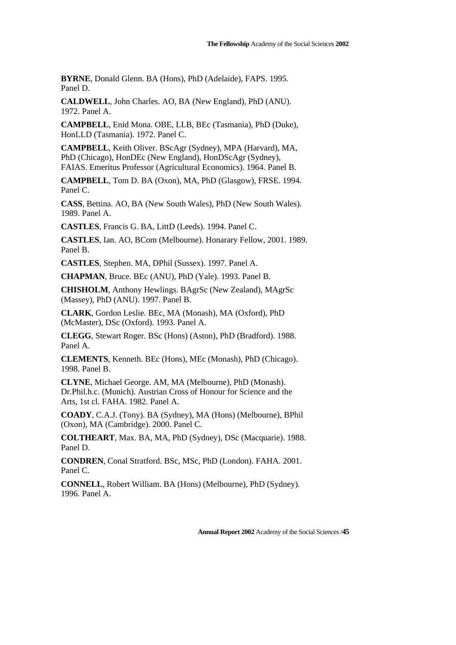**BYRNE**, Donald Glenn. BA (Hons), PhD (Adelaide), FAPS. 1995. Panel D.

**CALDWELL**, John Charles. AO, BA (New England), PhD (ANU). 1972. Panel A.

**CAMPBELL**, Enid Mona. OBE, LLB, BEc (Tasmania), PhD (Duke), HonLLD (Tasmania). 1972. Panel C.

**CAMPBELL**, Keith Oliver. BScAgr (Sydney), MPA (Harvard), MA, PhD (Chicago), HonDEc (New England), HonDScAgr (Sydney), FAIAS. Emeritus Professor (Agricultural Economics). 1964. Panel B.

**CAMPBELL**, Tom D. BA (Oxon), MA, PhD (Glasgow), FRSE. 1994. Panel C.

**CASS**, Bettina. AO, BA (New South Wales), PhD (New South Wales). 1989. Panel A.

**CASTLES**, Francis G. BA, LittD (Leeds). 1994. Panel C.

**CASTLES**, Ian. AO, BCom (Melbourne). Honarary Fellow, 2001. 1989. Panel B.

**CASTLES**, Stephen. MA, DPhil (Sussex). 1997. Panel A.

**CHAPMAN**, Bruce. BEc (ANU), PhD (Yale). 1993. Panel B.

**CHISHOLM**, Anthony Hewlings. BAgrSc (New Zealand), MAgrSc (Massey), PhD (ANU). 1997. Panel B.

**CLARK**, Gordon Leslie. BEc, MA (Monash), MA (Oxford), PhD (McMaster), DSc (Oxford). 1993. Panel A.

**CLEGG**, Stewart Roger. BSc (Hons) (Aston), PhD (Bradford). 1988. Panel A.

**CLEMENTS**, Kenneth. BEc (Hons), MEc (Monash), PhD (Chicago). 1998. Panel B.

**CLYNE**, Michael George. AM, MA (Melbourne), PhD (Monash). Dr.Phil.h.c. (Munich). Austrian Cross of Honour for Science and the Arts, 1st cl. FAHA. 1982. Panel A.

**COADY**, C.A.J. (Tony). BA (Sydney), MA (Hons) (Melbourne), BPhil (Oxon), MA (Cambridge). 2000. Panel C.

**COLTHEART**, Max. BA, MA, PhD (Sydney), DSc (Macquarie). 1988. Panel D.

**CONDREN**, Conal Stratford. BSc, MSc, PhD (London). FAHA. 2001. Panel C.

**CONNELL**, Robert William. BA (Hons) (Melbourne), PhD (Sydney). 1996. Panel A.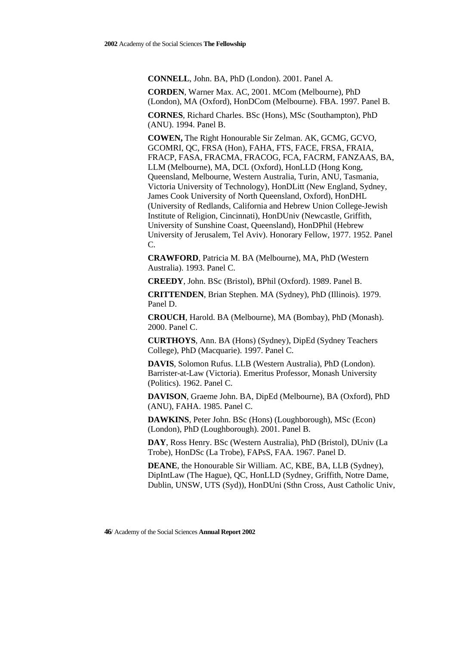**CONNELL**, John. BA, PhD (London). 2001. Panel A.

**CORDEN**, Warner Max. AC, 2001. MCom (Melbourne), PhD (London), MA (Oxford), HonDCom (Melbourne). FBA. 1997. Panel B.

**CORNES**, Richard Charles. BSc (Hons), MSc (Southampton), PhD (ANU). 1994. Panel B.

**COWEN,** The Right Honourable Sir Zelman. AK, GCMG, GCVO, GCOMRI, QC, FRSA (Hon), FAHA, FTS, FACE, FRSA, FRAIA, FRACP, FASA, FRACMA, FRACOG, FCA, FACRM, FANZAAS, BA, LLM (Melbourne), MA, DCL (Oxford), HonLLD (Hong Kong, Queensland, Melbourne, Western Australia, Turin, ANU, Tasmania, Victoria University of Technology), HonDLitt (New England, Sydney, James Cook University of North Queensland, Oxford), HonDHL (University of Redlands, California and Hebrew Union College-Jewish Institute of Religion, Cincinnati), HonDUniv (Newcastle, Griffith, University of Sunshine Coast, Queensland), HonDPhil (Hebrew University of Jerusalem, Tel Aviv). Honorary Fellow, 1977. 1952. Panel C.

**CRAWFORD**, Patricia M. BA (Melbourne), MA, PhD (Western Australia). 1993. Panel C.

**CREEDY**, John. BSc (Bristol), BPhil (Oxford). 1989. Panel B.

**CRITTENDEN**, Brian Stephen. MA (Sydney), PhD (Illinois). 1979. Panel D.

**CROUCH**, Harold. BA (Melbourne), MA (Bombay), PhD (Monash). 2000. Panel C.

**CURTHOYS**, Ann. BA (Hons) (Sydney), DipEd (Sydney Teachers College), PhD (Macquarie). 1997. Panel C.

**DAVIS**, Solomon Rufus. LLB (Western Australia), PhD (London). Barrister-at-Law (Victoria). Emeritus Professor, Monash University (Politics). 1962. Panel C.

**DAVISON**, Graeme John. BA, DipEd (Melbourne), BA (Oxford), PhD (ANU), FAHA. 1985. Panel C.

**DAWKINS**, Peter John. BSc (Hons) (Loughborough), MSc (Econ) (London), PhD (Loughborough). 2001. Panel B.

**DAY**, Ross Henry. BSc (Western Australia), PhD (Bristol), DUniv (La Trobe), HonDSc (La Trobe), FAPsS, FAA. 1967. Panel D.

**DEANE**, the Honourable Sir William. AC, KBE, BA, LLB (Sydney), DipIntLaw (The Hague), QC, HonLLD (Sydney, Griffith, Notre Dame, Dublin, UNSW, UTS (Syd)), HonDUni (Sthn Cross, Aust Catholic Univ,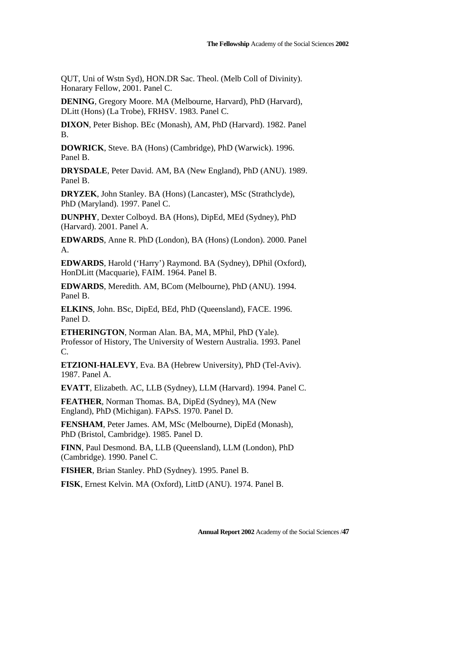QUT, Uni of Wstn Syd), HON.DR Sac. Theol. (Melb Coll of Divinity). Honarary Fellow, 2001. Panel C.

**DENING**, Gregory Moore. MA (Melbourne, Harvard), PhD (Harvard), DLitt (Hons) (La Trobe), FRHSV. 1983. Panel C.

**DIXON**, Peter Bishop. BEc (Monash), AM, PhD (Harvard). 1982. Panel B.

**DOWRICK**, Steve. BA (Hons) (Cambridge), PhD (Warwick). 1996. Panel B.

**DRYSDALE**, Peter David. AM, BA (New England), PhD (ANU). 1989. Panel B.

**DRYZEK**, John Stanley. BA (Hons) (Lancaster), MSc (Strathclyde), PhD (Maryland). 1997. Panel C.

**DUNPHY**, Dexter Colboyd. BA (Hons), DipEd, MEd (Sydney), PhD (Harvard). 2001. Panel A.

**EDWARDS**, Anne R. PhD (London), BA (Hons) (London). 2000. Panel A.

**EDWARDS**, Harold ('Harry') Raymond. BA (Sydney), DPhil (Oxford), HonDLitt (Macquarie), FAIM. 1964. Panel B.

**EDWARDS**, Meredith. AM, BCom (Melbourne), PhD (ANU). 1994. Panel B.

**ELKINS**, John. BSc, DipEd, BEd, PhD (Queensland), FACE. 1996. Panel D.

**ETHERINGTON**, Norman Alan. BA, MA, MPhil, PhD (Yale). Professor of History, The University of Western Australia. 1993. Panel C.

**ETZIONI-HALEVY**, Eva. BA (Hebrew University), PhD (Tel-Aviv). 1987. Panel A.

**EVATT**, Elizabeth. AC, LLB (Sydney), LLM (Harvard). 1994. Panel C.

**FEATHER**, Norman Thomas. BA, DipEd (Sydney), MA (New England), PhD (Michigan). FAPsS. 1970. Panel D.

**FENSHAM**, Peter James. AM, MSc (Melbourne), DipEd (Monash), PhD (Bristol, Cambridge). 1985. Panel D.

**FINN**, Paul Desmond. BA, LLB (Queensland), LLM (London), PhD (Cambridge). 1990. Panel C.

**FISHER**, Brian Stanley. PhD (Sydney). 1995. Panel B.

**FISK**, Ernest Kelvin. MA (Oxford), LittD (ANU). 1974. Panel B.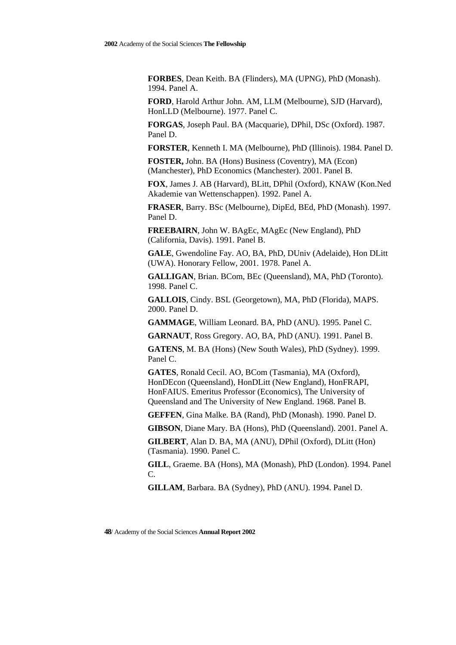**FORBES**, Dean Keith. BA (Flinders), MA (UPNG), PhD (Monash). 1994. Panel A.

**FORD**, Harold Arthur John. AM, LLM (Melbourne), SJD (Harvard), HonLLD (Melbourne). 1977. Panel C.

**FORGAS**, Joseph Paul. BA (Macquarie), DPhil, DSc (Oxford). 1987. Panel D.

**FORSTER**, Kenneth I. MA (Melbourne), PhD (Illinois). 1984. Panel D.

**FOSTER,** John. BA (Hons) Business (Coventry), MA (Econ) (Manchester), PhD Economics (Manchester). 2001. Panel B.

**FOX**, James J. AB (Harvard), BLitt, DPhil (Oxford), KNAW (Kon.Ned Akademie van Wettenschappen). 1992. Panel A.

**FRASER**, Barry. BSc (Melbourne), DipEd, BEd, PhD (Monash). 1997. Panel D.

**FREEBAIRN**, John W. BAgEc, MAgEc (New England), PhD (California, Davis). 1991. Panel B.

**GALE**, Gwendoline Fay. AO, BA, PhD, DUniv (Adelaide), Hon DLitt (UWA). Honorary Fellow, 2001. 1978. Panel A.

**GALLIGAN**, Brian. BCom, BEc (Queensland), MA, PhD (Toronto). 1998. Panel C.

**GALLOIS**, Cindy. BSL (Georgetown), MA, PhD (Florida), MAPS. 2000. Panel D.

**GAMMAGE**, William Leonard. BA, PhD (ANU). 1995. Panel C.

**GARNAUT**, Ross Gregory. AO, BA, PhD (ANU). 1991. Panel B.

**GATENS**, M. BA (Hons) (New South Wales), PhD (Sydney). 1999. Panel C.

**GATES**, Ronald Cecil. AO, BCom (Tasmania), MA (Oxford), HonDEcon (Queensland), HonDLitt (New England), HonFRAPI, HonFAIUS. Emeritus Professor (Economics), The University of Queensland and The University of New England. 1968. Panel B.

**GEFFEN**, Gina Malke. BA (Rand), PhD (Monash). 1990. Panel D.

**GIBSON**, Diane Mary. BA (Hons), PhD (Queensland). 2001. Panel A.

**GILBERT**, Alan D. BA, MA (ANU), DPhil (Oxford), DLitt (Hon) (Tasmania). 1990. Panel C.

**GILL**, Graeme. BA (Hons), MA (Monash), PhD (London). 1994. Panel C.

**GILLAM**, Barbara. BA (Sydney), PhD (ANU). 1994. Panel D.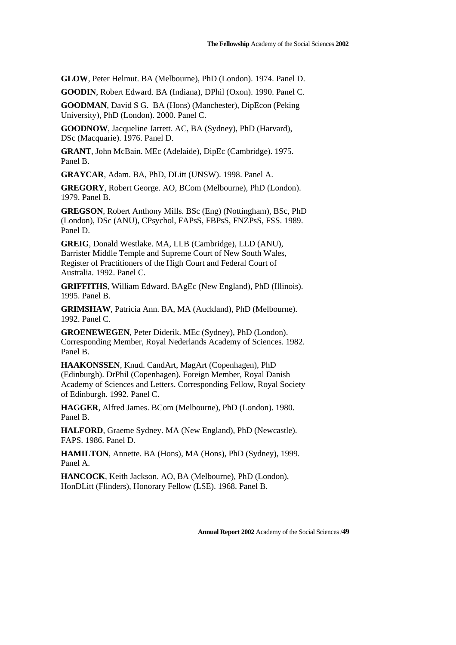**GLOW**, Peter Helmut. BA (Melbourne), PhD (London). 1974. Panel D.

**GOODIN**, Robert Edward. BA (Indiana), DPhil (Oxon). 1990. Panel C.

**GOODMAN**, David S G. BA (Hons) (Manchester), DipEcon (Peking University), PhD (London). 2000. Panel C.

**GOODNOW**, Jacqueline Jarrett. AC, BA (Sydney), PhD (Harvard), DSc (Macquarie). 1976. Panel D.

**GRANT**, John McBain. MEc (Adelaide), DipEc (Cambridge). 1975. Panel B.

**GRAYCAR**, Adam. BA, PhD, DLitt (UNSW). 1998. Panel A.

**GREGORY**, Robert George. AO, BCom (Melbourne), PhD (London). 1979. Panel B.

**GREGSON**, Robert Anthony Mills. BSc (Eng) (Nottingham), BSc, PhD (London), DSc (ANU), CPsychol, FAPsS, FBPsS, FNZPsS, FSS. 1989. Panel D.

**GREIG**, Donald Westlake. MA, LLB (Cambridge), LLD (ANU), Barrister Middle Temple and Supreme Court of New South Wales, Register of Practitioners of the High Court and Federal Court of Australia. 1992. Panel C.

**GRIFFITHS**, William Edward. BAgEc (New England), PhD (Illinois). 1995. Panel B.

**GRIMSHAW**, Patricia Ann. BA, MA (Auckland), PhD (Melbourne). 1992. Panel C.

**GROENEWEGEN**, Peter Diderik. MEc (Sydney), PhD (London). Corresponding Member, Royal Nederlands Academy of Sciences. 1982. Panel B.

**HAAKONSSEN**, Knud. CandArt, MagArt (Copenhagen), PhD (Edinburgh). DrPhil (Copenhagen). Foreign Member, Royal Danish Academy of Sciences and Letters. Corresponding Fellow, Royal Society of Edinburgh. 1992. Panel C.

**HAGGER**, Alfred James. BCom (Melbourne), PhD (London). 1980. Panel B.

**HALFORD**, Graeme Sydney. MA (New England), PhD (Newcastle). FAPS. 1986. Panel D.

**HAMILTON**, Annette. BA (Hons), MA (Hons), PhD (Sydney), 1999. Panel A.

**HANCOCK**, Keith Jackson. AO, BA (Melbourne), PhD (London), HonDLitt (Flinders), Honorary Fellow (LSE). 1968. Panel B.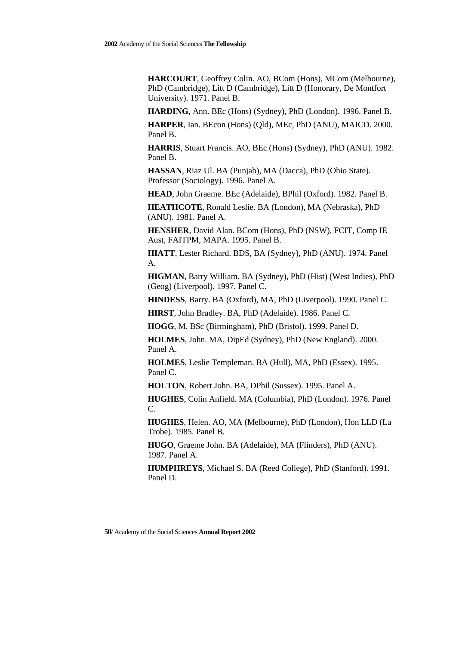**HARCOURT**, Geoffrey Colin. AO, BCom (Hons), MCom (Melbourne), PhD (Cambridge), Litt D (Cambridge), Litt D (Honorary, De Montfort University). 1971. Panel B.

**HARDING**, Ann. BEc (Hons) (Sydney), PhD (London). 1996. Panel B.

**HARPER**, Ian. BEcon (Hons) (Qld), MEc, PhD (ANU), MAICD. 2000. Panel B.

**HARRIS**, Stuart Francis. AO, BEc (Hons) (Sydney), PhD (ANU). 1982. Panel B.

**HASSAN**, Riaz Ul. BA (Punjab), MA (Dacca), PhD (Ohio State). Professor (Sociology). 1996. Panel A.

**HEAD**, John Graeme. BEc (Adelaide), BPhil (Oxford). 1982. Panel B.

**HEATHCOTE**, Ronald Leslie. BA (London), MA (Nebraska), PhD (ANU). 1981. Panel A.

**HENSHER**, David Alan. BCom (Hons), PhD (NSW), FCIT, Comp IE Aust, FAITPM, MAPA. 1995. Panel B.

**HIATT**, Lester Richard. BDS, BA (Sydney), PhD (ANU). 1974. Panel A.

**HIGMAN**, Barry William. BA (Sydney), PhD (Hist) (West Indies), PhD (Geog) (Liverpool). 1997. Panel C.

**HINDESS**, Barry. BA (Oxford), MA, PhD (Liverpool). 1990. Panel C.

**HIRST**, John Bradley. BA, PhD (Adelaide). 1986. Panel C.

**HOGG**, M. BSc (Birmingham), PhD (Bristol). 1999. Panel D.

**HOLMES**, John. MA, DipEd (Sydney), PhD (New England). 2000. Panel A.

**HOLMES**, Leslie Templeman. BA (Hull), MA, PhD (Essex). 1995. Panel C.

**HOLTON**, Robert John. BA, DPhil (Sussex). 1995. Panel A.

**HUGHES**, Colin Anfield. MA (Columbia), PhD (London). 1976. Panel C.

**HUGHES**, Helen. AO, MA (Melbourne), PhD (London), Hon LLD (La Trobe). 1985. Panel B.

**HUGO**, Graeme John. BA (Adelaide), MA (Flinders), PhD (ANU). 1987. Panel A.

**HUMPHREYS**, Michael S. BA (Reed College), PhD (Stanford). 1991. Panel D.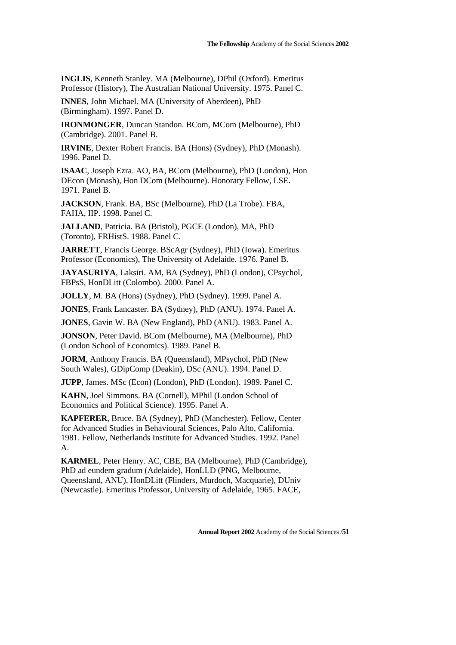**INGLIS**, Kenneth Stanley. MA (Melbourne), DPhil (Oxford). Emeritus Professor (History), The Australian National University. 1975. Panel C.

**INNES**, John Michael. MA (University of Aberdeen), PhD (Birmingham). 1997. Panel D.

**IRONMONGER**, Duncan Standon. BCom, MCom (Melbourne), PhD (Cambridge). 2001. Panel B.

**IRVINE**, Dexter Robert Francis. BA (Hons) (Sydney), PhD (Monash). 1996. Panel D.

**ISAAC**, Joseph Ezra. AO, BA, BCom (Melbourne), PhD (London), Hon DEcon (Monash), Hon DCom (Melbourne). Honorary Fellow, LSE. 1971. Panel B.

**JACKSON**, Frank. BA, BSc (Melbourne), PhD (La Trobe). FBA, FAHA, IIP. 1998. Panel C.

**JALLAND**, Patricia. BA (Bristol), PGCE (London), MA, PhD (Toronto), FRHistS. 1988. Panel C.

**JARRETT**, Francis George. BScAgr (Sydney), PhD (Iowa). Emeritus Professor (Economics), The University of Adelaide. 1976. Panel B.

**JAYASURIYA**, Laksiri. AM, BA (Sydney), PhD (London), CPsychol, FBPsS, HonDLitt (Colombo). 2000. Panel A.

**JOLLY**, M. BA (Hons) (Sydney), PhD (Sydney). 1999. Panel A.

**JONES**, Frank Lancaster. BA (Sydney), PhD (ANU). 1974. Panel A.

**JONES**, Gavin W. BA (New England), PhD (ANU). 1983. Panel A.

**JONSON**, Peter David. BCom (Melbourne), MA (Melbourne), PhD (London School of Economics). 1989. Panel B.

**JORM**, Anthony Francis. BA (Queensland), MPsychol, PhD (New South Wales), GDipComp (Deakin), DSc (ANU). 1994. Panel D.

**JUPP**, James. MSc (Econ) (London), PhD (London). 1989. Panel C.

**KAHN**, Joel Simmons. BA (Cornell), MPhil (London School of Economics and Political Science). 1995. Panel A.

**KAPFERER**, Bruce. BA (Sydney), PhD (Manchester). Fellow, Center for Advanced Studies in Behavioural Sciences, Palo Alto, California. 1981. Fellow, Netherlands Institute for Advanced Studies. 1992. Panel A.

**KARMEL**, Peter Henry. AC, CBE, BA (Melbourne), PhD (Cambridge), PhD ad eundem gradum (Adelaide), HonLLD (PNG, Melbourne, Queensland, ANU), HonDLitt (Flinders, Murdoch, Macquarie), DUniv (Newcastle). Emeritus Professor, University of Adelaide, 1965. FACE,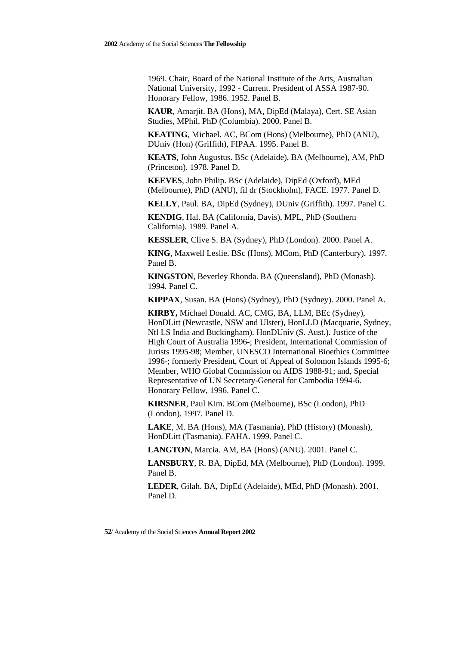1969. Chair, Board of the National Institute of the Arts, Australian National University, 1992 - Current. President of ASSA 1987-90. Honorary Fellow, 1986. 1952. Panel B.

**KAUR**, Amarjit. BA (Hons), MA, DipEd (Malaya), Cert. SE Asian Studies, MPhil, PhD (Columbia). 2000. Panel B.

**KEATING**, Michael. AC, BCom (Hons) (Melbourne), PhD (ANU), DUniv (Hon) (Griffith), FIPAA. 1995. Panel B.

**KEATS**, John Augustus. BSc (Adelaide), BA (Melbourne), AM, PhD (Princeton). 1978. Panel D.

**KEEVES**, John Philip. BSc (Adelaide), DipEd (Oxford), MEd (Melbourne), PhD (ANU), fil dr (Stockholm), FACE. 1977. Panel D.

**KELLY**, Paul. BA, DipEd (Sydney), DUniv (Griffith). 1997. Panel C.

**KENDIG**, Hal. BA (California, Davis), MPL, PhD (Southern California). 1989. Panel A.

**KESSLER**, Clive S. BA (Sydney), PhD (London). 2000. Panel A.

**KING**, Maxwell Leslie. BSc (Hons), MCom, PhD (Canterbury). 1997. Panel B.

**KINGSTON**, Beverley Rhonda. BA (Queensland), PhD (Monash). 1994. Panel C.

**KIPPAX**, Susan. BA (Hons) (Sydney), PhD (Sydney). 2000. Panel A.

**KIRBY,** Michael Donald. AC, CMG, BA, LLM, BEc (Sydney), HonDLitt (Newcastle, NSW and Ulster), HonLLD (Macquarie, Sydney, Ntl LS India and Buckingham). HonDUniv (S. Aust.). Justice of the High Court of Australia 1996-; President, International Commission of Jurists 1995-98; Member, UNESCO International Bioethics Committee 1996-; formerly President, Court of Appeal of Solomon Islands 1995-6; Member, WHO Global Commission on AIDS 1988-91; and, Special Representative of UN Secretary-General for Cambodia 1994-6. Honorary Fellow, 1996. Panel C.

**KIRSNER**, Paul Kim. BCom (Melbourne), BSc (London), PhD (London). 1997. Panel D.

**LAKE**, M. BA (Hons), MA (Tasmania), PhD (History) (Monash), HonDLitt (Tasmania). FAHA. 1999. Panel C.

**LANGTON**, Marcia. AM, BA (Hons) (ANU). 2001. Panel C.

**LANSBURY**, R. BA, DipEd, MA (Melbourne), PhD (London). 1999. Panel B.

**LEDER**, Gilah. BA, DipEd (Adelaide), MEd, PhD (Monash). 2001. Panel D.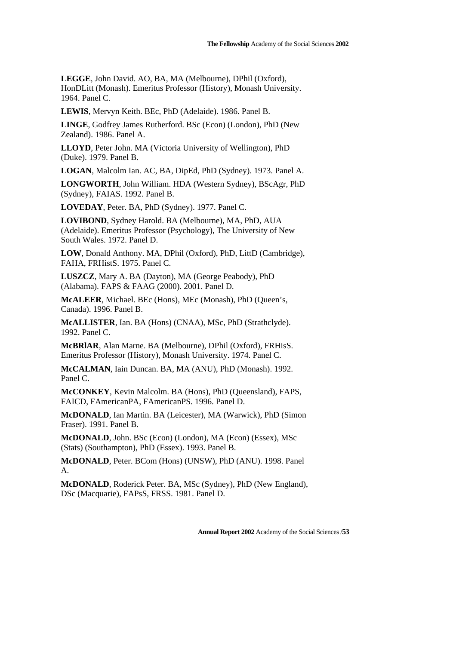**LEGGE**, John David. AO, BA, MA (Melbourne), DPhil (Oxford), HonDLitt (Monash). Emeritus Professor (History), Monash University. 1964. Panel C.

**LEWIS**, Mervyn Keith. BEc, PhD (Adelaide). 1986. Panel B.

**LINGE**, Godfrey James Rutherford. BSc (Econ) (London), PhD (New Zealand). 1986. Panel A.

**LLOYD**, Peter John. MA (Victoria University of Wellington), PhD (Duke). 1979. Panel B.

**LOGAN**, Malcolm Ian. AC, BA, DipEd, PhD (Sydney). 1973. Panel A.

**LONGWORTH**, John William. HDA (Western Sydney), BScAgr, PhD (Sydney), FAIAS. 1992. Panel B.

**LOVEDAY**, Peter. BA, PhD (Sydney). 1977. Panel C.

**LOVIBOND**, Sydney Harold. BA (Melbourne), MA, PhD, AUA (Adelaide). Emeritus Professor (Psychology), The University of New South Wales. 1972. Panel D.

**LOW**, Donald Anthony. MA, DPhil (Oxford), PhD, LittD (Cambridge), FAHA, FRHistS. 1975. Panel C.

**LUSZCZ**, Mary A. BA (Dayton), MA (George Peabody), PhD (Alabama). FAPS & FAAG (2000). 2001. Panel D.

**McALEER**, Michael. BEc (Hons), MEc (Monash), PhD (Queen's, Canada). 1996. Panel B.

**McALLISTER**, Ian. BA (Hons) (CNAA), MSc, PhD (Strathclyde). 1992. Panel C.

**McBRlAR**, Alan Marne. BA (Melbourne), DPhil (Oxford), FRHisS. Emeritus Professor (History), Monash University. 1974. Panel C.

**McCALMAN**, Iain Duncan. BA, MA (ANU), PhD (Monash). 1992. Panel C.

**McCONKEY**, Kevin Malcolm. BA (Hons), PhD (Queensland), FAPS, FAICD, FAmericanPA, FAmericanPS. 1996. Panel D.

**McDONALD**, Ian Martin. BA (Leicester), MA (Warwick), PhD (Simon Fraser). 1991. Panel B.

**McDONALD**, John. BSc (Econ) (London), MA (Econ) (Essex), MSc (Stats) (Southampton), PhD (Essex). 1993. Panel B.

**McDONALD**, Peter. BCom (Hons) (UNSW), PhD (ANU). 1998. Panel A.

**McDONALD**, Roderick Peter. BA, MSc (Sydney), PhD (New England), DSc (Macquarie), FAPsS, FRSS. 1981. Panel D.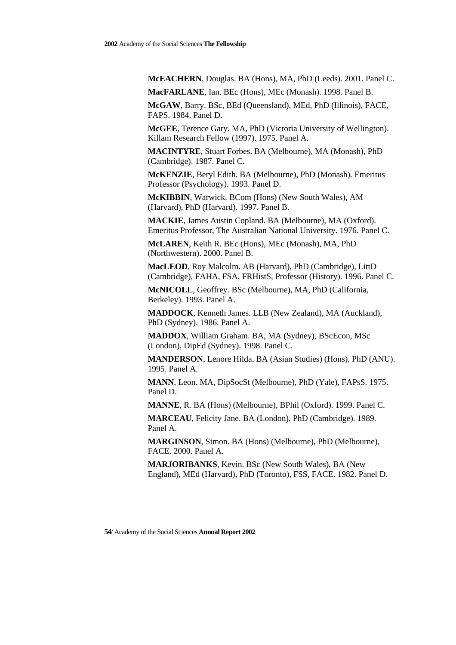**McEACHERN**, Douglas. BA (Hons), MA, PhD (Leeds). 2001. Panel C.

**MacFARLANE**, Ian. BEc (Hons), MEc (Monash). 1998. Panel B.

**McGAW**, Barry. BSc, BEd (Queensland), MEd, PhD (Illinois), FACE, FAPS. 1984. Panel D.

**McGEE**, Terence Gary. MA, PhD (Victoria University of Wellington). Killam Research Fellow (1997). 1975. Panel A.

**MACINTYRE**, Stuart Forbes. BA (Melbourne), MA (Monash), PhD (Cambridge). 1987. Panel C.

**McKENZIE**, Beryl Edith. BA (Melbourne), PhD (Monash). Emeritus Professor (Psychology). 1993. Panel D.

**McKIBBIN**, Warwick. BCom (Hons) (New South Wales), AM (Harvard), PhD (Harvard). 1997. Panel B.

**MACKIE**, James Austin Copland. BA (Melbourne), MA (Oxford). Emeritus Professor, The Australian National University. 1976. Panel C.

**McLAREN**, Keith R. BEc (Hons), MEc (Monash), MA, PhD (Northwestern). 2000. Panel B.

**MacLEOD**, Roy Malcolm. AB (Harvard), PhD (Cambridge), LittD (Cambridge), FAHA, FSA, FRHistS, Professor (History). 1996. Panel C.

**McNICOLL**, Geoffrey. BSc (Melbourne), MA, PhD (California, Berkeley). 1993. Panel A.

**MADDOCK**, Kenneth James. LLB (New Zealand), MA (Auckland), PhD (Sydney). 1986. Panel A.

**MADDOX**, William Graham. BA, MA (Sydney), BScEcon, MSc (London), DipEd (Sydney). 1998. Panel C.

**MANDERSON**, Lenore Hilda. BA (Asian Studies) (Hons), PhD (ANU). 1995. Panel A.

**MANN**, Leon. MA, DipSocSt (Melbourne), PhD (Yale), FAPsS. 1975. Panel D.

**MANNE**, R. BA (Hons) (Melbourne), BPhil (Oxford). 1999. Panel C.

**MARCEAU**, Felicity Jane. BA (London), PhD (Cambridge). 1989. Panel A.

**MARGINSON**, Simon. BA (Hons) (Melbourne), PhD (Melbourne), FACE. 2000. Panel A.

**MARJORIBANKS**, Kevin. BSc (New South Wales), BA (New England), MEd (Harvard), PhD (Toronto), FSS, FACE. 1982. Panel D.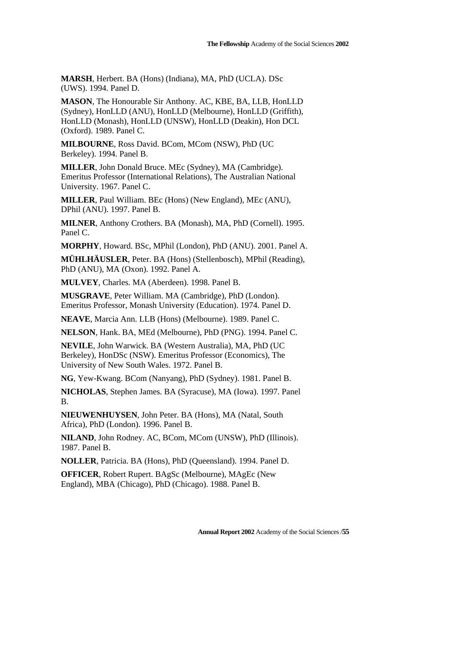**MARSH**, Herbert. BA (Hons) (Indiana), MA, PhD (UCLA). DSc (UWS). 1994. Panel D.

**MASON**, The Honourable Sir Anthony. AC, KBE, BA, LLB, HonLLD (Sydney), HonLLD (ANU), HonLLD (Melbourne), HonLLD (Griffith), HonLLD (Monash), HonLLD (UNSW), HonLLD (Deakin), Hon DCL (Oxford). 1989. Panel C.

**MILBOURNE**, Ross David. BCom, MCom (NSW), PhD (UC Berkeley). 1994. Panel B.

**MILLER**, John Donald Bruce. MEc (Sydney), MA (Cambridge). Emeritus Professor (International Relations), The Australian National University. 1967. Panel C.

**MILLER**, Paul William. BEc (Hons) (New England), MEc (ANU), DPhil (ANU). 1997. Panel B.

**MILNER**, Anthony Crothers. BA (Monash), MA, PhD (Cornell). 1995. Panel C.

**MORPHY**, Howard. BSc, MPhil (London), PhD (ANU). 2001. Panel A.

**MÜHLHÄUSLER**, Peter. BA (Hons) (Stellenbosch), MPhil (Reading), PhD (ANU), MA (Oxon). 1992. Panel A.

**MULVEY**, Charles. MA (Aberdeen). 1998. Panel B.

**MUSGRAVE**, Peter William. MA (Cambridge), PhD (London). Emeritus Professor, Monash University (Education). 1974. Panel D.

**NEAVE**, Marcia Ann. LLB (Hons) (Melbourne). 1989. Panel C.

**NELSON**, Hank. BA, MEd (Melbourne), PhD (PNG). 1994. Panel C.

**NEVILE**, John Warwick. BA (Western Australia), MA, PhD (UC Berkeley), HonDSc (NSW). Emeritus Professor (Economics), The University of New South Wales. 1972. Panel B.

**NG**, Yew-Kwang. BCom (Nanyang), PhD (Sydney). 1981. Panel B.

**NICHOLAS**, Stephen James. BA (Syracuse), MA (Iowa). 1997. Panel B.

**NIEUWENHUYSEN**, John Peter. BA (Hons), MA (Natal, South Africa), PhD (London). 1996. Panel B.

**NILAND**, John Rodney. AC, BCom, MCom (UNSW), PhD (Illinois). 1987. Panel B.

**NOLLER**, Patricia. BA (Hons), PhD (Queensland). 1994. Panel D.

**OFFICER**, Robert Rupert. BAgSc (Melbourne), MAgEc (New England), MBA (Chicago), PhD (Chicago). 1988. Panel B.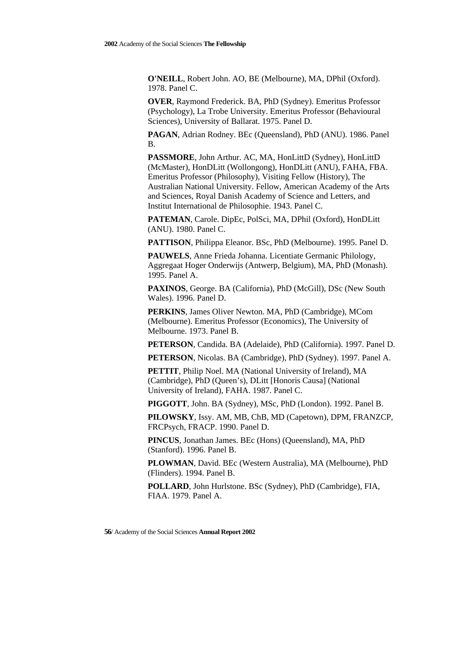**O'NEILL**, Robert John. AO, BE (Melbourne), MA, DPhil (Oxford). 1978. Panel C.

**OVER**, Raymond Frederick. BA, PhD (Sydney). Emeritus Professor (Psychology), La Trobe University. Emeritus Professor (Behavioural Sciences), University of Ballarat. 1975. Panel D.

**PAGAN**, Adrian Rodney. BEc (Queensland), PhD (ANU). 1986. Panel B.

**PASSMORE**, John Arthur. AC, MA, HonLittD (Sydney), HonLittD (McMaster), HonDLitt (Wollongong), HonDLitt (ANU), FAHA, FBA. Emeritus Professor (Philosophy), Visiting Fellow (History), The Australian National University. Fellow, American Academy of the Arts and Sciences, Royal Danish Academy of Science and Letters, and Institut International de Philosophie. 1943. Panel C.

**PATEMAN**, Carole. DipEc, PolSci, MA, DPhil (Oxford), HonDLitt (ANU). 1980. Panel C.

**PATTISON**, Philippa Eleanor. BSc, PhD (Melbourne). 1995. Panel D.

**PAUWELS**, Anne Frieda Johanna. Licentiate Germanic Philology, Aggregaat Hoger Onderwijs (Antwerp, Belgium), MA, PhD (Monash). 1995. Panel A.

**PAXINOS**, George. BA (California), PhD (McGill), DSc (New South Wales). 1996. Panel D.

**PERKINS**, James Oliver Newton. MA, PhD (Cambridge), MCom (Melbourne). Emeritus Professor (Economics), The University of Melbourne. 1973. Panel B.

**PETERSON**, Candida. BA (Adelaide), PhD (California). 1997. Panel D.

**PETERSON**, Nicolas. BA (Cambridge), PhD (Sydney). 1997. Panel A.

**PETTIT**, Philip Noel. MA (National University of Ireland), MA (Cambridge), PhD (Queen's), DLitt [Honoris Causa] (National University of Ireland), FAHA. 1987. Panel C.

**PIGGOTT**, John. BA (Sydney), MSc, PhD (London). 1992. Panel B.

**PILOWSKY**, Issy. AM, MB, ChB, MD (Capetown), DPM, FRANZCP, FRCPsych, FRACP. 1990. Panel D.

**PINCUS**, Jonathan James. BEc (Hons) (Queensland), MA, PhD (Stanford). 1996. Panel B.

**PLOWMAN**, David. BEc (Western Australia), MA (Melbourne), PhD (Flinders). 1994. Panel B.

**POLLARD**, John Hurlstone. BSc (Sydney), PhD (Cambridge), FIA, FIAA. 1979. Panel A.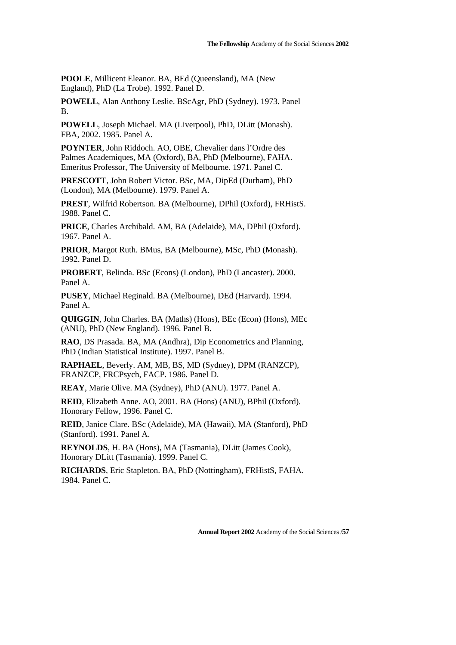**POOLE**, Millicent Eleanor. BA, BEd (Queensland), MA (New England), PhD (La Trobe). 1992. Panel D.

**POWELL**, Alan Anthony Leslie. BScAgr, PhD (Sydney). 1973. Panel B.

**POWELL**, Joseph Michael. MA (Liverpool), PhD, DLitt (Monash). FBA, 2002. 1985. Panel A.

**POYNTER**, John Riddoch. AO, OBE, Chevalier dans l'Ordre des Palmes Academiques, MA (Oxford), BA, PhD (Melbourne), FAHA. Emeritus Professor, The University of Melbourne. 1971. Panel C.

**PRESCOTT**, John Robert Victor. BSc, MA, DipEd (Durham), PhD (London), MA (Melbourne). 1979. Panel A.

**PREST**, Wilfrid Robertson. BA (Melbourne), DPhil (Oxford), FRHistS. 1988. Panel C.

**PRICE**, Charles Archibald. AM, BA (Adelaide), MA, DPhil (Oxford). 1967. Panel A.

**PRIOR**, Margot Ruth. BMus, BA (Melbourne), MSc, PhD (Monash). 1992. Panel D.

**PROBERT**, Belinda. BSc (Econs) (London), PhD (Lancaster). 2000. Panel A.

**PUSEY**, Michael Reginald. BA (Melbourne), DEd (Harvard). 1994. Panel A.

**QUIGGIN**, John Charles. BA (Maths) (Hons), BEc (Econ) (Hons), MEc (ANU), PhD (New England). 1996. Panel B.

**RAO**, DS Prasada. BA, MA (Andhra), Dip Econometrics and Planning, PhD (Indian Statistical Institute). 1997. Panel B.

**RAPHAEL**, Beverly. AM, MB, BS, MD (Sydney), DPM (RANZCP), FRANZCP, FRCPsych, FACP. 1986. Panel D.

**REAY**, Marie Olive. MA (Sydney), PhD (ANU). 1977. Panel A.

**REID**, Elizabeth Anne. AO, 2001. BA (Hons) (ANU), BPhil (Oxford). Honorary Fellow, 1996. Panel C.

**REID**, Janice Clare. BSc (Adelaide), MA (Hawaii), MA (Stanford), PhD (Stanford). 1991. Panel A.

**REYNOLDS**, H. BA (Hons), MA (Tasmania), DLitt (James Cook), Honorary DLitt (Tasmania). 1999. Panel C.

**RICHARDS**, Eric Stapleton. BA, PhD (Nottingham), FRHistS, FAHA. 1984. Panel C.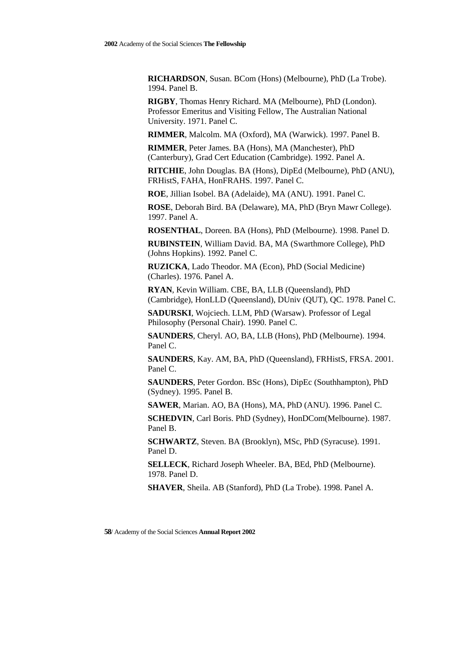**RICHARDSON**, Susan. BCom (Hons) (Melbourne), PhD (La Trobe). 1994. Panel B.

**RIGBY**, Thomas Henry Richard. MA (Melbourne), PhD (London). Professor Emeritus and Visiting Fellow, The Australian National University. 1971. Panel C.

**RIMMER**, Malcolm. MA (Oxford), MA (Warwick). 1997. Panel B.

**RIMMER**, Peter James. BA (Hons), MA (Manchester), PhD (Canterbury), Grad Cert Education (Cambridge). 1992. Panel A.

**RITCHIE**, John Douglas. BA (Hons), DipEd (Melbourne), PhD (ANU), FRHistS, FAHA, HonFRAHS. 1997. Panel C.

**ROE**, Jillian Isobel. BA (Adelaide), MA (ANU). 1991. Panel C.

**ROSE**, Deborah Bird. BA (Delaware), MA, PhD (Bryn Mawr College). 1997. Panel A.

**ROSENTHAL**, Doreen. BA (Hons), PhD (Melbourne). 1998. Panel D.

**RUBINSTEIN**, William David. BA, MA (Swarthmore College), PhD (Johns Hopkins). 1992. Panel C.

**RUZICKA**, Lado Theodor. MA (Econ), PhD (Social Medicine) (Charles). 1976. Panel A.

**RYAN**, Kevin William. CBE, BA, LLB (Queensland), PhD (Cambridge), HonLLD (Queensland), DUniv (QUT), QC. 1978. Panel C.

**SADURSKI**, Wojciech. LLM, PhD (Warsaw). Professor of Legal Philosophy (Personal Chair). 1990. Panel C.

**SAUNDERS**, Cheryl. AO, BA, LLB (Hons), PhD (Melbourne). 1994. Panel C.

**SAUNDERS**, Kay. AM, BA, PhD (Queensland), FRHistS, FRSA. 2001. Panel C.

**SAUNDERS**, Peter Gordon. BSc (Hons), DipEc (Southhampton), PhD (Sydney). 1995. Panel B.

**SAWER**, Marian. AO, BA (Hons), MA, PhD (ANU). 1996. Panel C.

**SCHEDVIN**, Carl Boris. PhD (Sydney), HonDCom(Melbourne). 1987. Panel B.

**SCHWARTZ**, Steven. BA (Brooklyn), MSc, PhD (Syracuse). 1991. Panel D.

**SELLECK**, Richard Joseph Wheeler. BA, BEd, PhD (Melbourne). 1978. Panel D.

**SHAVER**, Sheila. AB (Stanford), PhD (La Trobe). 1998. Panel A.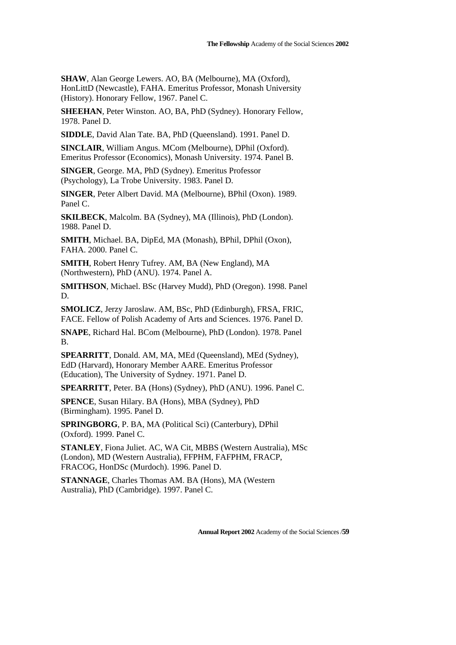**SHAW**, Alan George Lewers. AO, BA (Melbourne), MA (Oxford), HonLittD (Newcastle), FAHA. Emeritus Professor, Monash University (History). Honorary Fellow, 1967. Panel C.

**SHEEHAN**, Peter Winston. AO, BA, PhD (Sydney). Honorary Fellow, 1978. Panel D.

**SIDDLE**, David Alan Tate. BA, PhD (Queensland). 1991. Panel D.

**SINCLAIR**, William Angus. MCom (Melbourne), DPhil (Oxford). Emeritus Professor (Economics), Monash University. 1974. Panel B.

**SINGER**, George. MA, PhD (Sydney). Emeritus Professor (Psychology), La Trobe University. 1983. Panel D.

**SINGER**, Peter Albert David. MA (Melbourne), BPhil (Oxon). 1989. Panel C.

**SKILBECK**, Malcolm. BA (Sydney), MA (Illinois), PhD (London). 1988. Panel D.

**SMITH**, Michael. BA, DipEd, MA (Monash), BPhil, DPhil (Oxon), FAHA. 2000. Panel C.

**SMITH**, Robert Henry Tufrey. AM, BA (New England), MA (Northwestern), PhD (ANU). 1974. Panel A.

**SMITHSON**, Michael. BSc (Harvey Mudd), PhD (Oregon). 1998. Panel D.

**SMOLICZ**, Jerzy Jaroslaw. AM, BSc, PhD (Edinburgh), FRSA, FRIC, FACE. Fellow of Polish Academy of Arts and Sciences. 1976. Panel D.

**SNAPE**, Richard Hal. BCom (Melbourne), PhD (London). 1978. Panel B.

**SPEARRITT**, Donald. AM, MA, MEd (Queensland), MEd (Sydney), EdD (Harvard), Honorary Member AARE. Emeritus Professor (Education), The University of Sydney. 1971. Panel D.

**SPEARRITT**, Peter. BA (Hons) (Sydney), PhD (ANU). 1996. Panel C.

**SPENCE**, Susan Hilary. BA (Hons), MBA (Sydney), PhD (Birmingham). 1995. Panel D.

**SPRINGBORG**, P. BA, MA (Political Sci) (Canterbury), DPhil (Oxford). 1999. Panel C.

**STANLEY**, Fiona Juliet. AC, WA Cit, MBBS (Western Australia), MSc (London), MD (Western Australia), FFPHM, FAFPHM, FRACP, FRACOG, HonDSc (Murdoch). 1996. Panel D.

**STANNAGE**, Charles Thomas AM. BA (Hons), MA (Western Australia), PhD (Cambridge). 1997. Panel C.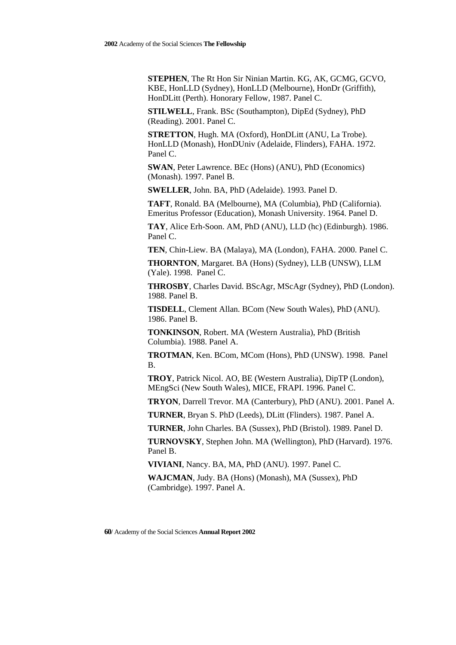**STEPHEN**, The Rt Hon Sir Ninian Martin. KG, AK, GCMG, GCVO, KBE, HonLLD (Sydney), HonLLD (Melbourne), HonDr (Griffith), HonDLitt (Perth). Honorary Fellow, 1987. Panel C.

**STILWELL**, Frank. BSc (Southampton), DipEd (Sydney), PhD (Reading). 2001. Panel C.

**STRETTON**, Hugh. MA (Oxford), HonDLitt (ANU, La Trobe). HonLLD (Monash), HonDUniv (Adelaide, Flinders), FAHA. 1972. Panel C.

**SWAN**, Peter Lawrence. BEc (Hons) (ANU), PhD (Economics) (Monash). 1997. Panel B.

**SWELLER**, John. BA, PhD (Adelaide). 1993. Panel D.

**TAFT**, Ronald. BA (Melbourne), MA (Columbia), PhD (California). Emeritus Professor (Education), Monash University. 1964. Panel D.

**TAY**, Alice Erh-Soon. AM, PhD (ANU), LLD (hc) (Edinburgh). 1986. Panel C.

**TEN**, Chin-Liew. BA (Malaya), MA (London), FAHA. 2000. Panel C.

**THORNTON**, Margaret. BA (Hons) (Sydney), LLB (UNSW), LLM (Yale). 1998. Panel C.

**THROSBY**, Charles David. BScAgr, MScAgr (Sydney), PhD (London). 1988. Panel B.

**TISDELL**, Clement Allan. BCom (New South Wales), PhD (ANU). 1986. Panel B.

**TONKINSON**, Robert. MA (Western Australia), PhD (British Columbia). 1988. Panel A.

**TROTMAN**, Ken. BCom, MCom (Hons), PhD (UNSW). 1998. Panel B.

**TROY**, Patrick Nicol. AO, BE (Western Australia), DipTP (London), MEngSci (New South Wales), MICE, FRAPI. 1996. Panel C.

**TRYON**, Darrell Trevor. MA (Canterbury), PhD (ANU). 2001. Panel A.

**TURNER**, Bryan S. PhD (Leeds), DLitt (Flinders). 1987. Panel A.

**TURNER**, John Charles. BA (Sussex), PhD (Bristol). 1989. Panel D.

**TURNOVSKY**, Stephen John. MA (Wellington), PhD (Harvard). 1976. Panel B.

**VIVIANI**, Nancy. BA, MA, PhD (ANU). 1997. Panel C.

**WAJCMAN**, Judy. BA (Hons) (Monash), MA (Sussex), PhD (Cambridge). 1997. Panel A.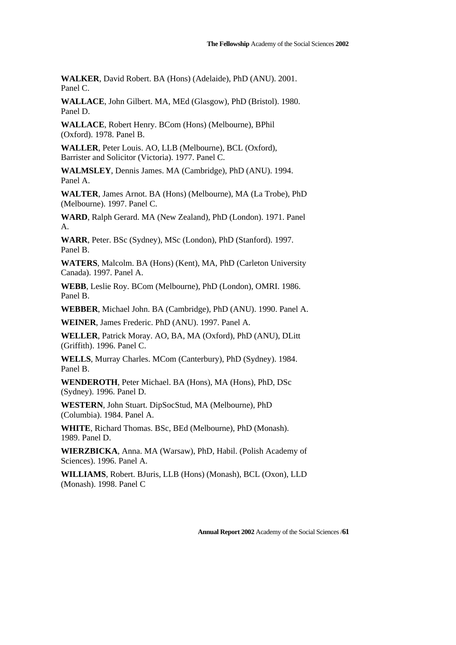**WALKER**, David Robert. BA (Hons) (Adelaide), PhD (ANU). 2001. Panel C.

**WALLACE**, John Gilbert. MA, MEd (Glasgow), PhD (Bristol). 1980. Panel D.

**WALLACE**, Robert Henry. BCom (Hons) (Melbourne), BPhil (Oxford). 1978. Panel B.

**WALLER**, Peter Louis. AO, LLB (Melbourne), BCL (Oxford), Barrister and Solicitor (Victoria). 1977. Panel C.

**WALMSLEY**, Dennis James. MA (Cambridge), PhD (ANU). 1994. Panel A.

**WALTER**, James Arnot. BA (Hons) (Melbourne), MA (La Trobe), PhD (Melbourne). 1997. Panel C.

**WARD**, Ralph Gerard. MA (New Zealand), PhD (London). 1971. Panel A.

**WARR**, Peter. BSc (Sydney), MSc (London), PhD (Stanford). 1997. Panel B.

**WATERS**, Malcolm. BA (Hons) (Kent), MA, PhD (Carleton University Canada). 1997. Panel A.

**WEBB**, Leslie Roy. BCom (Melbourne), PhD (London), OMRI. 1986. Panel B.

**WEBBER**, Michael John. BA (Cambridge), PhD (ANU). 1990. Panel A.

**WEINER**, James Frederic. PhD (ANU). 1997. Panel A.

**WELLER**, Patrick Moray. AO, BA, MA (Oxford), PhD (ANU), DLitt (Griffith). 1996. Panel C.

**WELLS**, Murray Charles. MCom (Canterbury), PhD (Sydney). 1984. Panel B.

**WENDEROTH**, Peter Michael. BA (Hons), MA (Hons), PhD, DSc (Sydney). 1996. Panel D.

**WESTERN**, John Stuart. DipSocStud, MA (Melbourne), PhD (Columbia). 1984. Panel A.

**WHITE**, Richard Thomas. BSc, BEd (Melbourne), PhD (Monash). 1989. Panel D.

**WIERZBICKA**, Anna. MA (Warsaw), PhD, Habil. (Polish Academy of Sciences). 1996. Panel A.

**WILLIAMS**, Robert. BJuris, LLB (Hons) (Monash), BCL (Oxon), LLD (Monash). 1998. Panel C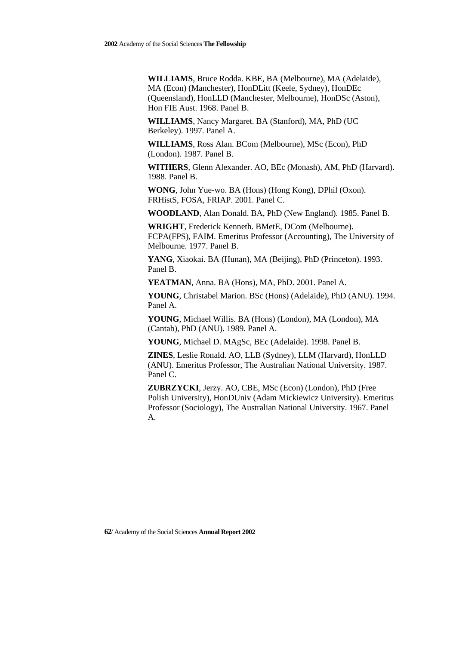**WILLIAMS**, Bruce Rodda. KBE, BA (Melbourne), MA (Adelaide), MA (Econ) (Manchester), HonDLitt (Keele, Sydney), HonDEc (Queensland), HonLLD (Manchester, Melbourne), HonDSc (Aston), Hon FIE Aust. 1968. Panel B.

**WILLIAMS**, Nancy Margaret. BA (Stanford), MA, PhD (UC Berkeley). 1997. Panel A.

**WILLIAMS**, Ross Alan. BCom (Melbourne), MSc (Econ), PhD (London). 1987. Panel B.

**WITHERS**, Glenn Alexander. AO, BEc (Monash), AM, PhD (Harvard). 1988. Panel B.

**WONG**, John Yue-wo. BA (Hons) (Hong Kong), DPhil (Oxon). FRHistS, FOSA, FRIAP. 2001. Panel C.

**WOODLAND**, Alan Donald. BA, PhD (New England). 1985. Panel B.

**WRIGHT**, Frederick Kenneth. BMetE, DCom (Melbourne). FCPA(FPS), FAIM. Emeritus Professor (Accounting), The University of Melbourne. 1977. Panel B.

**YANG**, Xiaokai. BA (Hunan), MA (Beijing), PhD (Princeton). 1993. Panel B.

**YEATMAN**, Anna. BA (Hons), MA, PhD. 2001. Panel A.

**YOUNG**, Christabel Marion. BSc (Hons) (Adelaide), PhD (ANU). 1994. Panel A.

**YOUNG**, Michael Willis. BA (Hons) (London), MA (London), MA (Cantab), PhD (ANU). 1989. Panel A.

**YOUNG**, Michael D. MAgSc, BEc (Adelaide). 1998. Panel B.

**ZINES**, Leslie Ronald. AO, LLB (Sydney), LLM (Harvard), HonLLD (ANU). Emeritus Professor, The Australian National University. 1987. Panel C.

**ZUBRZYCKI**, Jerzy. AO, CBE, MSc (Econ) (London), PhD (Free Polish University), HonDUniv (Adam Mickiewicz University). Emeritus Professor (Sociology), The Australian National University. 1967. Panel A.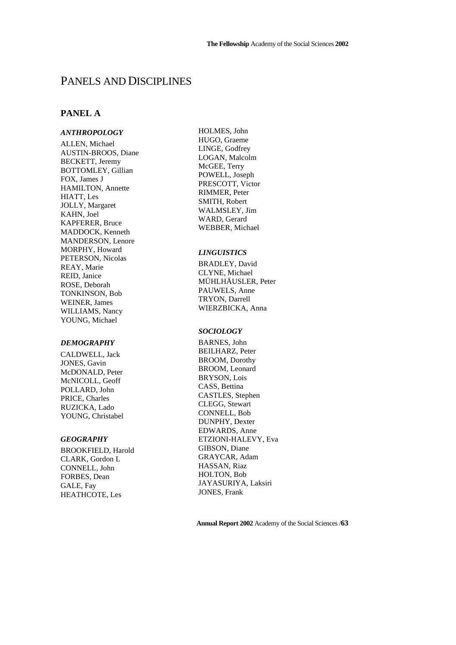# PANELS AND DISCIPLINES

# **PANEL A**

### *ANTHROPOLOGY*

ALLEN, Michael AUSTIN-BROOS, Diane BECKETT, Jeremy BOTTOMLEY, Gillian FOX, James J HAMILTON, Annette HIATT, Les JOLLY, Margaret KAHN, Joel KAPFERER, Bruce MADDOCK, Kenneth MANDERSON, Lenore MORPHY, Howard PETERSON, Nicolas REAY, Marie REID, Janice ROSE, Deborah TONKINSON, Bob WEINER, James WILLIAMS, Nancy YOUNG, Michael

#### *DEMOGRAPHY*

CALDWELL, Jack JONES, Gavin McDONALD, Peter McNICOLL, Geoff POLLARD, John PRICE, Charles RUZICKA, Lado YOUNG, Christabel

### *GEOGRAPHY*

BROOKFIELD, Harold CLARK, Gordon L CONNELL, John FORBES, Dean GALE, Fay HEATHCOTE, Les

HOLMES, John HUGO, Graeme LINGE, Godfrey LOGAN, Malcolm McGEE, Terry POWELL, Joseph PRESCOTT, Victor RIMMER, Peter SMITH, Robert WALMSLEY, Jim WARD, Gerard WEBBER, Michael

## *LINGUISTICS*

BRADLEY, David CLYNE, Michael MÜHLHÄUSLER, Peter PAUWELS, Anne TRYON, Darrell WIERZBICKA, Anna

### *SOCIOLOGY*

BARNES, John BEILHARZ, Peter BROOM, Dorothy BROOM, Leonard BRYSON, Lois CASS, Bettina CASTLES, Stephen CLEGG, Stewart CONNELL, Bob DUNPHY, Dexter EDWARDS, Anne ETZIONI-HALEVY, Eva GIBSON, Diane GRAYCAR, Adam HASSAN, Riaz HOLTON, Bob JAYASURIYA, Laksiri JONES, Frank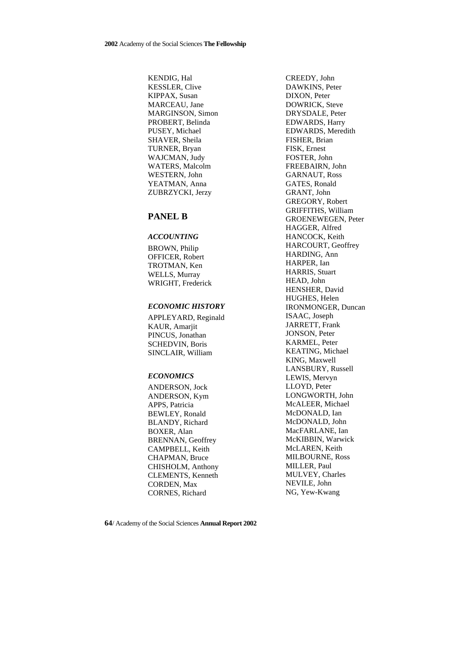KENDIG, Hal KESSLER, Clive KIPPAX, Susan MARCEAU, Jane MARGINSON, Simon PROBERT, Belinda PUSEY, Michael SHAVER, Sheila TURNER, Bryan WAJCMAN, Judy WATERS, Malcolm WESTERN, John YEATMAN, Anna ZUBRZYCKI, Jerzy

# **PANEL B**

## *ACCOUNTING*

BROWN, Philip OFFICER, Robert TROTMAN, Ken WELLS, Murray WRIGHT, Frederick

## *ECONOMIC HISTORY*

APPLEYARD, Reginald KAUR, Amarjit PINCUS, Jonathan SCHEDVIN, Boris SINCLAIR, William

## *ECONOMICS*

ANDERSON, Jock ANDERSON, Kym APPS, Patricia BEWLEY, Ronald BLANDY, Richard BOXER, Alan BRENNAN, Geoffrey CAMPBELL, Keith CHAPMAN, Bruce CHISHOLM, Anthony CLEMENTS, Kenneth CORDEN, Max CORNES, Richard

CREEDY, John DAWKINS, Peter DIXON, Peter DOWRICK, Steve DRYSDALE, Peter EDWARDS, Harry EDWARDS, Meredith FISHER, Brian FISK, Ernest FOSTER, John FREEBAIRN, John GARNAUT, Ross GATES, Ronald GRANT, John GREGORY, Robert GRIFFITHS, William GROENEWEGEN, Peter HAGGER, Alfred HANCOCK, Keith HARCOURT, Geoffrey HARDING, Ann HARPER, Ian HARRIS, Stuart HEAD, John HENSHER, David HUGHES, Helen IRONMONGER, Duncan ISAAC, Joseph JARRETT, Frank JONSON, Peter KARMEL, Peter KEATING, Michael KING, Maxwell LANSBURY, Russell LEWIS, Mervyn LLOYD, Peter LONGWORTH, John McALEER, Michael McDONALD, Ian McDONALD, John MacFARLANE, Ian McKIBBIN, Warwick McLAREN, Keith MILBOURNE, Ross MILLER, Paul MULVEY, Charles NEVILE, John NG, Yew-Kwang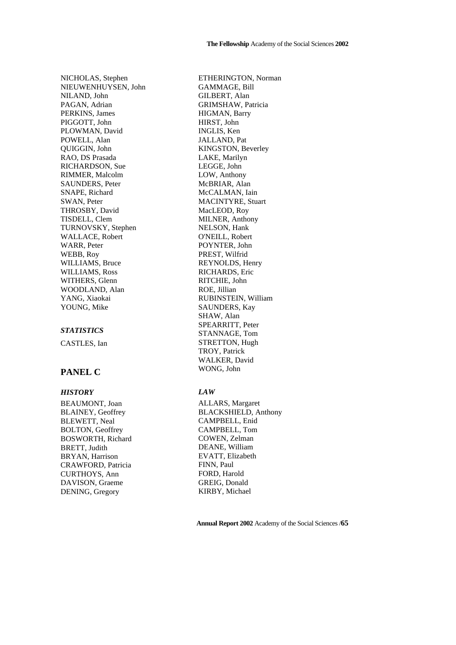NICHOLAS, Stephen NIEUWENHUYSEN, John NILAND, John PAGAN, Adrian PERKINS, James PIGGOTT, John PLOWMAN, David POWELL, Alan QUIGGIN, John RAO, DS Prasada RICHARDSON, Sue RIMMER, Malcolm SAUNDERS, Peter SNAPE, Richard SWAN, Peter THROSBY, David TISDELL, Clem TURNOVSKY, Stephen WALLACE, Robert WARR, Peter WEBB, Roy WILLIAMS, Bruce WILLIAMS, Ross WITHERS, Glenn WOODLAND, Alan YANG, Xiaokai YOUNG, Mike

#### *STATISTICS*

CASTLES, Ian

## **PANEL C**

## *HISTORY*

BEAUMONT, Joan BLAINEY, Geoffrey BLEWETT, Neal BOLTON, Geoffrey BOSWORTH, Richard BRETT, Judith BRYAN, Harrison CRAWFORD, Patricia CURTHOYS, Ann DAVISON, Graeme DENING, Gregory

ETHERINGTON, Norman GAMMAGE, Bill GILBERT, Alan GRIMSHAW, Patricia HIGMAN, Barry HIRST, John INGLIS, Ken JALLAND, Pat KINGSTON, Beverley LAKE, Marilyn LEGGE, John LOW, Anthony McBRIAR, Alan McCALMAN, Iain MACINTYRE, Stuart MacLEOD, Roy MILNER, Anthony NELSON, Hank O'NEILL, Robert POYNTER, John PREST, Wilfrid REYNOLDS, Henry RICHARDS, Eric RITCHIE, John ROE, Jillian RUBINSTEIN, William SAUNDERS, Kay SHAW, Alan SPEARRITT, Peter STANNAGE, Tom STRETTON, Hugh TROY, Patrick WALKER, David WONG, John

#### *LAW*

ALLARS, Margaret BLACKSHIELD, Anthony CAMPBELL, Enid CAMPBELL, Tom COWEN, Zelman DEANE, William EVATT, Elizabeth FINN, Paul FORD, Harold GREIG, Donald KIRBY, Michael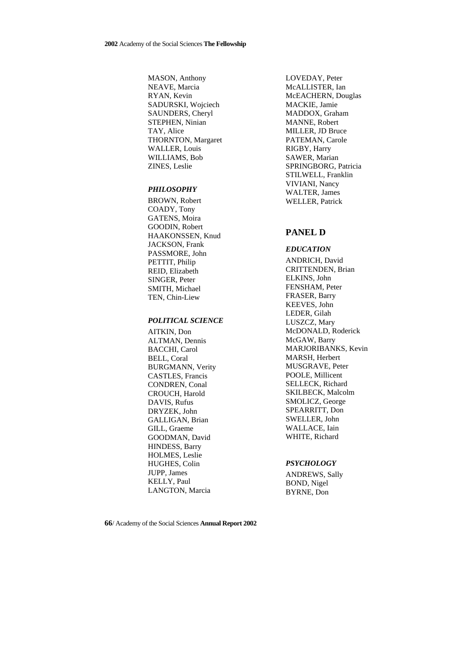MASON, Anthony NEAVE, Marcia RYAN, Kevin SADURSKI, Wojciech SAUNDERS, Cheryl STEPHEN, Ninian TAY, Alice THORNTON, Margaret WALLER, Louis WILLIAMS, Bob ZINES, Leslie

#### *PHILOSOPHY*

BROWN, Robert COADY, Tony GATENS, Moira GOODIN, Robert HAAKONSSEN, Knud JACKSON, Frank PASSMORE, John PETTIT, Philip REID, Elizabeth SINGER, Peter SMITH, Michael TEN, Chin-Liew

## *POLITICAL SCIENCE*

AITKIN, Don ALTMAN, Dennis BACCHI, Carol BELL, Coral BURGMANN, Verity CASTLES, Francis CONDREN, Conal CROUCH, Harold DAVIS, Rufus DRYZEK, John GALLIGAN, Brian GILL, Graeme GOODMAN, David HINDESS, Barry HOLMES, Leslie HUGHES, Colin JUPP, James KELLY, Paul LANGTON, Marcia

LOVEDAY, Peter McALLISTER, Ian McEACHERN, Douglas MACKIE, Jamie MADDOX, Graham MANNE, Robert MILLER, JD Bruce PATEMAN, Carole RIGBY, Harry SAWER, Marian SPRINGBORG, Patricia STILWELL, Franklin VIVIANI, Nancy WALTER, James WELLER, Patrick

## **PANEL D**

#### *EDUCATION*

ANDRICH, David CRITTENDEN, Brian ELKINS, John FENSHAM, Peter FRASER, Barry KEEVES, John LEDER, Gilah LUSZCZ, Mary McDONALD, Roderick McGAW, Barry MARJORIBANKS, Kevin MARSH, Herbert MUSGRAVE, Peter POOLE, Millicent SELLECK, Richard SKILBECK, Malcolm SMOLICZ, George SPEARRITT, Don SWELLER, John WALLACE, Iain WHITE, Richard

## *PSYCHOLOGY*

ANDREWS, Sally BOND, Nigel BYRNE, Don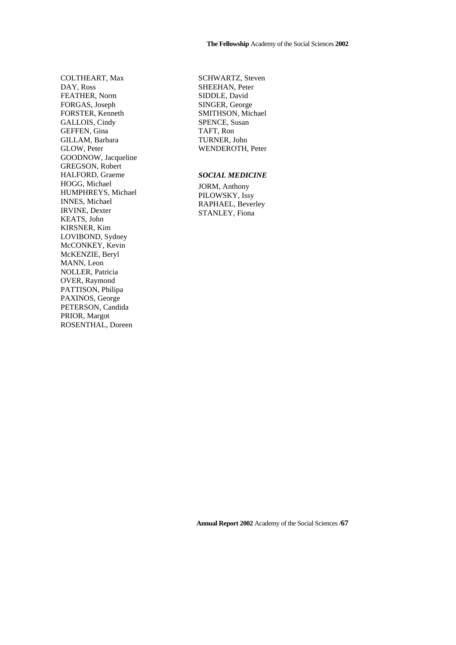COLTHEART, Max DAY, Ross FEATHER, Norm FORGAS, Joseph FORSTER, Kenneth GALLOIS, Cindy GEFFEN, Gina GILLAM, Barbara GLOW, Peter GOODNOW, Jacqueline GREGSON, Robert HALFORD, Graeme HOGG, Michael HUMPHREYS, Michael INNES, Michael IRVINE, Dexter KEATS, John KIRSNER, Kim LOVIBOND, Sydney McCONKEY, Kevin McKENZIE, Beryl MANN, Leon NOLLER, Patricia OVER, Raymond PATTISON, Philipa PAXINOS, George PETERSON, Candida PRIOR, Margot ROSENTHAL, Doreen

SCHWARTZ, Steven SHEEHAN, Peter SIDDLE, David SINGER, George SMITHSON, Michael SPENCE, Susan TAFT, Ron TURNER, John WENDEROTH, Peter

#### *SOCIAL MEDICINE*

JORM, Anthony PILOWSKY, Issy RAPHAEL, Beverley STANLEY, Fiona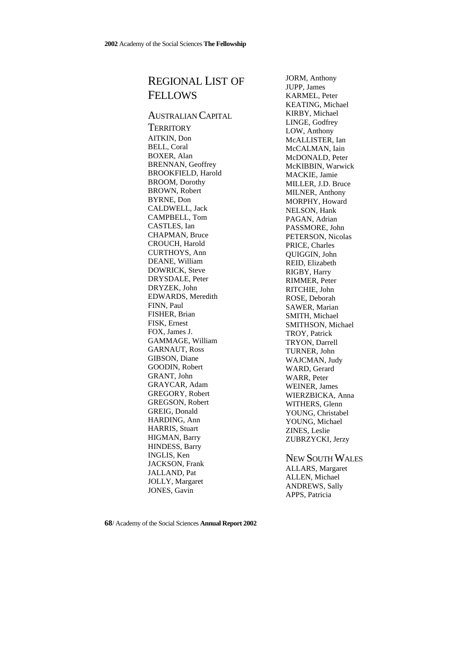# REGIONAL LIST OF FELLOWS

AUSTRALIAN CAPITAL **TERRITORY** AITKIN, Don BELL, Coral BOXER, Alan BRENNAN, Geoffrey BROOKFIELD, Harold BROOM, Dorothy BROWN, Robert BYRNE, Don CALDWELL, Jack CAMPBELL, Tom CASTLES, Ian CHAPMAN, Bruce CROUCH, Harold CURTHOYS, Ann DEANE, William DOWRICK, Steve DRYSDALE, Peter DRYZEK, John EDWARDS, Meredith FINN, Paul FISHER, Brian FISK, Ernest FOX, James J. GAMMAGE, William GARNAUT, Ross GIBSON, Diane GOODIN, Robert GRANT, John GRAYCAR, Adam GREGORY, Robert GREGSON, Robert GREIG, Donald HARDING, Ann HARRIS, Stuart HIGMAN, Barry HINDESS, Barry INGLIS, Ken JACKSON, Frank JALLAND, Pat JOLLY, Margaret JONES, Gavin

JORM, Anthony JUPP, James KARMEL, Peter KEATING, Michael KIRBY, Michael LINGE, Godfrey LOW, Anthony McALLISTER, Ian McCALMAN, Iain McDONALD, Peter McKIBBIN, Warwick MACKIE, Jamie MILLER, J.D. Bruce MILNER, Anthony MORPHY, Howard NELSON, Hank PAGAN, Adrian PASSMORE, John PETERSON, Nicolas PRICE, Charles QUIGGIN, John REID, Elizabeth RIGBY, Harry RIMMER, Peter RITCHIE, John ROSE, Deborah SAWER, Marian SMITH, Michael SMITHSON, Michael TROY, Patrick TRYON, Darrell TURNER, John WAJCMAN, Judy WARD, Gerard WARR, Peter WEINER, James WIERZBICKA, Anna WITHERS, Glenn YOUNG, Christabel YOUNG, Michael ZINES, Leslie ZUBRZYCKI, Jerzy

#### NEW SOUTH WALES

ALLARS, Margaret ALLEN, Michael ANDREWS, Sally APPS, Patricia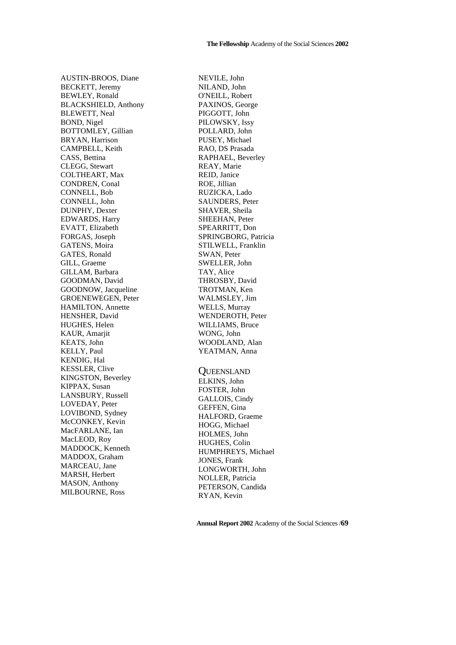AUSTIN-BROOS, Diane BECKETT, Jeremy BEWLEY, Ronald BLACKSHIELD, Anthony BLEWETT, Neal BOND, Nigel BOTTOMLEY, Gillian BRYAN, Harrison CAMPBELL, Keith CASS, Bettina CLEGG, Stewart COLTHEART, Max CONDREN, Conal CONNELL, Bob CONNELL, John DUNPHY, Dexter EDWARDS, Harry EVATT, Elizabeth FORGAS, Joseph GATENS, Moira GATES, Ronald GILL, Graeme GILLAM, Barbara GOODMAN, David GOODNOW, Jacqueline GROENEWEGEN, Peter HAMILTON, Annette HENSHER, David HUGHES, Helen KAUR, Amarjit KEATS, John KELLY, Paul KENDIG, Hal KESSLER, Clive KINGSTON, Beverley KIPPAX, Susan LANSBURY, Russell LOVEDAY, Peter LOVIBOND, Sydney McCONKEY, Kevin MacFARLANE, Ian MacLEOD, Roy MADDOCK, Kenneth MADDOX, Graham MARCEAU, Jane MARSH, Herbert MASON, Anthony MILBOURNE, Ross

NEVILE, John NILAND, John O'NEILL, Robert PAXINOS, George PIGGOTT, John PILOWSKY, Issy POLLARD, John PUSEY, Michael RAO, DS Prasada RAPHAEL, Beverley REAY, Marie REID, Janice ROE, Jillian RUZICKA, Lado SAUNDERS, Peter SHAVER, Sheila SHEEHAN, Peter SPEARRITT, Don SPRINGBORG, Patricia STILWELL, Franklin SWAN, Peter SWELLER, John TAY, Alice THROSBY, David TROTMAN, Ken WALMSLEY, Jim WELLS, Murray WENDEROTH, Peter WILLIAMS, Bruce WONG, John WOODLAND, Alan YEATMAN, Anna **QUEENSLAND** ELKINS, John FOSTER, John GALLOIS, Cindy GEFFEN, Gina HALFORD, Graeme HOGG, Michael HOLMES, John HUGHES, Colin HUMPHREYS, Michael JONES, Frank LONGWORTH, John NOLLER, Patricia PETERSON, Candida RYAN, Kevin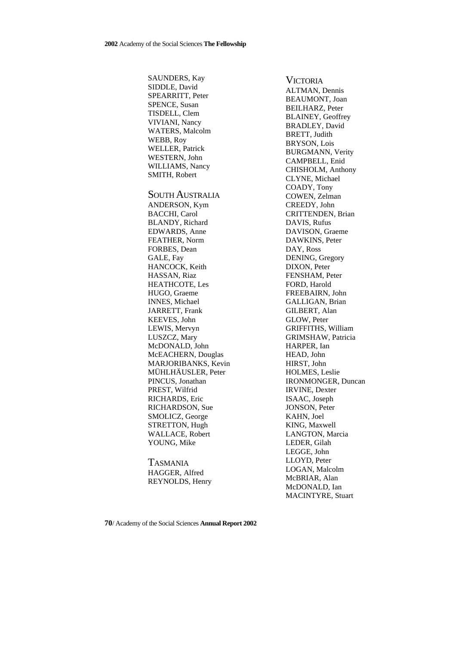SAUNDERS, Kay SIDDLE, David SPEARRITT, Peter SPENCE, Susan TISDELL, Clem VIVIANI, Nancy WATERS, Malcolm WEBB, Roy WELLER, Patrick WESTERN, John WILLIAMS, Nancy SMITH, Robert SOUTH AUSTRALIA ANDERSON, Kym BACCHI, Carol BLANDY, Richard EDWARDS, Anne FEATHER, Norm FORBES, Dean GALE, Fay HANCOCK, Keith HASSAN, Riaz HEATHCOTE, Les HUGO, Graeme INNES, Michael JARRETT, Frank KEEVES, John LEWIS, Mervyn LUSZCZ, Mary McDONALD, John McEACHERN, Douglas MARJORIBANKS, Kevin MÜHLHÄUSLER, Peter PINCUS, Jonathan PREST, Wilfrid RICHARDS, Eric RICHARDSON, Sue SMOLICZ, George STRETTON, Hugh WALLACE, Robert YOUNG, Mike

TASMANIA HAGGER, Alfred REYNOLDS, Henry

### **VICTORIA**

ALTMAN, Dennis BEAUMONT, Joan BEILHARZ, Peter BLAINEY, Geoffrey BRADLEY, David BRETT, Judith BRYSON, Lois BURGMANN, Verity CAMPBELL, Enid CHISHOLM, Anthony CLYNE, Michael COADY, Tony COWEN, Zelman CREEDY, John CRITTENDEN, Brian DAVIS, Rufus DAVISON, Graeme DAWKINS, Peter DAY, Ross DENING, Gregory DIXON, Peter FENSHAM, Peter FORD, Harold FREEBAIRN, John GALLIGAN, Brian GILBERT, Alan GLOW, Peter GRIFFITHS, William GRIMSHAW, Patricia HARPER, Ian HEAD, John HIRST, John HOLMES, Leslie IRONMONGER, Duncan IRVINE, Dexter ISAAC, Joseph JONSON, Peter KAHN, Joel KING, Maxwell LANGTON, Marcia LEDER, Gilah LEGGE, John LLOYD, Peter LOGAN, Malcolm McBRIAR, Alan McDONALD, Ian MACINTYRE, Stuart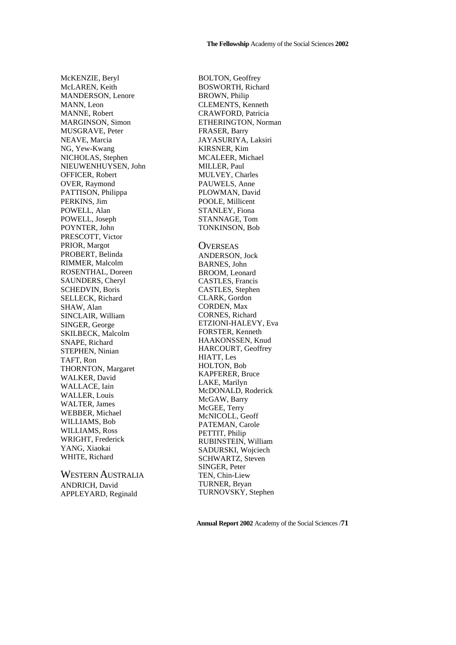McKENZIE, Beryl McLAREN, Keith MANDERSON, Lenore MANN, Leon MANNE, Robert MARGINSON, Simon MUSGRAVE, Peter NEAVE, Marcia NG, Yew-Kwang NICHOLAS, Stephen NIEUWENHUYSEN, John OFFICER, Robert OVER, Raymond PATTISON, Philippa PERKINS, Jim POWELL, Alan POWELL, Joseph POYNTER, John PRESCOTT, Victor PRIOR, Margot PROBERT, Belinda RIMMER, Malcolm ROSENTHAL, Doreen SAUNDERS, Cheryl SCHEDVIN, Boris SELLECK, Richard SHAW, Alan SINCLAIR, William SINGER, George SKILBECK, Malcolm SNAPE, Richard STEPHEN, Ninian TAFT, Ron THORNTON, Margaret WALKER, David WALLACE, Iain WALLER, Louis WALTER, James WEBBER, Michael WILLIAMS, Bob WILLIAMS, Ross WRIGHT, Frederick YANG, Xiaokai WHITE, Richard

WESTERN AUSTRALIA ANDRICH, David APPLEYARD, Reginald

BOLTON, Geoffrey BOSWORTH, Richard BROWN, Philip CLEMENTS, Kenneth CRAWFORD, Patricia ETHERINGTON, Norman FRASER, Barry JAYASURIYA, Laksiri KIRSNER, Kim MCALEER, Michael MILLER, Paul MULVEY, Charles PAUWELS, Anne PLOWMAN, David POOLE, Millicent STANLEY, Fiona STANNAGE, Tom TONKINSON, Bob **OVERSEAS** ANDERSON, Jock BARNES, John BROOM, Leonard CASTLES, Francis CASTLES, Stephen CLARK, Gordon CORDEN, Max CORNES, Richard ETZIONI-HALEVY, Eva FORSTER, Kenneth HAAKONSSEN, Knud HARCOURT, Geoffrey HIATT, Les HOLTON, Bob KAPFERER, Bruce LAKE, Marilyn McDONALD, Roderick McGAW, Barry McGEE, Terry McNICOLL, Geoff PATEMAN, Carole PETTIT, Philip RUBINSTEIN, William SADURSKI, Wojciech SCHWARTZ, Steven SINGER, Peter TEN, Chin-Liew TURNER, Bryan TURNOVSKY, Stephen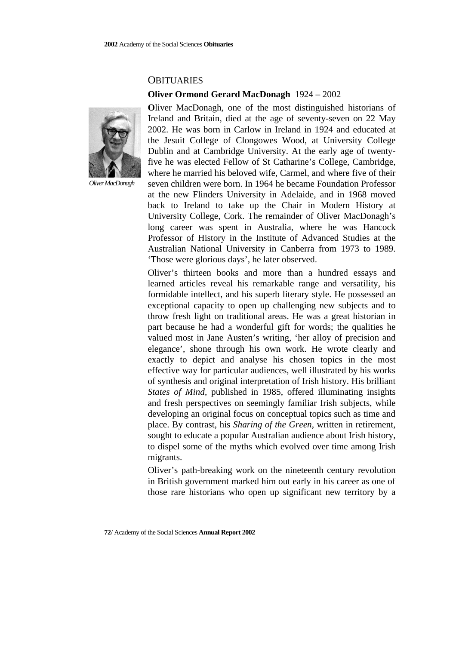## **OBITUARIES**

## **Oliver Ormond Gerard MacDonagh** 1924 – 2002



*Oliver MacDonagh*

**O**liver MacDonagh, one of the most distinguished historians of Ireland and Britain, died at the age of seventy-seven on 22 May 2002. He was born in Carlow in Ireland in 1924 and educated at the Jesuit College of Clongowes Wood, at University College Dublin and at Cambridge University. At the early age of twentyfive he was elected Fellow of St Catharine's College, Cambridge, where he married his beloved wife, Carmel, and where five of their seven children were born. In 1964 he became Foundation Professor at the new Flinders University in Adelaide, and in 1968 moved back to Ireland to take up the Chair in Modern History at University College, Cork. The remainder of Oliver MacDonagh's long career was spent in Australia, where he was Hancock Professor of History in the Institute of Advanced Studies at the Australian National University in Canberra from 1973 to 1989. 'Those were glorious days', he later observed.

Oliver's thirteen books and more than a hundred essays and learned articles reveal his remarkable range and versatility, his formidable intellect, and his superb literary style. He possessed an exceptional capacity to open up challenging new subjects and to throw fresh light on traditional areas. He was a great historian in part because he had a wonderful gift for words; the qualities he valued most in Jane Austen's writing, 'her alloy of precision and elegance', shone through his own work. He wrote clearly and exactly to depict and analyse his chosen topics in the most effective way for particular audiences, well illustrated by his works of synthesis and original interpretation of Irish history. His brilliant *States of Mind*, published in 1985, offered illuminating insights and fresh perspectives on seemingly familiar Irish subjects, while developing an original focus on conceptual topics such as time and place. By contrast, his *Sharing of the Green*, written in retirement, sought to educate a popular Australian audience about Irish history, to dispel some of the myths which evolved over time among Irish migrants.

Oliver's path-breaking work on the nineteenth century revolution in British government marked him out early in his career as one of those rare historians who open up significant new territory by a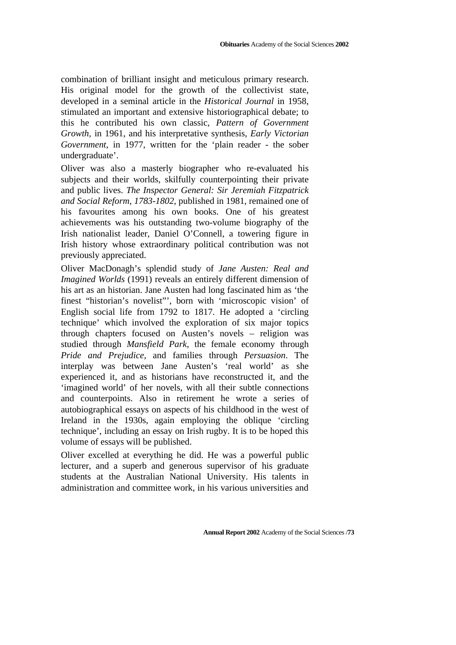combination of brilliant insight and meticulous primary research. His original model for the growth of the collectivist state, developed in a seminal article in the *Historical Journal* in 1958, stimulated an important and extensive historiographical debate; to this he contributed his own classic, *Pattern of Government Growth,* in 1961, and his interpretative synthesis, *Early Victorian Government*, in 1977, written for the 'plain reader - the sober undergraduate'.

Oliver was also a masterly biographer who re-evaluated his subjects and their worlds, skilfully counterpointing their private and public lives. *The Inspector General: Sir Jeremiah Fitzpatrick and Social Reform, 1783-1802*, published in 1981, remained one of his favourites among his own books. One of his greatest achievements was his outstanding two-volume biography of the Irish nationalist leader, Daniel O'Connell, a towering figure in Irish history whose extraordinary political contribution was not previously appreciated.

Oliver MacDonagh's splendid study of *Jane Austen: Real and Imagined Worlds* (1991) reveals an entirely different dimension of his art as an historian. Jane Austen had long fascinated him as 'the finest "historian's novelist"', born with 'microscopic vision' of English social life from 1792 to 1817. He adopted a 'circling technique' which involved the exploration of six major topics through chapters focused on Austen's novels – religion was studied through *Mansfield Park*, the female economy through *Pride and Prejudice*, and families through *Persuasion*. The interplay was between Jane Austen's 'real world' as she experienced it, and as historians have reconstructed it, and the 'imagined world' of her novels, with all their subtle connections and counterpoints. Also in retirement he wrote a series of autobiographical essays on aspects of his childhood in the west of Ireland in the 1930s, again employing the oblique 'circling technique', including an essay on Irish rugby. It is to be hoped this volume of essays will be published.

Oliver excelled at everything he did. He was a powerful public lecturer, and a superb and generous supervisor of his graduate students at the Australian National University. His talents in administration and committee work, in his various universities and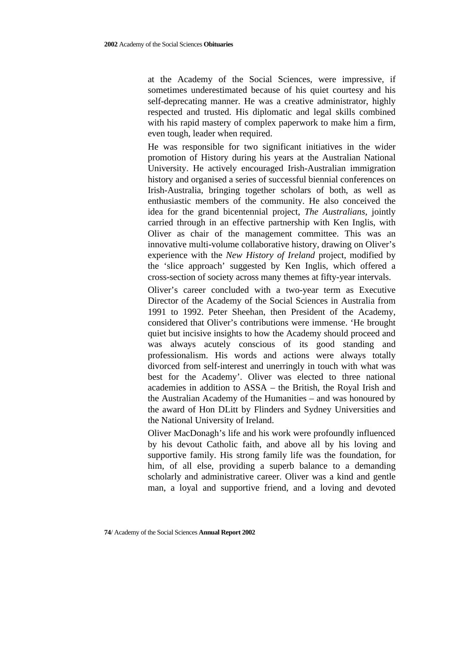at the Academy of the Social Sciences, were impressive, if sometimes underestimated because of his quiet courtesy and his self-deprecating manner. He was a creative administrator, highly respected and trusted. His diplomatic and legal skills combined with his rapid mastery of complex paperwork to make him a firm, even tough, leader when required.

He was responsible for two significant initiatives in the wider promotion of History during his years at the Australian National University. He actively encouraged Irish-Australian immigration history and organised a series of successful biennial conferences on Irish-Australia, bringing together scholars of both, as well as enthusiastic members of the community. He also conceived the idea for the grand bicentennial project, *The Australians*, jointly carried through in an effective partnership with Ken Inglis, with Oliver as chair of the management committee. This was an innovative multi-volume collaborative history, drawing on Oliver's experience with the *New History of Ireland* project, modified by the 'slice approach' suggested by Ken Inglis, which offered a cross-section of society across many themes at fifty-year intervals.

Oliver's career concluded with a two-year term as Executive Director of the Academy of the Social Sciences in Australia from 1991 to 1992. Peter Sheehan, then President of the Academy, considered that Oliver's contributions were immense. 'He brought quiet but incisive insights to how the Academy should proceed and was always acutely conscious of its good standing and professionalism. His words and actions were always totally divorced from self-interest and unerringly in touch with what was best for the Academy'. Oliver was elected to three national academies in addition to ASSA – the British, the Royal Irish and the Australian Academy of the Humanities – and was honoured by the award of Hon DLitt by Flinders and Sydney Universities and the National University of Ireland.

Oliver MacDonagh's life and his work were profoundly influenced by his devout Catholic faith, and above all by his loving and supportive family. His strong family life was the foundation, for him, of all else, providing a superb balance to a demanding scholarly and administrative career. Oliver was a kind and gentle man, a loyal and supportive friend, and a loving and devoted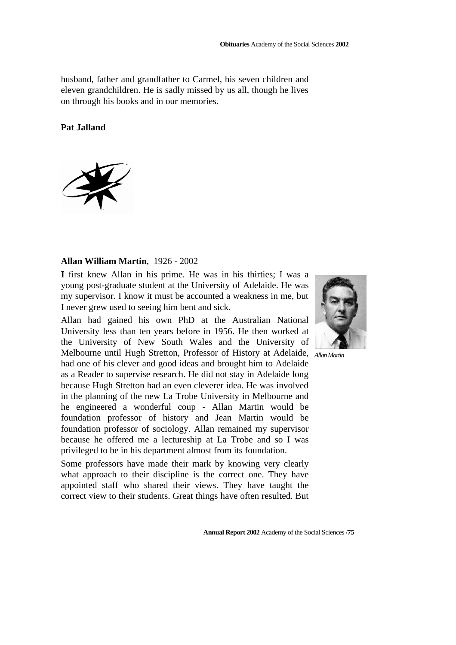husband, father and grandfather to Carmel, his seven children and eleven grandchildren. He is sadly missed by us all, though he lives on through his books and in our memories.

#### **Pat Jalland**



#### **Allan William Martin**, 1926 - 2002

**I** first knew Allan in his prime. He was in his thirties; I was a young post-graduate student at the University of Adelaide. He was my supervisor. I know it must be accounted a weakness in me, but I never grew used to seeing him bent and sick.

Allan had gained his own PhD at the Australian National University less than ten years before in 1956. He then worked at the University of New South Wales and the University of Melbourne until Hugh Stretton, Professor of History at Adelaide, *Allan Martin*had one of his clever and good ideas and brought him to Adelaide as a Reader to supervise research. He did not stay in Adelaide long because Hugh Stretton had an even cleverer idea. He was involved in the planning of the new La Trobe University in Melbourne and he engineered a wonderful coup - Allan Martin would be foundation professor of history and Jean Martin would be foundation professor of sociology. Allan remained my supervisor because he offered me a lectureship at La Trobe and so I was privileged to be in his department almost from its foundation.

Some professors have made their mark by knowing very clearly what approach to their discipline is the correct one. They have appointed staff who shared their views. They have taught the correct view to their students. Great things have often resulted. But

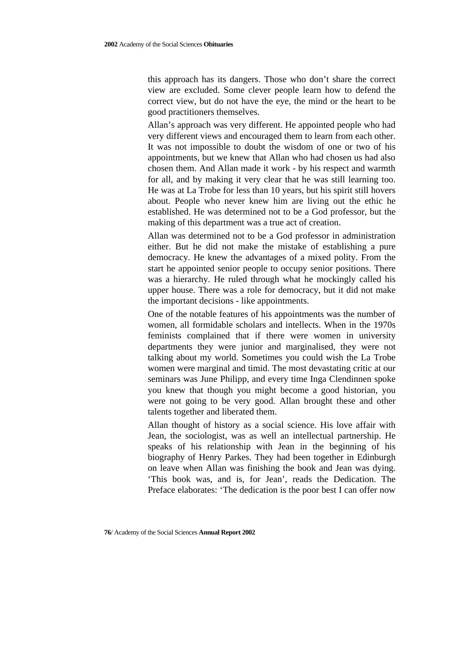this approach has its dangers. Those who don't share the correct view are excluded. Some clever people learn how to defend the correct view, but do not have the eye, the mind or the heart to be good practitioners themselves.

Allan's approach was very different. He appointed people who had very different views and encouraged them to learn from each other. It was not impossible to doubt the wisdom of one or two of his appointments, but we knew that Allan who had chosen us had also chosen them. And Allan made it work - by his respect and warmth for all, and by making it very clear that he was still learning too. He was at La Trobe for less than 10 years, but his spirit still hovers about. People who never knew him are living out the ethic he established. He was determined not to be a God professor, but the making of this department was a true act of creation.

Allan was determined not to be a God professor in administration either. But he did not make the mistake of establishing a pure democracy. He knew the advantages of a mixed polity. From the start he appointed senior people to occupy senior positions. There was a hierarchy. He ruled through what he mockingly called his upper house. There was a role for democracy, but it did not make the important decisions - like appointments.

One of the notable features of his appointments was the number of women, all formidable scholars and intellects. When in the 1970s feminists complained that if there were women in university departments they were junior and marginalised, they were not talking about my world. Sometimes you could wish the La Trobe women were marginal and timid. The most devastating critic at our seminars was June Philipp, and every time Inga Clendinnen spoke you knew that though you might become a good historian, you were not going to be very good. Allan brought these and other talents together and liberated them.

Allan thought of history as a social science. His love affair with Jean, the sociologist, was as well an intellectual partnership. He speaks of his relationship with Jean in the beginning of his biography of Henry Parkes. They had been together in Edinburgh on leave when Allan was finishing the book and Jean was dying. 'This book was, and is, for Jean', reads the Dedication. The Preface elaborates: 'The dedication is the poor best I can offer now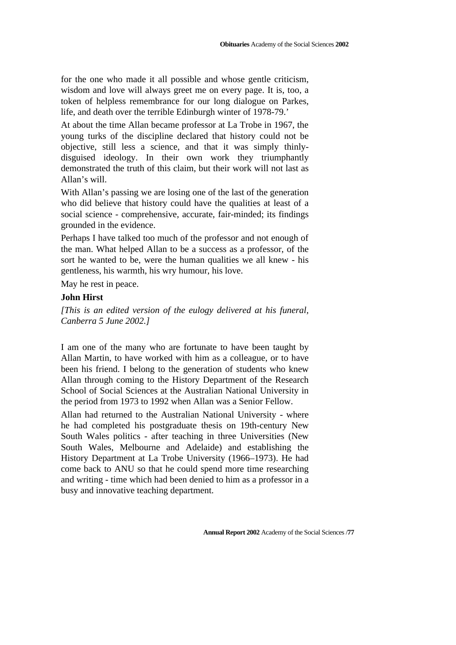for the one who made it all possible and whose gentle criticism, wisdom and love will always greet me on every page. It is, too, a token of helpless remembrance for our long dialogue on Parkes, life, and death over the terrible Edinburgh winter of 1978-79.'

At about the time Allan became professor at La Trobe in 1967, the young turks of the discipline declared that history could not be objective, still less a science, and that it was simply thinlydisguised ideology. In their own work they triumphantly demonstrated the truth of this claim, but their work will not last as Allan's will.

With Allan's passing we are losing one of the last of the generation who did believe that history could have the qualities at least of a social science - comprehensive, accurate, fair-minded; its findings grounded in the evidence.

Perhaps I have talked too much of the professor and not enough of the man. What helped Allan to be a success as a professor, of the sort he wanted to be, were the human qualities we all knew - his gentleness, his warmth, his wry humour, his love.

May he rest in peace.

# **John Hirst**

*[This is an edited version of the eulogy delivered at his funeral, Canberra 5 June 2002.]*

I am one of the many who are fortunate to have been taught by Allan Martin, to have worked with him as a colleague, or to have been his friend. I belong to the generation of students who knew Allan through coming to the History Department of the Research School of Social Sciences at the Australian National University in the period from 1973 to 1992 when Allan was a Senior Fellow.

Allan had returned to the Australian National University - where he had completed his postgraduate thesis on 19th-century New South Wales politics - after teaching in three Universities (New South Wales, Melbourne and Adelaide) and establishing the History Department at La Trobe University (1966–1973). He had come back to ANU so that he could spend more time researching and writing - time which had been denied to him as a professor in a busy and innovative teaching department.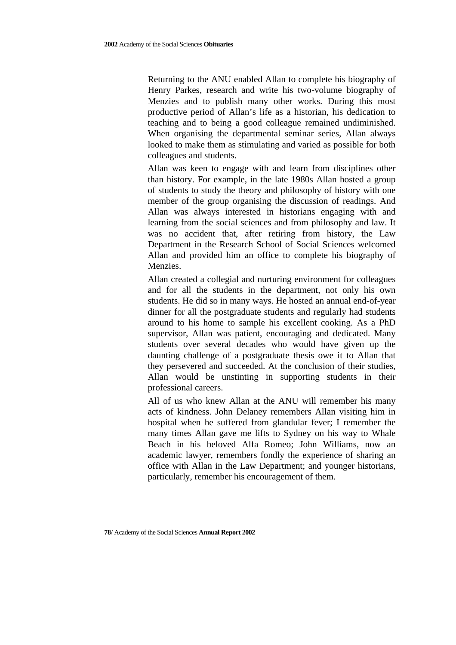Returning to the ANU enabled Allan to complete his biography of Henry Parkes, research and write his two-volume biography of Menzies and to publish many other works. During this most productive period of Allan's life as a historian, his dedication to teaching and to being a good colleague remained undiminished. When organising the departmental seminar series, Allan always looked to make them as stimulating and varied as possible for both colleagues and students.

Allan was keen to engage with and learn from disciplines other than history. For example, in the late 1980s Allan hosted a group of students to study the theory and philosophy of history with one member of the group organising the discussion of readings. And Allan was always interested in historians engaging with and learning from the social sciences and from philosophy and law. It was no accident that, after retiring from history, the Law Department in the Research School of Social Sciences welcomed Allan and provided him an office to complete his biography of Menzies.

Allan created a collegial and nurturing environment for colleagues and for all the students in the department, not only his own students. He did so in many ways. He hosted an annual end-of-year dinner for all the postgraduate students and regularly had students around to his home to sample his excellent cooking. As a PhD supervisor, Allan was patient, encouraging and dedicated. Many students over several decades who would have given up the daunting challenge of a postgraduate thesis owe it to Allan that they persevered and succeeded. At the conclusion of their studies, Allan would be unstinting in supporting students in their professional careers.

All of us who knew Allan at the ANU will remember his many acts of kindness. John Delaney remembers Allan visiting him in hospital when he suffered from glandular fever; I remember the many times Allan gave me lifts to Sydney on his way to Whale Beach in his beloved Alfa Romeo; John Williams, now an academic lawyer, remembers fondly the experience of sharing an office with Allan in the Law Department; and younger historians, particularly, remember his encouragement of them.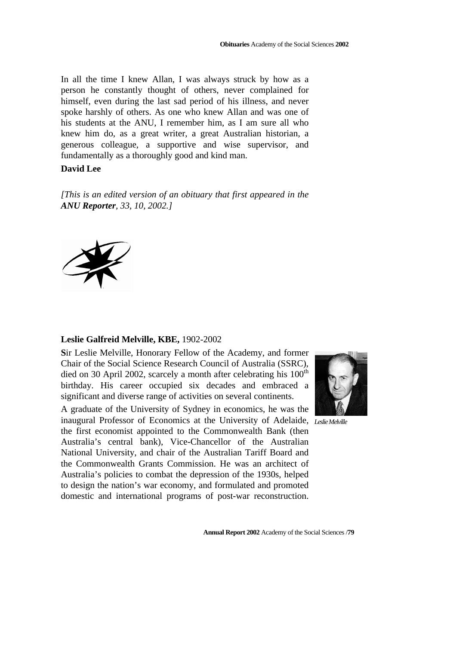In all the time I knew Allan, I was always struck by how as a person he constantly thought of others, never complained for himself, even during the last sad period of his illness, and never spoke harshly of others. As one who knew Allan and was one of his students at the ANU, I remember him, as I am sure all who knew him do, as a great writer, a great Australian historian, a generous colleague, a supportive and wise supervisor, and fundamentally as a thoroughly good and kind man.

## **David Lee**

*[This is an edited version of an obituary that first appeared in the ANU Reporter, 33, 10, 2002.]*



#### **Leslie Galfreid Melville, KBE,** 1902-2002

**S**ir Leslie Melville, Honorary Fellow of the Academy, and former Chair of the Social Science Research Council of Australia (SSRC), died on 30 April 2002, scarcely a month after celebrating his  $100<sup>th</sup>$ birthday. His career occupied six decades and embraced a significant and diverse range of activities on several continents.

A graduate of the University of Sydney in economics, he was the inaugural Professor of Economics at the University of Adelaide, *Leslie Melville*the first economist appointed to the Commonwealth Bank (then Australia's central bank), Vice-Chancellor of the Australian National University, and chair of the Australian Tariff Board and the Commonwealth Grants Commission. He was an architect of Australia's policies to combat the depression of the 1930s, helped to design the nation's war economy, and formulated and promoted domestic and international programs of post-war reconstruction.

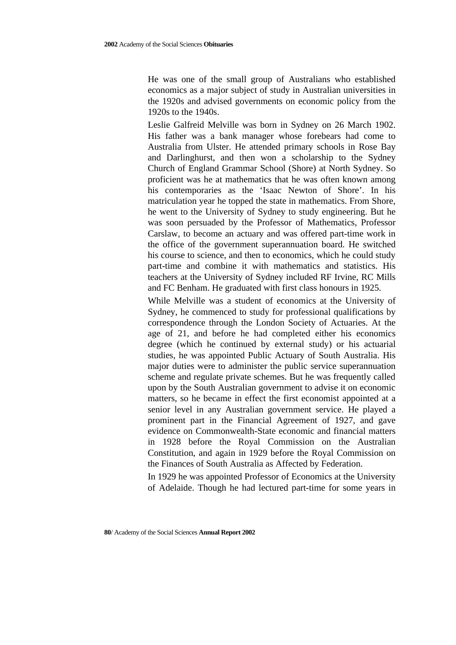He was one of the small group of Australians who established economics as a major subject of study in Australian universities in the 1920s and advised governments on economic policy from the 1920s to the 1940s.

Leslie Galfreid Melville was born in Sydney on 26 March 1902. His father was a bank manager whose forebears had come to Australia from Ulster. He attended primary schools in Rose Bay and Darlinghurst, and then won a scholarship to the Sydney Church of England Grammar School (Shore) at North Sydney. So proficient was he at mathematics that he was often known among his contemporaries as the 'Isaac Newton of Shore'. In his matriculation year he topped the state in mathematics. From Shore, he went to the University of Sydney to study engineering. But he was soon persuaded by the Professor of Mathematics, Professor Carslaw, to become an actuary and was offered part-time work in the office of the government superannuation board. He switched his course to science, and then to economics, which he could study part-time and combine it with mathematics and statistics. His teachers at the University of Sydney included RF Irvine, RC Mills and FC Benham. He graduated with first class honours in 1925.

While Melville was a student of economics at the University of Sydney, he commenced to study for professional qualifications by correspondence through the London Society of Actuaries. At the age of 21, and before he had completed either his economics degree (which he continued by external study) or his actuarial studies, he was appointed Public Actuary of South Australia. His major duties were to administer the public service superannuation scheme and regulate private schemes. But he was frequently called upon by the South Australian government to advise it on economic matters, so he became in effect the first economist appointed at a senior level in any Australian government service. He played a prominent part in the Financial Agreement of 1927, and gave evidence on Commonwealth-State economic and financial matters in 1928 before the Royal Commission on the Australian Constitution, and again in 1929 before the Royal Commission on the Finances of South Australia as Affected by Federation.

In 1929 he was appointed Professor of Economics at the University of Adelaide. Though he had lectured part-time for some years in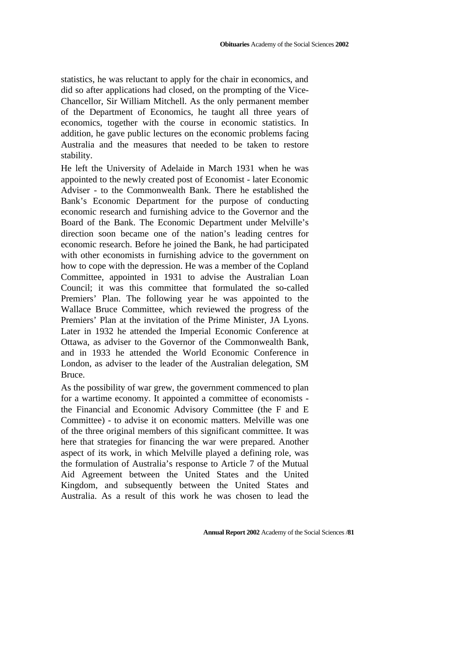statistics, he was reluctant to apply for the chair in economics, and did so after applications had closed, on the prompting of the Vice-Chancellor, Sir William Mitchell. As the only permanent member of the Department of Economics, he taught all three years of economics, together with the course in economic statistics. In addition, he gave public lectures on the economic problems facing Australia and the measures that needed to be taken to restore stability.

He left the University of Adelaide in March 1931 when he was appointed to the newly created post of Economist - later Economic Adviser - to the Commonwealth Bank. There he established the Bank's Economic Department for the purpose of conducting economic research and furnishing advice to the Governor and the Board of the Bank. The Economic Department under Melville's direction soon became one of the nation's leading centres for economic research. Before he joined the Bank, he had participated with other economists in furnishing advice to the government on how to cope with the depression. He was a member of the Copland Committee, appointed in 1931 to advise the Australian Loan Council; it was this committee that formulated the so-called Premiers' Plan. The following year he was appointed to the Wallace Bruce Committee, which reviewed the progress of the Premiers' Plan at the invitation of the Prime Minister, JA Lyons. Later in 1932 he attended the Imperial Economic Conference at Ottawa, as adviser to the Governor of the Commonwealth Bank, and in 1933 he attended the World Economic Conference in London, as adviser to the leader of the Australian delegation, SM Bruce.

As the possibility of war grew, the government commenced to plan for a wartime economy. It appointed a committee of economists the Financial and Economic Advisory Committee (the F and E Committee) - to advise it on economic matters. Melville was one of the three original members of this significant committee. It was here that strategies for financing the war were prepared. Another aspect of its work, in which Melville played a defining role, was the formulation of Australia's response to Article 7 of the Mutual Aid Agreement between the United States and the United Kingdom, and subsequently between the United States and Australia. As a result of this work he was chosen to lead the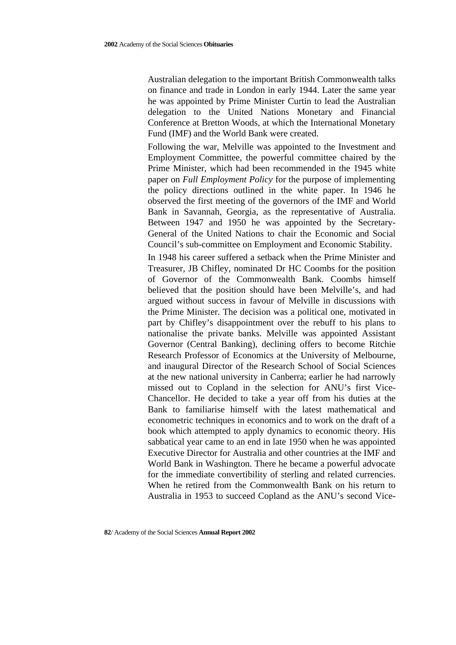Australian delegation to the important British Commonwealth talks on finance and trade in London in early 1944. Later the same year he was appointed by Prime Minister Curtin to lead the Australian delegation to the United Nations Monetary and Financial Conference at Bretton Woods, at which the International Monetary Fund (IMF) and the World Bank were created.

Following the war, Melville was appointed to the Investment and Employment Committee, the powerful committee chaired by the Prime Minister, which had been recommended in the 1945 white paper on *Full Employment Policy* for the purpose of implementing the policy directions outlined in the white paper. In 1946 he observed the first meeting of the governors of the IMF and World Bank in Savannah, Georgia, as the representative of Australia. Between 1947 and 1950 he was appointed by the Secretary-General of the United Nations to chair the Economic and Social Council's sub-committee on Employment and Economic Stability.

In 1948 his career suffered a setback when the Prime Minister and Treasurer, JB Chifley, nominated Dr HC Coombs for the position of Governor of the Commonwealth Bank. Coombs himself believed that the position should have been Melville's, and had argued without success in favour of Melville in discussions with the Prime Minister. The decision was a political one, motivated in part by Chifley's disappointment over the rebuff to his plans to nationalise the private banks. Melville was appointed Assistant Governor (Central Banking), declining offers to become Ritchie Research Professor of Economics at the University of Melbourne, and inaugural Director of the Research School of Social Sciences at the new national university in Canberra; earlier he had narrowly missed out to Copland in the selection for ANU's first Vice-Chancellor. He decided to take a year off from his duties at the Bank to familiarise himself with the latest mathematical and econometric techniques in economics and to work on the draft of a book which attempted to apply dynamics to economic theory. His sabbatical year came to an end in late 1950 when he was appointed Executive Director for Australia and other countries at the IMF and World Bank in Washington. There he became a powerful advocate for the immediate convertibility of sterling and related currencies. When he retired from the Commonwealth Bank on his return to Australia in 1953 to succeed Copland as the ANU's second Vice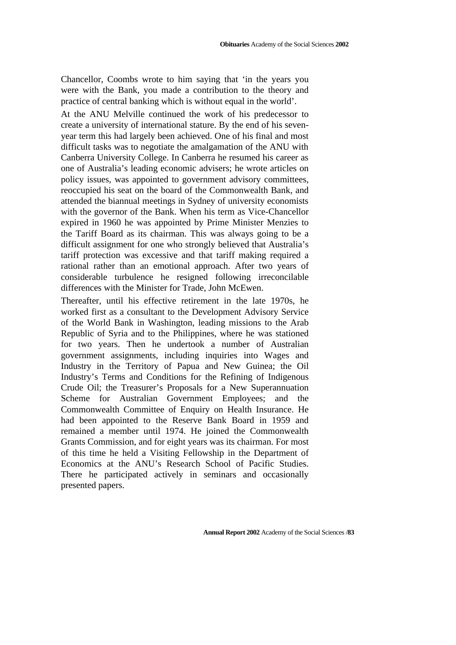Chancellor, Coombs wrote to him saying that 'in the years you were with the Bank, you made a contribution to the theory and practice of central banking which is without equal in the world'.

At the ANU Melville continued the work of his predecessor to create a university of international stature. By the end of his sevenyear term this had largely been achieved. One of his final and most difficult tasks was to negotiate the amalgamation of the ANU with Canberra University College. In Canberra he resumed his career as one of Australia's leading economic advisers; he wrote articles on policy issues, was appointed to government advisory committees, reoccupied his seat on the board of the Commonwealth Bank, and attended the biannual meetings in Sydney of university economists with the governor of the Bank. When his term as Vice-Chancellor expired in 1960 he was appointed by Prime Minister Menzies to the Tariff Board as its chairman. This was always going to be a difficult assignment for one who strongly believed that Australia's tariff protection was excessive and that tariff making required a rational rather than an emotional approach. After two years of considerable turbulence he resigned following irreconcilable differences with the Minister for Trade, John McEwen.

Thereafter, until his effective retirement in the late 1970s, he worked first as a consultant to the Development Advisory Service of the World Bank in Washington, leading missions to the Arab Republic of Syria and to the Philippines, where he was stationed for two years. Then he undertook a number of Australian government assignments, including inquiries into Wages and Industry in the Territory of Papua and New Guinea; the Oil Industry's Terms and Conditions for the Refining of Indigenous Crude Oil; the Treasurer's Proposals for a New Superannuation Scheme for Australian Government Employees; and the Commonwealth Committee of Enquiry on Health Insurance. He had been appointed to the Reserve Bank Board in 1959 and remained a member until 1974. He joined the Commonwealth Grants Commission, and for eight years was its chairman. For most of this time he held a Visiting Fellowship in the Department of Economics at the ANU's Research School of Pacific Studies. There he participated actively in seminars and occasionally presented papers.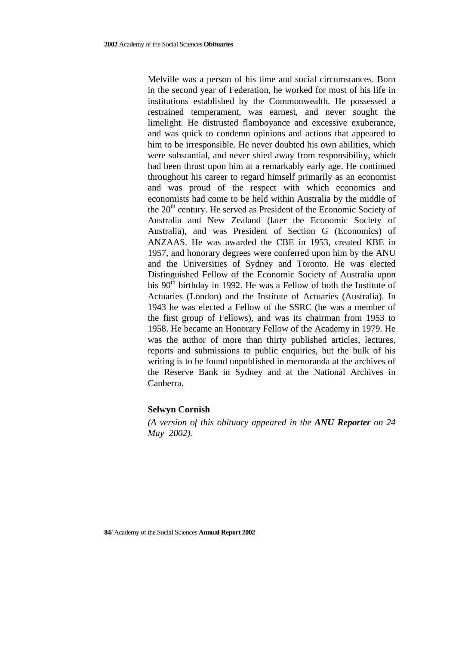Melville was a person of his time and social circumstances. Born in the second year of Federation, he worked for most of his life in institutions established by the Commonwealth. He possessed a restrained temperament, was earnest, and never sought the limelight. He distrusted flamboyance and excessive exuberance, and was quick to condemn opinions and actions that appeared to him to be irresponsible. He never doubted his own abilities, which were substantial, and never shied away from responsibility, which had been thrust upon him at a remarkably early age. He continued throughout his career to regard himself primarily as an economist and was proud of the respect with which economics and economists had come to be held within Australia by the middle of the 20<sup>th</sup> century. He served as President of the Economic Society of Australia and New Zealand (later the Economic Society of Australia), and was President of Section G (Economics) of ANZAAS. He was awarded the CBE in 1953, created KBE in 1957, and honorary degrees were conferred upon him by the ANU and the Universities of Sydney and Toronto. He was elected Distinguished Fellow of the Economic Society of Australia upon his  $90<sup>th</sup>$  birthday in 1992. He was a Fellow of both the Institute of Actuaries (London) and the Institute of Actuaries (Australia). In 1943 he was elected a Fellow of the SSRC (he was a member of the first group of Fellows), and was its chairman from 1953 to 1958. He became an Honorary Fellow of the Academy in 1979. He was the author of more than thirty published articles, lectures, reports and submissions to public enquiries, but the bulk of his writing is to be found unpublished in memoranda at the archives of the Reserve Bank in Sydney and at the National Archives in Canberra.

### **Selwyn Cornish**

*(A version of this obituary appeared in the ANU Reporter on 24 May 2002).*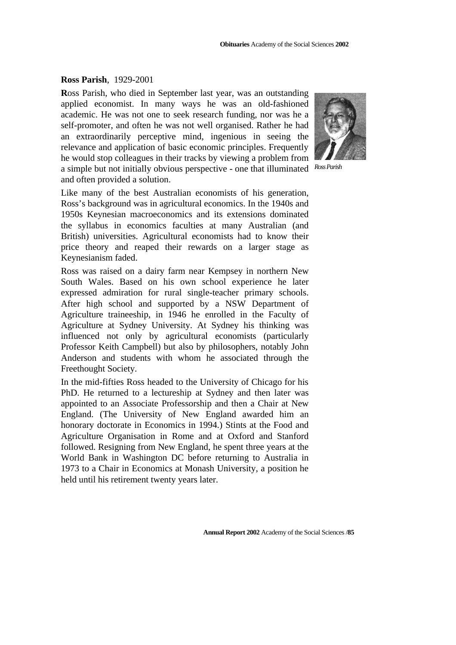### **Ross Parish**, 1929-2001

Keynesianism faded.

**R**oss Parish, who died in September last year, was an outstanding applied economist. In many ways he was an old-fashioned academic. He was not one to seek research funding, nor was he a self-promoter, and often he was not well organised. Rather he had an extraordinarily perceptive mind, ingenious in seeing the relevance and application of basic economic principles. Frequently he would stop colleagues in their tracks by viewing a problem from a simple but not initially obvious perspective - one that illuminated *Ross Parish*and often provided a solution.



Ross was raised on a dairy farm near Kempsey in northern New South Wales. Based on his own school experience he later expressed admiration for rural single-teacher primary schools. After high school and supported by a NSW Department of Agriculture traineeship, in 1946 he enrolled in the Faculty of Agriculture at Sydney University. At Sydney his thinking was influenced not only by agricultural economists (particularly Professor Keith Campbell) but also by philosophers, notably John Anderson and students with whom he associated through the Freethought Society.

In the mid-fifties Ross headed to the University of Chicago for his PhD. He returned to a lectureship at Sydney and then later was appointed to an Associate Professorship and then a Chair at New England. (The University of New England awarded him an honorary doctorate in Economics in 1994.) Stints at the Food and Agriculture Organisation in Rome and at Oxford and Stanford followed. Resigning from New England, he spent three years at the World Bank in Washington DC before returning to Australia in 1973 to a Chair in Economics at Monash University, a position he held until his retirement twenty years later.

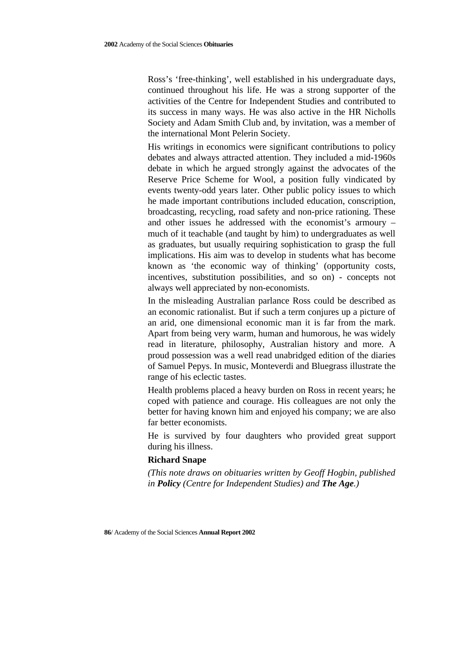Ross's 'free-thinking', well established in his undergraduate days, continued throughout his life. He was a strong supporter of the activities of the Centre for Independent Studies and contributed to its success in many ways. He was also active in the HR Nicholls Society and Adam Smith Club and, by invitation, was a member of the international Mont Pelerin Society.

His writings in economics were significant contributions to policy debates and always attracted attention. They included a mid-1960s debate in which he argued strongly against the advocates of the Reserve Price Scheme for Wool, a position fully vindicated by events twenty-odd years later. Other public policy issues to which he made important contributions included education, conscription, broadcasting, recycling, road safety and non-price rationing. These and other issues he addressed with the economist's armoury – much of it teachable (and taught by him) to undergraduates as well as graduates, but usually requiring sophistication to grasp the full implications. His aim was to develop in students what has become known as 'the economic way of thinking' (opportunity costs, incentives, substitution possibilities, and so on) - concepts not always well appreciated by non-economists.

In the misleading Australian parlance Ross could be described as an economic rationalist. But if such a term conjures up a picture of an arid, one dimensional economic man it is far from the mark. Apart from being very warm, human and humorous, he was widely read in literature, philosophy, Australian history and more. A proud possession was a well read unabridged edition of the diaries of Samuel Pepys. In music, Monteverdi and Bluegrass illustrate the range of his eclectic tastes.

Health problems placed a heavy burden on Ross in recent years; he coped with patience and courage. His colleagues are not only the better for having known him and enjoyed his company; we are also far better economists.

He is survived by four daughters who provided great support during his illness.

### **Richard Snape**

*(This note draws on obituaries written by Geoff Hogbin, published in Policy (Centre for Independent Studies) and The Age.)*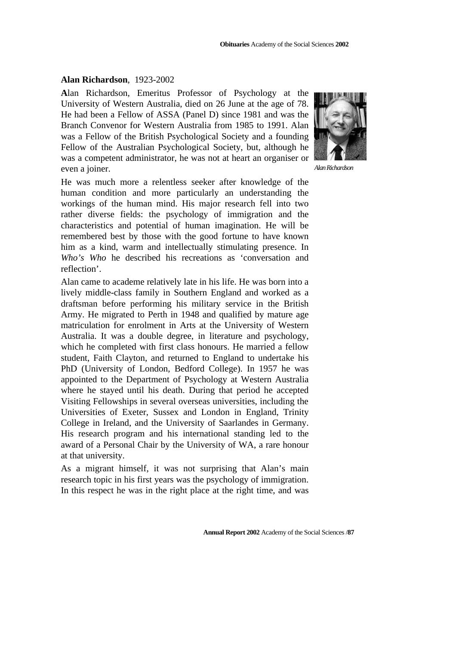### **Alan Richardson**, 1923-2002

**A**lan Richardson, Emeritus Professor of Psychology at the University of Western Australia, died on 26 June at the age of 78. He had been a Fellow of ASSA (Panel D) since 1981 and was the Branch Convenor for Western Australia from 1985 to 1991. Alan was a Fellow of the British Psychological Society and a founding Fellow of the Australian Psychological Society, but, although he was a competent administrator, he was not at heart an organiser or even a joiner.

He was much more a relentless seeker after knowledge of the human condition and more particularly an understanding the workings of the human mind. His major research fell into two rather diverse fields: the psychology of immigration and the characteristics and potential of human imagination. He will be remembered best by those with the good fortune to have known him as a kind, warm and intellectually stimulating presence. In *Who's Who* he described his recreations as 'conversation and reflection'.

Alan came to academe relatively late in his life. He was born into a lively middle-class family in Southern England and worked as a draftsman before performing his military service in the British Army. He migrated to Perth in 1948 and qualified by mature age matriculation for enrolment in Arts at the University of Western Australia. It was a double degree, in literature and psychology, which he completed with first class honours. He married a fellow student, Faith Clayton, and returned to England to undertake his PhD (University of London, Bedford College). In 1957 he was appointed to the Department of Psychology at Western Australia where he stayed until his death. During that period he accepted Visiting Fellowships in several overseas universities, including the Universities of Exeter, Sussex and London in England, Trinity College in Ireland, and the University of Saarlandes in Germany. His research program and his international standing led to the award of a Personal Chair by the University of WA, a rare honour at that university.

As a migrant himself, it was not surprising that Alan's main research topic in his first years was the psychology of immigration. In this respect he was in the right place at the right time, and was



*Alan Richardson*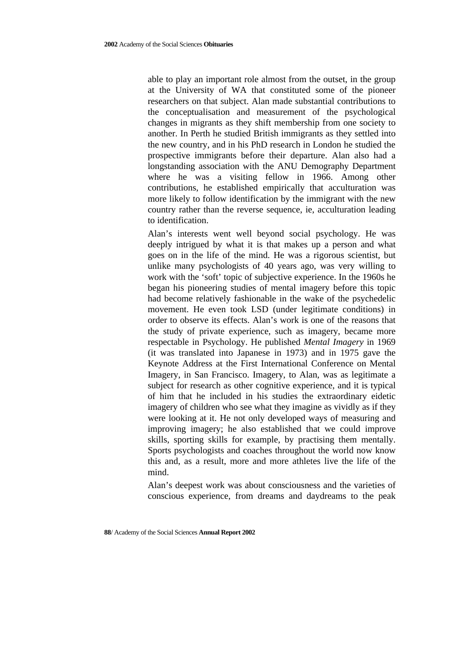able to play an important role almost from the outset, in the group at the University of WA that constituted some of the pioneer researchers on that subject. Alan made substantial contributions to the conceptualisation and measurement of the psychological changes in migrants as they shift membership from one society to another. In Perth he studied British immigrants as they settled into the new country, and in his PhD research in London he studied the prospective immigrants before their departure. Alan also had a longstanding association with the ANU Demography Department where he was a visiting fellow in 1966. Among other contributions, he established empirically that acculturation was more likely to follow identification by the immigrant with the new country rather than the reverse sequence, ie, acculturation leading to identification.

Alan's interests went well beyond social psychology. He was deeply intrigued by what it is that makes up a person and what goes on in the life of the mind. He was a rigorous scientist, but unlike many psychologists of 40 years ago, was very willing to work with the 'soft' topic of subjective experience. In the 1960s he began his pioneering studies of mental imagery before this topic had become relatively fashionable in the wake of the psychedelic movement. He even took LSD (under legitimate conditions) in order to observe its effects. Alan's work is one of the reasons that the study of private experience, such as imagery, became more respectable in Psychology. He published *Mental Imagery* in 1969 (it was translated into Japanese in 1973) and in 1975 gave the Keynote Address at the First International Conference on Mental Imagery, in San Francisco. Imagery, to Alan, was as legitimate a subject for research as other cognitive experience, and it is typical of him that he included in his studies the extraordinary eidetic imagery of children who see what they imagine as vividly as if they were looking at it. He not only developed ways of measuring and improving imagery; he also established that we could improve skills, sporting skills for example, by practising them mentally. Sports psychologists and coaches throughout the world now know this and, as a result, more and more athletes live the life of the mind.

Alan's deepest work was about consciousness and the varieties of conscious experience, from dreams and daydreams to the peak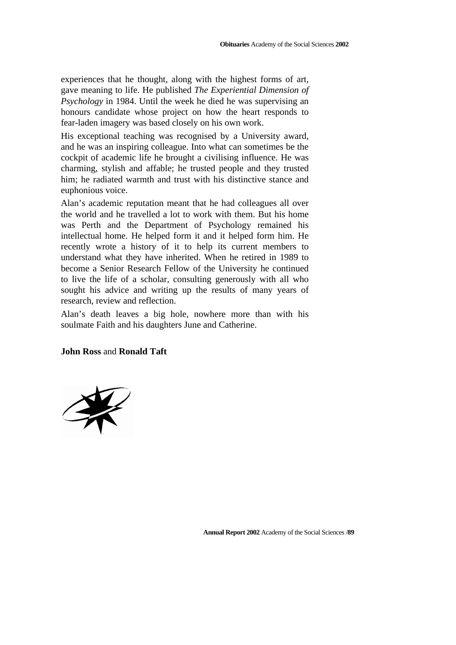experiences that he thought, along with the highest forms of art, gave meaning to life. He published *The Experiential Dimension of Psychology* in 1984. Until the week he died he was supervising an honours candidate whose project on how the heart responds to fear-laden imagery was based closely on his own work.

His exceptional teaching was recognised by a University award, and he was an inspiring colleague. Into what can sometimes be the cockpit of academic life he brought a civilising influence. He was charming, stylish and affable; he trusted people and they trusted him; he radiated warmth and trust with his distinctive stance and euphonious voice.

Alan's academic reputation meant that he had colleagues all over the world and he travelled a lot to work with them. But his home was Perth and the Department of Psychology remained his intellectual home. He helped form it and it helped form him. He recently wrote a history of it to help its current members to understand what they have inherited. When he retired in 1989 to become a Senior Research Fellow of the University he continued to live the life of a scholar, consulting generously with all who sought his advice and writing up the results of many years of research, review and reflection.

Alan's death leaves a big hole, nowhere more than with his soulmate Faith and his daughters June and Catherine.

### **John Ross** and **Ronald Taft**



**Annual Report 2002** Academy of the Social Sciences /**89**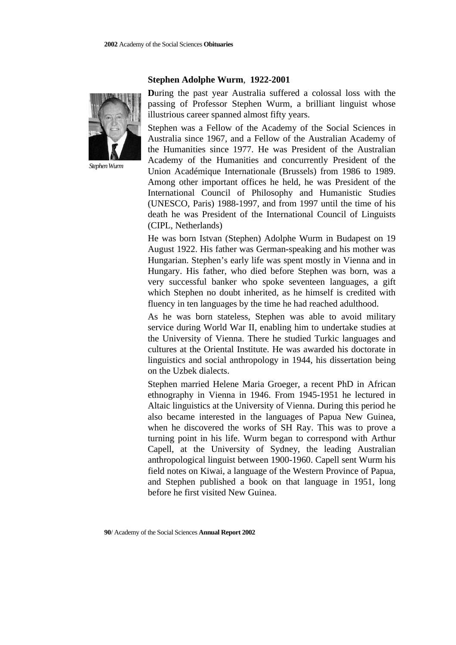#### **Stephen Adolphe Wurm**, **1922-2001**



*Stephen Wurm*

**D**uring the past year Australia suffered a colossal loss with the passing of Professor Stephen Wurm, a brilliant linguist whose illustrious career spanned almost fifty years.

Stephen was a Fellow of the Academy of the Social Sciences in Australia since 1967, and a Fellow of the Australian Academy of the Humanities since 1977. He was President of the Australian Academy of the Humanities and concurrently President of the Union Académique Internationale (Brussels) from 1986 to 1989. Among other important offices he held, he was President of the International Council of Philosophy and Humanistic Studies (UNESCO, Paris) 1988-1997, and from 1997 until the time of his death he was President of the International Council of Linguists (CIPL, Netherlands)

He was born Istvan (Stephen) Adolphe Wurm in Budapest on 19 August 1922. His father was German-speaking and his mother was Hungarian. Stephen's early life was spent mostly in Vienna and in Hungary. His father, who died before Stephen was born, was a very successful banker who spoke seventeen languages, a gift which Stephen no doubt inherited, as he himself is credited with fluency in ten languages by the time he had reached adulthood.

As he was born stateless, Stephen was able to avoid military service during World War II, enabling him to undertake studies at the University of Vienna. There he studied Turkic languages and cultures at the Oriental Institute. He was awarded his doctorate in linguistics and social anthropology in 1944, his dissertation being on the Uzbek dialects.

Stephen married Helene Maria Groeger, a recent PhD in African ethnography in Vienna in 1946. From 1945-1951 he lectured in Altaic linguistics at the University of Vienna. During this period he also became interested in the languages of Papua New Guinea, when he discovered the works of SH Ray. This was to prove a turning point in his life. Wurm began to correspond with Arthur Capell, at the University of Sydney, the leading Australian anthropological linguist between 1900-1960. Capell sent Wurm his field notes on Kiwai, a language of the Western Province of Papua, and Stephen published a book on that language in 1951, long before he first visited New Guinea.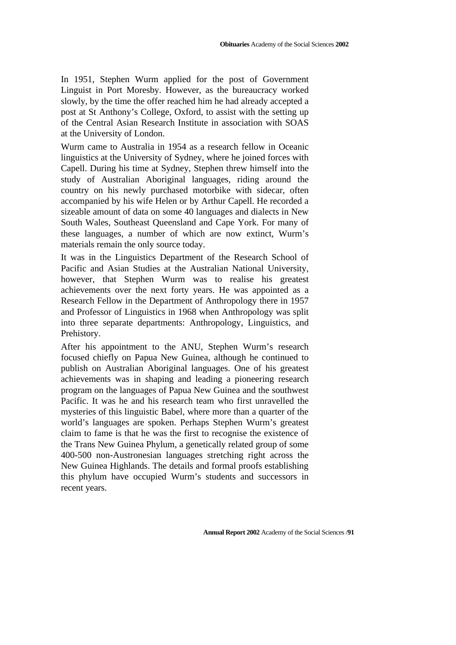In 1951, Stephen Wurm applied for the post of Government Linguist in Port Moresby. However, as the bureaucracy worked slowly, by the time the offer reached him he had already accepted a post at St Anthony's College, Oxford, to assist with the setting up of the Central Asian Research Institute in association with SOAS at the University of London.

Wurm came to Australia in 1954 as a research fellow in Oceanic linguistics at the University of Sydney, where he joined forces with Capell. During his time at Sydney, Stephen threw himself into the study of Australian Aboriginal languages, riding around the country on his newly purchased motorbike with sidecar, often accompanied by his wife Helen or by Arthur Capell. He recorded a sizeable amount of data on some 40 languages and dialects in New South Wales, Southeast Queensland and Cape York. For many of these languages, a number of which are now extinct, Wurm's materials remain the only source today.

It was in the Linguistics Department of the Research School of Pacific and Asian Studies at the Australian National University, however, that Stephen Wurm was to realise his greatest achievements over the next forty years. He was appointed as a Research Fellow in the Department of Anthropology there in 1957 and Professor of Linguistics in 1968 when Anthropology was split into three separate departments: Anthropology, Linguistics, and Prehistory.

After his appointment to the ANU, Stephen Wurm's research focused chiefly on Papua New Guinea, although he continued to publish on Australian Aboriginal languages. One of his greatest achievements was in shaping and leading a pioneering research program on the languages of Papua New Guinea and the southwest Pacific. It was he and his research team who first unravelled the mysteries of this linguistic Babel, where more than a quarter of the world's languages are spoken. Perhaps Stephen Wurm's greatest claim to fame is that he was the first to recognise the existence of the Trans New Guinea Phylum, a genetically related group of some 400-500 non-Austronesian languages stretching right across the New Guinea Highlands. The details and formal proofs establishing this phylum have occupied Wurm's students and successors in recent years.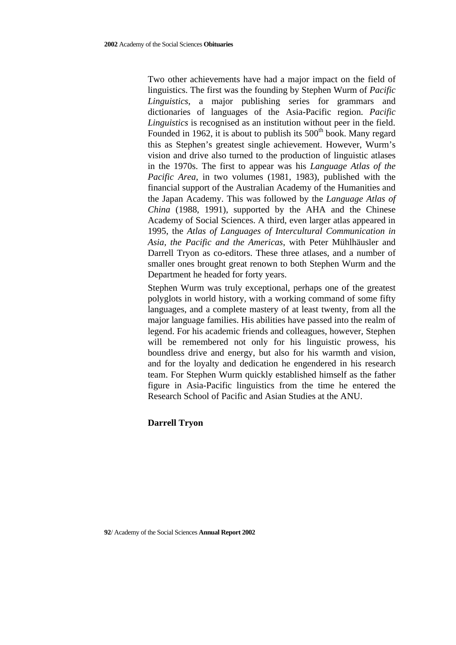Two other achievements have had a major impact on the field of linguistics. The first was the founding by Stephen Wurm of *Pacific Linguistics*, a major publishing series for grammars and dictionaries of languages of the Asia-Pacific region. *Pacific Linguistics* is recognised as an institution without peer in the field. Founded in 1962, it is about to publish its  $500<sup>th</sup>$  book. Many regard this as Stephen's greatest single achievement. However, Wurm's vision and drive also turned to the production of linguistic atlases in the 1970s. The first to appear was his *Language Atlas of the Pacific Area*, in two volumes (1981, 1983), published with the financial support of the Australian Academy of the Humanities and the Japan Academy. This was followed by the *Language Atlas of China* (1988, 1991), supported by the AHA and the Chinese Academy of Social Sciences. A third, even larger atlas appeared in 1995, the *Atlas of Languages of Intercultural Communication in Asia, the Pacific and the Americas*, with Peter Mühlhäusler and Darrell Tryon as co-editors. These three atlases, and a number of smaller ones brought great renown to both Stephen Wurm and the Department he headed for forty years.

Stephen Wurm was truly exceptional, perhaps one of the greatest polyglots in world history, with a working command of some fifty languages, and a complete mastery of at least twenty, from all the major language families. His abilities have passed into the realm of legend. For his academic friends and colleagues, however, Stephen will be remembered not only for his linguistic prowess, his boundless drive and energy, but also for his warmth and vision, and for the loyalty and dedication he engendered in his research team. For Stephen Wurm quickly established himself as the father figure in Asia-Pacific linguistics from the time he entered the Research School of Pacific and Asian Studies at the ANU.

### **Darrell Tryon**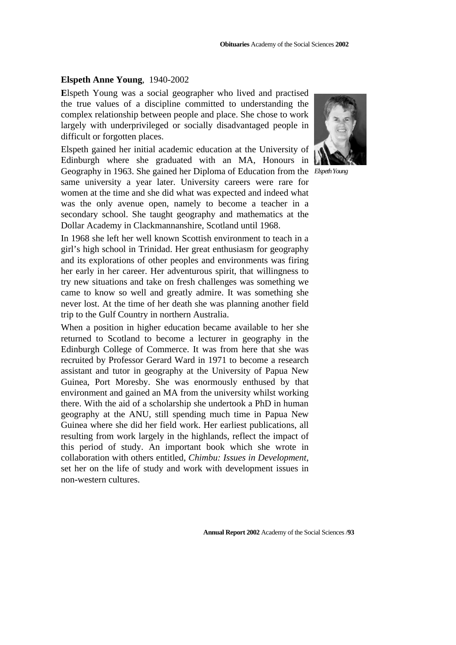### **Elspeth Anne Young**, 1940-2002

**E**lspeth Young was a social geographer who lived and practised the true values of a discipline committed to understanding the complex relationship between people and place. She chose to work largely with underprivileged or socially disadvantaged people in difficult or forgotten places.

Elspeth gained her initial academic education at the University of Edinburgh where she graduated with an MA, Honours in Geography in 1963. She gained her Diploma of Education from the *Elspeth Young*same university a year later. University careers were rare for women at the time and she did what was expected and indeed what was the only avenue open, namely to become a teacher in a secondary school. She taught geography and mathematics at the Dollar Academy in Clackmannanshire, Scotland until 1968.

In 1968 she left her well known Scottish environment to teach in a girl's high school in Trinidad. Her great enthusiasm for geography and its explorations of other peoples and environments was firing her early in her career. Her adventurous spirit, that willingness to try new situations and take on fresh challenges was something we came to know so well and greatly admire. It was something she never lost. At the time of her death she was planning another field trip to the Gulf Country in northern Australia.

When a position in higher education became available to her she returned to Scotland to become a lecturer in geography in the Edinburgh College of Commerce. It was from here that she was recruited by Professor Gerard Ward in 1971 to become a research assistant and tutor in geography at the University of Papua New Guinea, Port Moresby. She was enormously enthused by that environment and gained an MA from the university whilst working there. With the aid of a scholarship she undertook a PhD in human geography at the ANU, still spending much time in Papua New Guinea where she did her field work. Her earliest publications, all resulting from work largely in the highlands, reflect the impact of this period of study. An important book which she wrote in collaboration with others entitled, *Chimbu: Issues in Development*, set her on the life of study and work with development issues in non-western cultures.

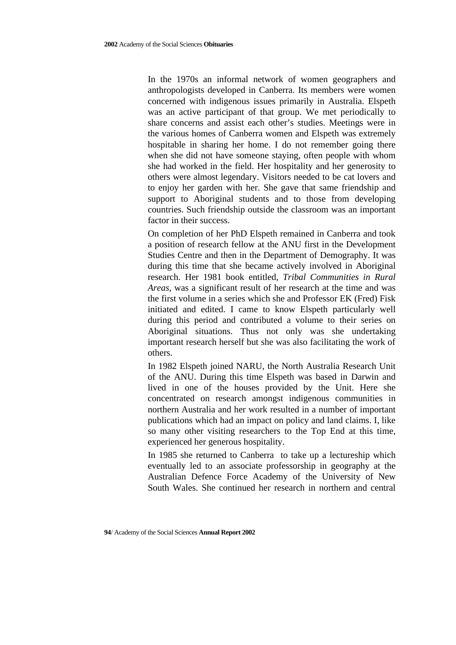In the 1970s an informal network of women geographers and anthropologists developed in Canberra. Its members were women concerned with indigenous issues primarily in Australia. Elspeth was an active participant of that group. We met periodically to share concerns and assist each other's studies. Meetings were in the various homes of Canberra women and Elspeth was extremely hospitable in sharing her home. I do not remember going there when she did not have someone staying, often people with whom she had worked in the field. Her hospitality and her generosity to others were almost legendary. Visitors needed to be cat lovers and to enjoy her garden with her. She gave that same friendship and support to Aboriginal students and to those from developing countries. Such friendship outside the classroom was an important factor in their success.

On completion of her PhD Elspeth remained in Canberra and took a position of research fellow at the ANU first in the Development Studies Centre and then in the Department of Demography. It was during this time that she became actively involved in Aboriginal research. Her 1981 book entitled, *Tribal Communities in Rural Areas*, was a significant result of her research at the time and was the first volume in a series which she and Professor EK (Fred) Fisk initiated and edited. I came to know Elspeth particularly well during this period and contributed a volume to their series on Aboriginal situations. Thus not only was she undertaking important research herself but she was also facilitating the work of others.

In 1982 Elspeth joined NARU, the North Australia Research Unit of the ANU. During this time Elspeth was based in Darwin and lived in one of the houses provided by the Unit. Here she concentrated on research amongst indigenous communities in northern Australia and her work resulted in a number of important publications which had an impact on policy and land claims. I, like so many other visiting researchers to the Top End at this time, experienced her generous hospitality.

In 1985 she returned to Canberra to take up a lectureship which eventually led to an associate professorship in geography at the Australian Defence Force Academy of the University of New South Wales. She continued her research in northern and central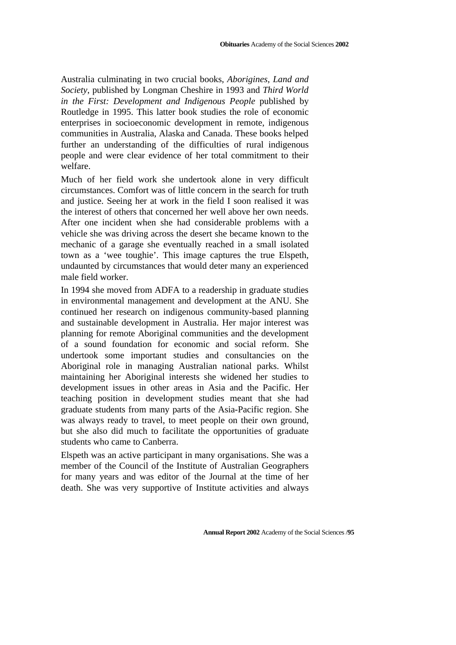Australia culminating in two crucial books, *Aborigines, Land and Society*, published by Longman Cheshire in 1993 and *Third World in the First: Development and Indigenous People* published by Routledge in 1995. This latter book studies the role of economic enterprises in socioeconomic development in remote, indigenous communities in Australia, Alaska and Canada. These books helped further an understanding of the difficulties of rural indigenous people and were clear evidence of her total commitment to their welfare.

Much of her field work she undertook alone in very difficult circumstances. Comfort was of little concern in the search for truth and justice. Seeing her at work in the field I soon realised it was the interest of others that concerned her well above her own needs. After one incident when she had considerable problems with a vehicle she was driving across the desert she became known to the mechanic of a garage she eventually reached in a small isolated town as a 'wee toughie'. This image captures the true Elspeth, undaunted by circumstances that would deter many an experienced male field worker.

In 1994 she moved from ADFA to a readership in graduate studies in environmental management and development at the ANU. She continued her research on indigenous community-based planning and sustainable development in Australia. Her major interest was planning for remote Aboriginal communities and the development of a sound foundation for economic and social reform. She undertook some important studies and consultancies on the Aboriginal role in managing Australian national parks. Whilst maintaining her Aboriginal interests she widened her studies to development issues in other areas in Asia and the Pacific. Her teaching position in development studies meant that she had graduate students from many parts of the Asia-Pacific region. She was always ready to travel, to meet people on their own ground, but she also did much to facilitate the opportunities of graduate students who came to Canberra.

Elspeth was an active participant in many organisations. She was a member of the Council of the Institute of Australian Geographers for many years and was editor of the Journal at the time of her death. She was very supportive of Institute activities and always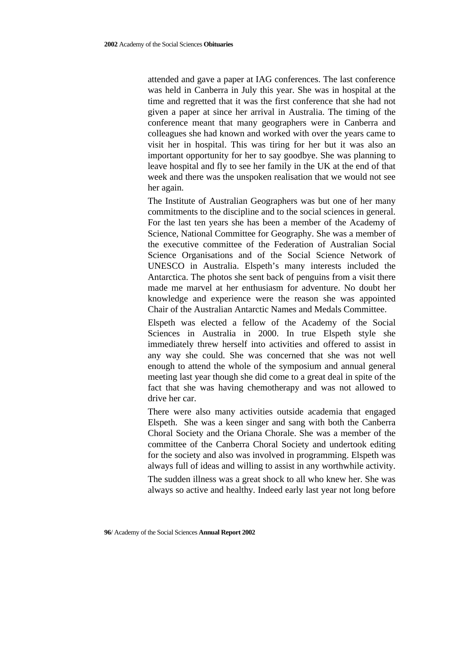attended and gave a paper at IAG conferences. The last conference was held in Canberra in July this year. She was in hospital at the time and regretted that it was the first conference that she had not given a paper at since her arrival in Australia. The timing of the conference meant that many geographers were in Canberra and colleagues she had known and worked with over the years came to visit her in hospital. This was tiring for her but it was also an important opportunity for her to say goodbye. She was planning to leave hospital and fly to see her family in the UK at the end of that week and there was the unspoken realisation that we would not see her again.

The Institute of Australian Geographers was but one of her many commitments to the discipline and to the social sciences in general. For the last ten years she has been a member of the Academy of Science, National Committee for Geography. She was a member of the executive committee of the Federation of Australian Social Science Organisations and of the Social Science Network of UNESCO in Australia. Elspeth's many interests included the Antarctica. The photos she sent back of penguins from a visit there made me marvel at her enthusiasm for adventure. No doubt her knowledge and experience were the reason she was appointed Chair of the Australian Antarctic Names and Medals Committee.

Elspeth was elected a fellow of the Academy of the Social Sciences in Australia in 2000. In true Elspeth style she immediately threw herself into activities and offered to assist in any way she could. She was concerned that she was not well enough to attend the whole of the symposium and annual general meeting last year though she did come to a great deal in spite of the fact that she was having chemotherapy and was not allowed to drive her car.

There were also many activities outside academia that engaged Elspeth. She was a keen singer and sang with both the Canberra Choral Society and the Oriana Chorale. She was a member of the committee of the Canberra Choral Society and undertook editing for the society and also was involved in programming. Elspeth was always full of ideas and willing to assist in any worthwhile activity. The sudden illness was a great shock to all who knew her. She was always so active and healthy. Indeed early last year not long before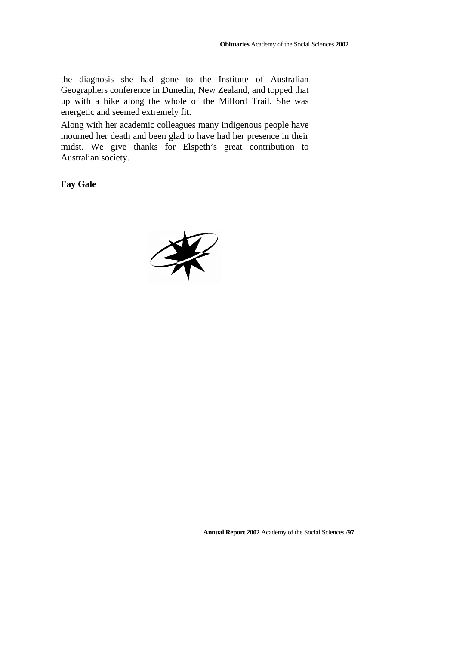the diagnosis she had gone to the Institute of Australian Geographers conference in Dunedin, New Zealand, and topped that up with a hike along the whole of the Milford Trail. She was energetic and seemed extremely fit.

Along with her academic colleagues many indigenous people have mourned her death and been glad to have had her presence in their midst. We give thanks for Elspeth's great contribution to Australian society.

**Fay Gale**



**Annual Report 2002** Academy of the Social Sciences /**97**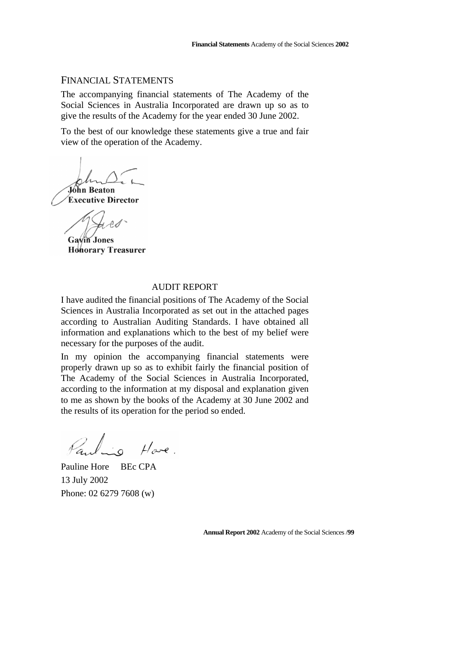### FINANCIAL STATEMENTS

The accompanying financial statements of The Academy of the Social Sciences in Australia Incorporated are drawn up so as to give the results of the Academy for the year ended 30 June 2002.

To the best of our knowledge these statements give a true and fair view of the operation of the Academy.

Jóhn Beaton

**Executive Director** 

**Gavin** Jones **Honorary Treasurer** 

#### AUDIT REPORT

I have audited the financial positions of The Academy of the Social Sciences in Australia Incorporated as set out in the attached pages according to Australian Auditing Standards. I have obtained all information and explanations which to the best of my belief were necessary for the purposes of the audit.

In my opinion the accompanying financial statements were properly drawn up so as to exhibit fairly the financial position of The Academy of the Social Sciences in Australia Incorporated, according to the information at my disposal and explanation given to me as shown by the books of the Academy at 30 June 2002 and the results of its operation for the period so ended.

Pauline Have.

Pauline Hore BEc CPA 13 July 2002 Phone: 02 6279 7608 (w)

**Annual Report 2002** Academy of the Social Sciences /**99**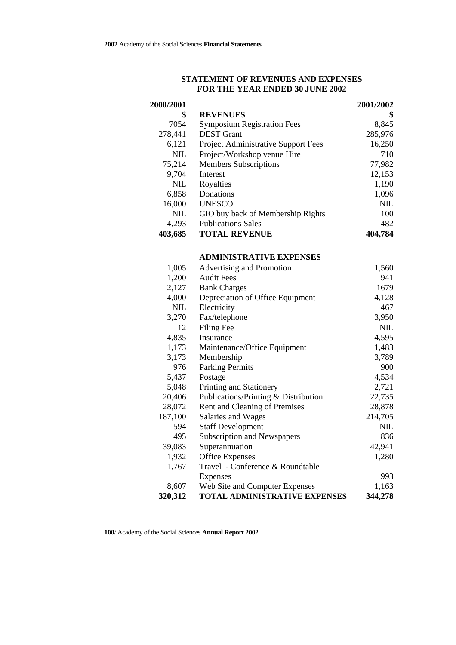| 2000/2001  |                                      | 2001/2002  |
|------------|--------------------------------------|------------|
| \$         | <b>REVENUES</b>                      | \$         |
| 7054       | <b>Symposium Registration Fees</b>   | 8,845      |
| 278,441    | <b>DEST</b> Grant                    | 285,976    |
| 6,121      | Project Administrative Support Fees  | 16,250     |
| <b>NIL</b> | Project/Workshop venue Hire          | 710        |
| 75,214     | <b>Members Subscriptions</b>         | 77,982     |
| 9,704      | Interest                             | 12,153     |
| <b>NIL</b> | Royalties                            | 1,190      |
| 6,858      | Donations                            | 1,096      |
| 16,000     | <b>UNESCO</b>                        | NIL        |
| <b>NIL</b> | GIO buy back of Membership Rights    | 100        |
| 4,293      | <b>Publications Sales</b>            | 482        |
| 403,685    | <b>TOTAL REVENUE</b>                 | 404,784    |
|            | <b>ADMINISTRATIVE EXPENSES</b>       |            |
| 1,005      | Advertising and Promotion            | 1,560      |
| 1,200      | <b>Audit Fees</b>                    | 941        |
| 2,127      | <b>Bank Charges</b>                  | 1679       |
| 4,000      | Depreciation of Office Equipment     | 4,128      |
| NIL        | Electricity                          | 467        |
| 3,270      | Fax/telephone                        | 3,950      |
| 12         | Filing Fee                           | <b>NIL</b> |
| 4,835      | Insurance                            | 4,595      |
| 1,173      | Maintenance/Office Equipment         | 1,483      |
| 3,173      | Membership                           | 3,789      |
| 976        | <b>Parking Permits</b>               | 900        |
| 5,437      | Postage                              | 4,534      |
| 5,048      | Printing and Stationery              | 2,721      |
| 20,406     | Publications/Printing & Distribution | 22,735     |
| 28,072     | Rent and Cleaning of Premises        | 28,878     |
| 187,100    | Salaries and Wages                   | 214,705    |
| 594        | <b>Staff Development</b>             | <b>NIL</b> |
| 495        | <b>Subscription and Newspapers</b>   | 836        |
| 39,083     | Superannuation                       | 42,941     |
| 1,932      | <b>Office Expenses</b>               | 1,280      |
| 1,767      | Travel - Conference & Roundtable     |            |
|            | <b>Expenses</b>                      | 993        |
| 8,607      | Web Site and Computer Expenses       | 1,163      |
| 320,312    | TOTAL ADMINISTRATIVE EXPENSES        | 344,278    |

### **STATEMENT OF REVENUES AND EXPENSES FOR THE YEAR ENDED 30 JUNE 2002**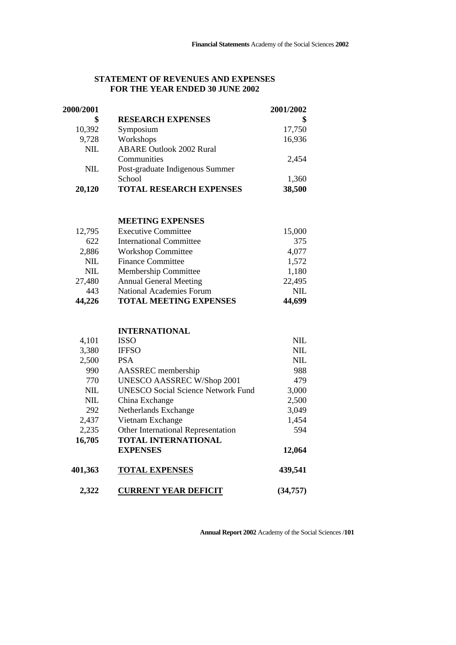### **STATEMENT OF REVENUES AND EXPENSES FOR THE YEAR ENDED 30 JUNE 2002**

| 2000/2001 |                                 | 2001/2002 |
|-----------|---------------------------------|-----------|
| \$        | <b>RESEARCH EXPENSES</b>        | S         |
| 10,392    | Symposium                       | 17,750    |
| 9,728     | Workshops                       | 16,936    |
| NIL.      | <b>ABARE Outlook 2002 Rural</b> |           |
|           | Communities                     | 2,454     |
| NIL.      | Post-graduate Indigenous Summer |           |
|           | School                          | 1,360     |
| 20,120    | <b>TOTAL RESEARCH EXPENSES</b>  | 38,500    |

#### **MEETING EXPENSES**

| 12,795     | <b>Executive Committee</b>      | 15,000 |
|------------|---------------------------------|--------|
| 622        | <b>International Committee</b>  | 375    |
| 2,886      | <b>Workshop Committee</b>       | 4,077  |
| <b>NIL</b> | <b>Finance Committee</b>        | 1,572  |
| <b>NIL</b> | Membership Committee            | 1,180  |
| 27,480     | <b>Annual General Meeting</b>   | 22,495 |
| 443        | <b>National Academies Forum</b> | NIL.   |
| 44,226     | <b>TOTAL MEETING EXPENSES</b>   | 44,699 |

### **INTERNATIONAL**

| 4,101      | <b>ISSO</b>                               | NIL.      |
|------------|-------------------------------------------|-----------|
| 3,380      | <b>IFFSO</b>                              | NIL.      |
| 2,500      | <b>PSA</b>                                | NIL.      |
| 990        | AASSREC membership                        | 988       |
| 770        | <b>UNESCO AASSREC W/Shop 2001</b>         | 479       |
| NIL.       | <b>UNESCO Social Science Network Fund</b> | 3,000     |
| <b>NIL</b> | China Exchange                            | 2,500     |
| 292        | Netherlands Exchange                      | 3,049     |
| 2,437      | Vietnam Exchange                          | 1,454     |
| 2,235      | Other International Representation        | 594       |
| 16,705     | <b>TOTAL INTERNATIONAL</b>                |           |
|            | <b>EXPENSES</b>                           | 12,064    |
| 401,363    | <b>TOTAL EXPENSES</b>                     | 439,541   |
| 2,322      | URRENT YEAR DEFICIT                       | (34, 757) |

**Annual Report 2002** Academy of the Social Sciences /**101**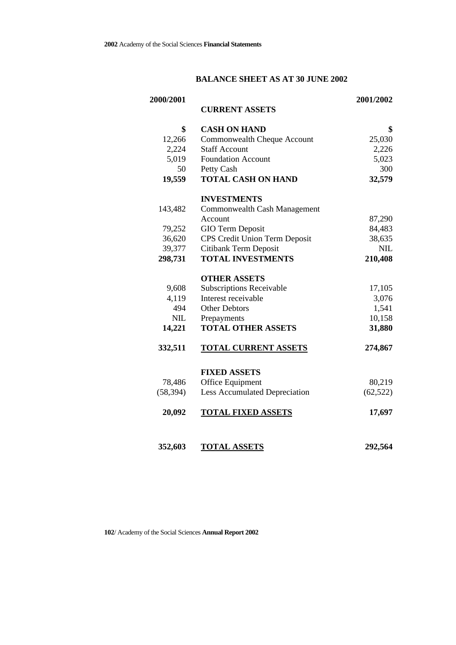# **BALANCE SHEET AS AT 30 JUNE 2002**

| 2000/2001 |                                      | 2001/2002  |
|-----------|--------------------------------------|------------|
|           | <b>CURRENT ASSETS</b>                |            |
| \$        | <b>CASH ON HAND</b>                  | \$         |
| 12,266    | <b>Commonwealth Cheque Account</b>   | 25,030     |
| 2,224     | <b>Staff Account</b>                 | 2,226      |
| 5,019     | <b>Foundation Account</b>            | 5,023      |
| 50        | Petty Cash                           | 300        |
| 19,559    | <b>TOTAL CASH ON HAND</b>            | 32,579     |
|           | <b>INVESTMENTS</b>                   |            |
| 143,482   | Commonwealth Cash Management         |            |
|           | Account                              | 87,290     |
| 79,252    | <b>GIO Term Deposit</b>              | 84,483     |
| 36,620    | CPS Credit Union Term Deposit        | 38,635     |
| 39,377    | Citibank Term Deposit                | <b>NIL</b> |
| 298,731   | <b>TOTAL INVESTMENTS</b>             | 210,408    |
|           | <b>OTHER ASSETS</b>                  |            |
| 9,608     | <b>Subscriptions Receivable</b>      | 17,105     |
| 4,119     | Interest receivable                  | 3,076      |
| 494       | <b>Other Debtors</b>                 | 1,541      |
| NIL       | Prepayments                          | 10,158     |
| 14,221    | <b>TOTAL OTHER ASSETS</b>            | 31,880     |
| 332,511   | <b>TOTAL CURRENT ASSETS</b>          | 274,867    |
|           | <b>FIXED ASSETS</b>                  |            |
| 78,486    | Office Equipment                     | 80,219     |
| (58, 394) | <b>Less Accumulated Depreciation</b> | (62, 522)  |
| 20,092    | <b>TOTAL FIXED ASSETS</b>            | 17,697     |
| 352,603   | <b>TOTAL ASSETS</b>                  | 292,564    |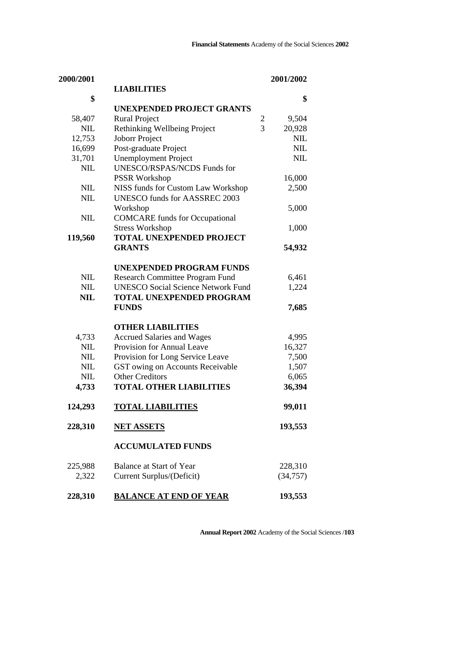| 2000/2001  |                                           |   | 2001/2002  |
|------------|-------------------------------------------|---|------------|
|            | <b>LIABILITIES</b>                        |   |            |
| \$         |                                           |   | \$         |
|            | <b>UNEXPENDED PROJECT GRANTS</b>          |   |            |
| 58,407     | <b>Rural Project</b>                      | 2 | 9,504      |
| <b>NIL</b> | Rethinking Wellbeing Project              | 3 | 20,928     |
| 12,753     | Joborr Project                            |   | NIL        |
| 16,699     | Post-graduate Project                     |   | NIL        |
| 31,701     | <b>Unemployment Project</b>               |   | <b>NIL</b> |
| <b>NIL</b> | UNESCO/RSPAS/NCDS Funds for               |   |            |
|            | <b>PSSR Workshop</b>                      |   | 16,000     |
| NIL        | NISS funds for Custom Law Workshop        |   | 2,500      |
| NIL        | <b>UNESCO funds for AASSREC 2003</b>      |   |            |
|            | Workshop                                  |   | 5,000      |
| <b>NIL</b> | <b>COMCARE</b> funds for Occupational     |   |            |
|            | <b>Stress Workshop</b>                    |   | 1,000      |
| 119,560    | <b>TOTAL UNEXPENDED PROJECT</b>           |   |            |
|            | <b>GRANTS</b>                             |   | 54,932     |
|            |                                           |   |            |
|            | <b>UNEXPENDED PROGRAM FUNDS</b>           |   |            |
| NIL        | Research Committee Program Fund           |   | 6,461      |
| NIL        | <b>UNESCO Social Science Network Fund</b> |   | 1,224      |
| <b>NIL</b> | TOTAL UNEXPENDED PROGRAM                  |   |            |
|            | <b>FUNDS</b>                              |   | 7,685      |
|            | <b>OTHER LIABILITIES</b>                  |   |            |
| 4,733      | <b>Accrued Salaries and Wages</b>         |   | 4,995      |
| $NIL$      | Provision for Annual Leave                |   | 16,327     |
| NIL        | Provision for Long Service Leave          |   | 7,500      |
| <b>NIL</b> | GST owing on Accounts Receivable          |   | 1,507      |
| NIL        | <b>Other Creditors</b>                    |   | 6,065      |
| 4,733      | <b>TOTAL OTHER LIABILITIES</b>            |   | 36,394     |
| 124,293    | <b>TOTAL LIABILITIES</b>                  |   | 99,011     |
|            |                                           |   |            |
| 228,310    | <b>NET ASSETS</b>                         |   | 193,553    |
|            | <b>ACCUMULATED FUNDS</b>                  |   |            |
| 225,988    | Balance at Start of Year                  |   | 228,310    |
| 2,322      | Current Surplus/(Deficit)                 |   | (34, 757)  |
| 228,310    | <b>BALANCE AT END OF YEAR</b>             |   | 193,553    |

**Annual Report 2002** Academy of the Social Sciences /**103**